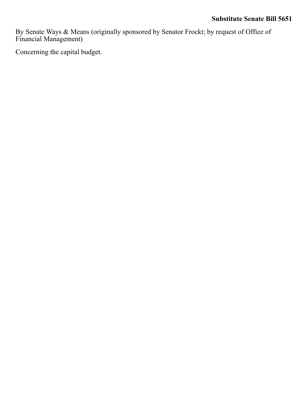By Senate Ways & Means (originally sponsored by Senator Frockt; by request of Office of Financial Management)

Concerning the capital budget.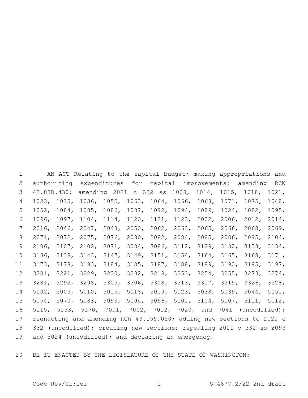AN ACT Relating to the capital budget; making appropriations and authorizing expenditures for capital improvements; amending RCW 43.83B.430; amending 2021 c 332 ss 1008, 1014, 1015, 1018, 1021, 1023, 1025, 1036, 1055, 1063, 1064, 1066, 1068, 1071, 1075, 1048, 1052, 1084, 1085, 1086, 1087, 1092, 1094, 1089, 1024, 1082, 1095, 1096, 1097, 1104, 1114, 1120, 1121, 1123, 2002, 2006, 2012, 2014, 2016, 2046, 2047, 2048, 2050, 2062, 2063, 2065, 2066, 2068, 2069, 2071, 2072, 2075, 2076, 2080, 2082, 2084, 2085, 2086, 2095, 2104, 2106, 2107, 2102, 3071, 3084, 3086, 3112, 3129, 3130, 3133, 3134, 3136, 3138, 3143, 3147, 3149, 3151, 3154, 3164, 3165, 3168, 3171, 3173, 3178, 3183, 3184, 3185, 3187, 3188, 3189, 3190, 3195, 3197, 3201, 3221, 3229, 3230, 3232, 3218, 3253, 3254, 3255, 3273, 3274, 3281, 3292, 3298, 3305, 3306, 3308, 3313, 3317, 3319, 3326, 3328, 5002, 5005, 5010, 5015, 5018, 5019, 5023, 5038, 5039, 5044, 5051, 5054, 5070, 5083, 5093, 5094, 5096, 5101, 5104, 5107, 5111, 5112, 5115, 5153, 5170, 7001, 7002, 7012, 7020, and 7041 (uncodified); reenacting and amending RCW 43.155.050; adding new sections to 2021 c 332 (uncodified); creating new sections; repealing 2021 c 332 ss 2093 19 and 5024 (uncodified); and declaring an emergency.

BE IT ENACTED BY THE LEGISLATURE OF THE STATE OF WASHINGTON: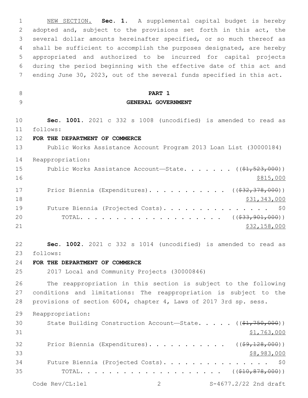NEW SECTION. **Sec. 1.** A supplemental capital budget is hereby adopted and, subject to the provisions set forth in this act, the several dollar amounts hereinafter specified, or so much thereof as shall be sufficient to accomplish the purposes designated, are hereby appropriated and authorized to be incurred for capital projects during the period beginning with the effective date of this act and ending June 30, 2023, out of the several funds specified in this act. **PART 1 GENERAL GOVERNMENT Sec. 1001.** 2021 c 332 s 1008 (uncodified) is amended to read as follows: 11 **FOR THE DEPARTMENT OF COMMERCE** Public Works Assistance Account Program 2013 Loan List (30000184) Reappropriation: 15 Public Works Assistance Account—State. . . . . . ((\$1,523,000)) \$815,000 17 Prior Biennia (Expenditures). . . . . . . . . . ((\$32,378,000))  $\frac{18}{31,343,000}$ 19 Future Biennia (Projected Costs). . . . . . . . . . . . . . \$0 20 TOTAL. . . . . . . . . . . . . . . . . . (  $(\frac{233,901,000)}{}$  \$32,158,000 **Sec. 1002.** 2021 c 332 s 1014 (uncodified) is amended to read as follows: 23 **FOR THE DEPARTMENT OF COMMERCE** 2017 Local and Community Projects (30000846) The reappropriation in this section is subject to the following conditions and limitations: The reappropriation is subject to the provisions of section 6004, chapter 4, Laws of 2017 3rd sp. sess. Reappropriation: 30 State Building Construction Account—State. . . . . ((\$1,750,000))  $$1,763,000$ 32 Prior Biennia (Expenditures). . . . . . . . . . ((\$9,128,000)) \$8,983,000 Future Biennia (Projected Costs). . . . . . . . . . . . . . . \$0 TOTAL. . . . . . . . . . . . . . . . . . . . ((\$10,878,000))

Code Rev/CL:lel 2 S-4677.2/22 2nd draft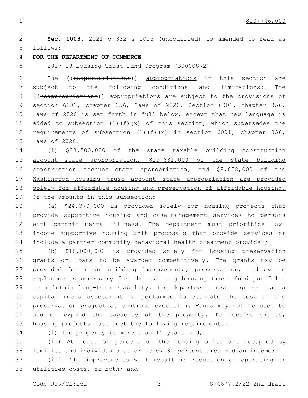**Sec. 1003.** 2021 c 332 s 1015 (uncodified) is amended to read as follows: 3 **FOR THE DEPARTMENT OF COMMERCE** 2017-19 Housing Trust Fund Program (30000872) The ((reappropriations)) appropriations in this section are subject to the following conditions and limitations: The 8 ((reappropriations)) appropriations are subject to the provisions of 9 section 6001, chapter 356, Laws of 2020. Section 6001, chapter 356, Laws of 2020 is set forth in full below, except that new language is 11 added to subsection  $(1)(f)(x)$  of this section, which supersedes the 12 requirements of subsection (1)(f)(x) in section 6001, chapter 356, Laws of 2020. (1) \$83,500,000 of the state taxable building construction account—state appropriation, \$19,631,000 of the state building 16 construction account—state appropriation, and \$8,658,000 of the Washington housing trust account—state appropriation are provided solely for affordable housing and preservation of affordable housing. Of the amounts in this subsection: (a) \$24,370,000 is provided solely for housing projects that provide supportive housing and case-management services to persons with chronic mental illness. The department must prioritize low- income supportive housing unit proposals that provide services or 24 include a partner community behavioral health treatment provider; (b) \$10,000,000 is provided solely for housing preservation grants or loans to be awarded competitively. The grants may be 27 provided for major building improvements, preservation, and system replacements necessary for the existing housing trust fund portfolio to maintain long-term viability. The department must require that a capital needs assessment is performed to estimate the cost of the preservation project at contract execution. Funds may not be used to add or expand the capacity of the property. To receive grants, housing projects must meet the following requirements: (i) The property is more than 15 years old; (ii) At least 50 percent of the housing units are occupied by families and individuals at or below 30 percent area median income; (iii) The improvements will result in reduction of operating or utilities costs, or both; and

Code Rev/CL:lel 3 S-4677.2/22 2nd draft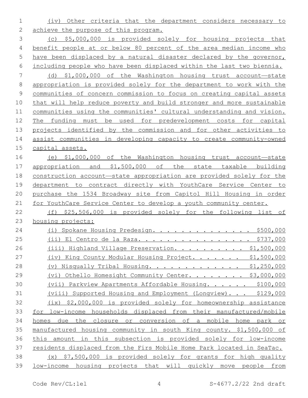(iv) Other criteria that the department considers necessary to 2 achieve the purpose of this program.

 (c) \$5,000,000 is provided solely for housing projects that benefit people at or below 80 percent of the area median income who have been displaced by a natural disaster declared by the governor, including people who have been displaced within the last two biennia.

 (d) \$1,000,000 of the Washington housing trust account—state appropriation is provided solely for the department to work with the communities of concern commission to focus on creating capital assets that will help reduce poverty and build stronger and more sustainable communities using the communities' cultural understanding and vision. The funding must be used for predevelopment costs for capital projects identified by the commission and for other activities to assist communities in developing capacity to create community-owned capital assets.

 (e) \$1,000,000 of the Washington housing trust account—state appropriation and \$1,500,000 of the state taxable building construction account—state appropriation are provided solely for the department to contract directly with YouthCare Service Center to purchase the 1534 Broadway site from Capitol Hill Housing in order for YouthCare Service Center to develop a youth community center.

 (f) \$25,506,000 is provided solely for the following list of housing projects:

| 24 | Spokane Housing Predesign. \$500,000<br>(i)                            |
|----|------------------------------------------------------------------------|
| 25 | El Centro de la Raza. \$737,000<br>(i)                                 |
| 26 | (iii) Highland Village Preservation. \$1,500,000                       |
| 27 | (iv) King County Modular Housing Project. \$1,500,000                  |
| 28 | (v) Nisqually Tribal Housing. \$1,250,000                              |
| 29 | Othello Homesight Community Center. \$3,000,000<br>(vi)                |
| 30 | (vii) Parkview Apartments Affordable Housing. \$100,000                |
| 31 | (viii) Supported Housing and Employment (Longview). \$129,000          |
| 32 | (ix) \$2,000,000 is provided solely for homeownership assistance       |
| 33 | for low-income households displaced from their manufactured/mobile     |
| 34 | the closure or conversion of a mobile home park<br>due<br>homes<br>or  |
| 35 | manufactured housing community in south King county. \$1,500,000 of    |
| 36 | in this subsection is provided solely for low-income<br>this<br>amount |
| 37 | residents displaced from the Firs Mobile Home Park located in SeaTac.  |
| 38 | \$7,500,000 is provided solely for grants for high quality<br>(x)      |
| 39 | low-income housing projects that will quickly move people from         |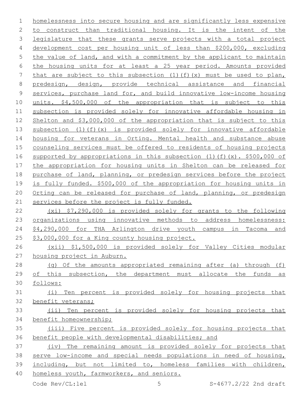homelessness into secure housing and are significantly less expensive to construct than traditional housing. It is the intent of the 3 legislature that these grants serve projects with a total project development cost per housing unit of less than \$200,000, excluding 5 the value of land, and with a commitment by the applicant to maintain the housing units for at least a 25 year period. Amounts provided 7 that are subject to this subsection  $(1)(f)(x)$  must be used to plan, predesign, design, provide technical assistance and financial services, purchase land for, and build innovative low-income housing units. \$4,500,000 of the appropriation that is subject to this subsection is provided solely for innovative affordable housing in Shelton and \$3,000,000 of the appropriation that is subject to this subsection (1)(f)(x) is provided solely for innovative affordable housing for veterans in Orting. Mental health and substance abuse 15 counseling services must be offered to residents of housing projects supported by appropriations in this subsection (1)(f)(x). \$500,000 of the appropriation for housing units in Shelton can be released for 18 purchase of land, planning, or predesign services before the project is fully funded. \$500,000 of the appropriation for housing units in Orting can be released for purchase of land, planning, or predesign 21 services before the project is fully funded. (xi) \$7,290,000 is provided solely for grants to the following 23 organizations using innovative methods to address homelessness: \$4,290,000 for THA Arlington drive youth campus in Tacoma and \$3,000,000 for a King county housing project. (xii) \$1,500,000 is provided solely for Valley Cities modular housing project in Auburn. (g) Of the amounts appropriated remaining after (a) through (f)

 of this subsection, the department must allocate the funds as follows:

 (i) Ten percent is provided solely for housing projects that benefit veterans;

# (ii) Ten percent is provided solely for housing projects that benefit homeownership;

 (iii) Five percent is provided solely for housing projects that benefit people with developmental disabilities; and

 (iv) The remaining amount is provided solely for projects that serve low-income and special needs populations in need of housing, including, but not limited to, homeless families with children, homeless youth, farmworkers, and seniors.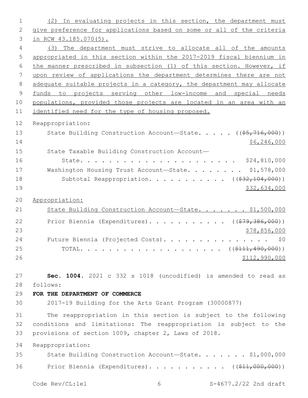| 1              | (2) In evaluating projects in this section, the department must       |
|----------------|-----------------------------------------------------------------------|
| $\mathbf{2}$   | give preference for applications based on some or all of the criteria |
| 3              | in RCW 43.185.070(5).                                                 |
| 4              | (3) The department must strive to allocate all of the amounts         |
| 5              | appropriated in this section within the 2017-2019 fiscal biennium in  |
| 6              | the manner prescribed in subsection (1) of this section. However, if  |
| 7              | upon review of applications the department determines there are not   |
| 8              | adequate suitable projects in a category, the department may allocate |
| $\overline{9}$ | funds to projects serving other low-income and special needs          |
| 10             | populations, provided those projects are located in an area with an   |
| 11             | identified need for the type of housing proposed.                     |
| 12             | Reappropriation:                                                      |
| 13             | State Building Construction Account-State. ((\$5,716,000))            |
| 14             | \$6, 246, 000                                                         |
| 15             | State Taxable Building Construction Account-                          |
| 16             |                                                                       |
| 17             | Washington Housing Trust Account-State. \$1,578,000                   |
| 18             | Subtotal Reappropriation. ( $(\frac{232,104,000}{2})$ )               |
| 19             | \$32,634,000                                                          |
| 20             | Appropriation:                                                        |
| 21             | State Building Construction Account-State. \$1,500,000                |
| 22             | Prior Biennia (Expenditures). ( $(\frac{279}{36000})$ )               |
| 23             | \$78,856,000                                                          |
| 24             | Future Biennia (Projected Costs).<br>\$0                              |
| 25             |                                                                       |
| 26             | \$112,990,000                                                         |
|                |                                                                       |
| 27             | Sec. 1004. 2021 c 332 s 1018 (uncodified) is amended to read as       |
| 28             | follows:                                                              |
| 29             | FOR THE DEPARTMENT OF COMMERCE                                        |
| 30             | 2017-19 Building for the Arts Grant Program (30000877)                |
| 31             | The reappropriation in this section is subject to the following       |
| 32             | conditions and limitations: The reappropriation is subject to the     |
| 33             | provisions of section 1009, chapter 2, Laws of 2018.                  |
| 34             | Reappropriation:                                                      |
| 35             | State Building Construction Account-State. \$1,000,000                |
|                |                                                                       |
| 36             | Prior Biennia (Expenditures). ( $(\frac{11}{611}, 000, 000)$ )        |
|                | Code Rev/CL:lel<br>S-4677.2/22 2nd draft<br>6                         |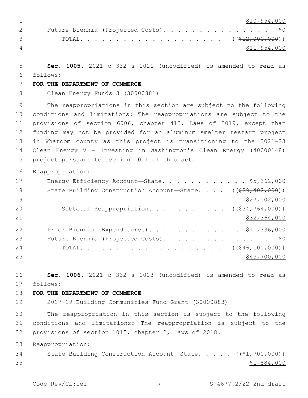\$10,954,000 2 Future Biennia (Projected Costs). . . . . . . . . . . . . . \$0 3 TOTAL. . . . . . . . . . . . . . . . . . (  $(\frac{212,000,000)}{12,000,000})$  \$11,954,000 **Sec. 1005.** 2021 c 332 s 1021 (uncodified) is amended to read as follows: 6 **FOR THE DEPARTMENT OF COMMERCE** Clean Energy Funds 3 (30000881) The reappropriations in this section are subject to the following conditions and limitations: The reappropriations are subject to the provisions of section 6006, chapter 413, Laws of 2019, except that 12 funding may not be provided for an aluminum smelter restart project in Whatcom county as this project is transitioning to the 2021-23 Clean Energy V - Investing in Washington's Clean Energy (40000148) 15 project pursuant to section 1011 of this act. Reappropriation: 17 Energy Efficiency Account—State. . . . . . . . . . . \$5,362,000 18 State Building Construction Account—State. . . . ((\$29,402,000)) \$27,002,000 20 Subtotal Reappropriation. . . . . . . . . . ((\$34,764,000)) \$32,364,000 Prior Biennia (Expenditures). . . . . . . . . . . . . \$11,336,000 23 Future Biennia (Projected Costs). . . . . . . . . . . . . . \$0 24 TOTAL. . . . . . . . . . . . . . . . . . (  $(\frac{646,100,000)}{100,000})$  \$43,700,000 **Sec. 1006.** 2021 c 332 s 1023 (uncodified) is amended to read as follows: 27 **FOR THE DEPARTMENT OF COMMERCE** 2017-19 Building Communities Fund Grant (30000883) The reappropriation in this section is subject to the following conditions and limitations: The reappropriation is subject to the provisions of section 1015, chapter 2, Laws of 2018. Reappropriation: 34 State Building Construction Account—State. . . . . ((\$1,700,000)) \$1,884,000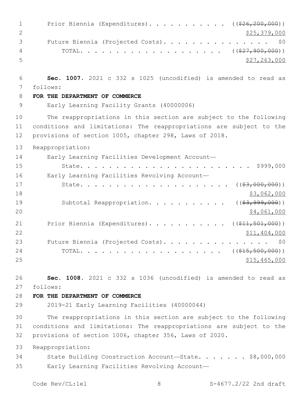| $\mathbf 1$    | Prior Biennia (Expenditures). ((\$26,200,000))                                                                                                                                                     |
|----------------|----------------------------------------------------------------------------------------------------------------------------------------------------------------------------------------------------|
| $\mathbf{2}$   | \$25,379,000                                                                                                                                                                                       |
| 3              | Future Biennia (Projected Costs).<br>\$0                                                                                                                                                           |
| 4              |                                                                                                                                                                                                    |
| 5              | \$27, 263, 000                                                                                                                                                                                     |
| 6              | Sec. 1007. 2021 c 332 s 1025 (uncodified) is amended to read as                                                                                                                                    |
| 7              | follows:                                                                                                                                                                                           |
| 8              | FOR THE DEPARTMENT OF COMMERCE                                                                                                                                                                     |
| 9              | Early Learning Facility Grants (40000006)                                                                                                                                                          |
| 10<br>11<br>12 | The reappropriations in this section are subject to the following<br>conditions and limitations: The reappropriations are subject to the<br>provisions of section 1005, chapter 298, Laws of 2018. |
| 13             | Reappropriation:                                                                                                                                                                                   |
| 14             | Early Learning Facilities Development Account-                                                                                                                                                     |
| 15             | \$999,000                                                                                                                                                                                          |
| 16             | Early Learning Facilities Revolving Account-                                                                                                                                                       |
| 17<br>18       | $($ $($ $\frac{63,000,000}{2})$ $)$<br>State.<br>\$3,062,000                                                                                                                                       |
| 19<br>20       | Subtotal Reappropriation.<br>$($ (\$3,999,000))<br>\$4,061,000                                                                                                                                     |
| 21<br>22       | Prior Biennia (Expenditures). ( $(\frac{11}{21}, \frac{501}{100})$ )<br>\$11,404,000                                                                                                               |
| 23             | Future Biennia (Projected Costs).<br>\$0                                                                                                                                                           |
| 24<br>25       | ( ( \$15, 500, 000) )<br>$\texttt{TOTAL.}\ \ldots\ \ldots\ \ldots\ \ldots\ .$<br>$\mathbf{r}$ , $\mathbf{r}$ , $\mathbf{r}$ , $\mathbf{r}$ , $\mathbf{r}$ , $\mathbf{r}$<br>\$15,465,000           |
| 26             | Sec. 1008. 2021 c 332 s 1036 (uncodified) is amended to read as                                                                                                                                    |
| 27             | follows:                                                                                                                                                                                           |
| 28             | FOR THE DEPARTMENT OF COMMERCE                                                                                                                                                                     |
| 29             | 2019-21 Early Learning Facilities (40000044)                                                                                                                                                       |
| 30<br>31<br>32 | The reappropriations in this section are subject to the following<br>conditions and limitations: The reappropriations are subject to the<br>provisions of section 1006, chapter 356, Laws of 2020. |
| 33             | Reappropriation:                                                                                                                                                                                   |
| 34<br>35       | State Building Construction Account-State. \$8,000,000<br>Early Learning Facilities Revolving Account-                                                                                             |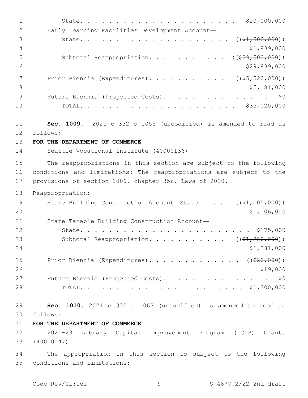| $\mathbf 1$    | \$20,000,000                                                        |
|----------------|---------------------------------------------------------------------|
| $\mathbf{2}$   | Early Learning Facilities Development Account-                      |
| 3              | $((\$1,500,000))$<br>State.                                         |
| $\overline{4}$ | \$1,839,000                                                         |
| 5              | $((\$29,500,000))$<br>Subtotal Reappropriation.                     |
| 6              | \$29,839,000                                                        |
| 7              | Prior Biennia (Expenditures).<br>( ( \$5, 520, 000) )               |
| $8\,$          | \$5,181,000                                                         |
| 9              | Future Biennia (Projected Costs).<br>\$0                            |
| 10             |                                                                     |
|                |                                                                     |
| 11             | Sec. 1009. 2021 c 332 s 1055 (uncodified) is amended to read as     |
| 12             | follows:                                                            |
| 13             | FOR THE DEPARTMENT OF COMMERCE                                      |
| 14             | Seattle Vocational Institute (40000136)                             |
| 15             | The reappropriations in this section are subject to the following   |
| 16             | conditions and limitations: The reappropriations are subject to the |
| 17             | provisions of section 1009, chapter 356, Laws of 2020.              |
|                |                                                                     |
| 18             | Reappropriation:                                                    |
| 19             | State Building Construction Account-State. $($ $(*1, 105, 000))$    |
| 20             | \$1,106,000                                                         |
| 21             | State Taxable Building Construction Account-                        |
| 22             | \$175,000<br>State.                                                 |
| 23             | ( ( \$1, 280, 000) )<br>Subtotal Reappropriation.                   |
| 24             | \$1,281,000                                                         |
| 25             | Prior Biennia (Expenditures). ( $(\frac{20}{100})$ )                |
| 26             | \$19,000                                                            |
| 27             | Future Biennia (Projected Costs). \$0                               |
| 28             |                                                                     |
|                |                                                                     |
| 29             | Sec. 1010. 2021 c 332 s 1063 (uncodified) is amended to read as     |
| 30             | follows:                                                            |
| 31             | FOR THE DEPARTMENT OF COMMERCE                                      |
| 32             | 2021-23 Library Capital Improvement Program (LCIP) Grants           |
| 33             | (40000147)                                                          |
| 34             | The appropriation in this section is subject to the following       |
| 35             | conditions and limitations:                                         |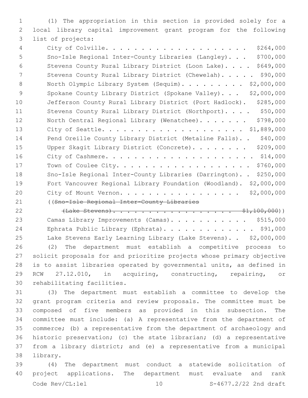(1) The appropriation in this section is provided solely for a local library capital improvement grant program for the following 3 list of projects:

 City of Colville. . . . . . . . . . . . . . . . . . . . \$264,000 Sno-Isle Regional Inter-County Libraries (Langley). . . \$700,000 Stevens County Rural Library District (Loon Lake). . . . \$649,000 7 Stevens County Rural Library District (Chewelah). . . . . \$90,000 8 North Olympic Library System (Sequim). . . . . . . . \$2,000,000 9 Spokane County Library District (Spokane Valley)... \$2,000,000 Jefferson County Rural Library District (Port Hadlock). \$285,000 11 Stevens County Rural Library District (Northport). . . . \$50,000 12 North Central Regional Library (Wenatchee)....... \$798,000 City of Seattle. . . . . . . . . . . . . . . . . . . . \$1,889,000 14 Pend Oreille County Library District (Metaline Falls).. \$40,000 15 Upper Skagit Library District (Concrete). . . . . . . \$209,000 City of Cashmere. . . . . . . . . . . . . . . . . . . . . \$14,000 Town of Coulee City. . . . . . . . . . . . . . . . . . . \$760,000 Sno-Isle Regional Inter-County Libraries (Darrington). . \$250,000 Fort Vancouver Regional Library Foundation (Woodland). \$2,000,000 City of Mount Vernon. . . . . . . . . . . . . . . . . \$2,000,000 ((Sno-Isle Regional Inter-County Libraries

22 (Lake Stevens). . . . . . . . . . . . . . . . . \$1,100,000) 23 Camas Library Improvements (Camas). . . . . . . . . . \$515,000 24 Ephrata Public Library (Ephrata). . . . . . . . . . . . \$91,000 Lake Stevens Early Learning Library (Lake Stevens). . \$2,000,000 (2) The department must establish a competitive process to solicit proposals for and prioritize projects whose primary objective is to assist libraries operated by governmental units, as defined in RCW 27.12.010, in acquiring, constructing, repairing, or 30 rehabilitating facilities.

 (3) The department must establish a committee to develop the grant program criteria and review proposals. The committee must be composed of five members as provided in this subsection. The committee must include: (a) A representative from the department of commerce; (b) a representative from the department of archaeology and historic preservation; (c) the state librarian; (d) a representative from a library district; and (e) a representative from a municipal 38 library.

 (4) The department must conduct a statewide solicitation of project applications. The department must evaluate and rank Code Rev/CL:lel 10 S-4677.2/22 2nd draft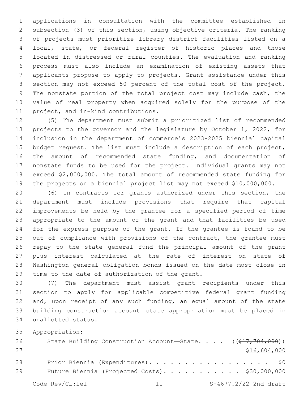applications in consultation with the committee established in subsection (3) of this section, using objective criteria. The ranking of projects must prioritize library district facilities listed on a local, state, or federal register of historic places and those located in distressed or rural counties. The evaluation and ranking process must also include an examination of existing assets that applicants propose to apply to projects. Grant assistance under this section may not exceed 50 percent of the total cost of the project. The nonstate portion of the total project cost may include cash, the value of real property when acquired solely for the purpose of the 11 project, and in-kind contributions.

 (5) The department must submit a prioritized list of recommended projects to the governor and the legislature by October 1, 2022, for inclusion in the department of commerce's 2023-2025 biennial capital budget request. The list must include a description of each project, the amount of recommended state funding, and documentation of nonstate funds to be used for the project. Individual grants may not exceed \$2,000,000. The total amount of recommended state funding for the projects on a biennial project list may not exceed \$10,000,000.

 (6) In contracts for grants authorized under this section, the department must include provisions that require that capital improvements be held by the grantee for a specified period of time appropriate to the amount of the grant and that facilities be used for the express purpose of the grant. If the grantee is found to be 25 out of compliance with provisions of the contract, the grantee must repay to the state general fund the principal amount of the grant plus interest calculated at the rate of interest on state of Washington general obligation bonds issued on the date most close in 29 time to the date of authorization of the grant.

 (7) The department must assist grant recipients under this section to apply for applicable competitive federal grant funding and, upon receipt of any such funding, an equal amount of the state building construction account—state appropriation must be placed in unallotted status.34

Appropriation:

| 36 | State Building Construction Account-State. $($ $($ $\frac{217}{77}$ $704$ , $000)$ ) |
|----|--------------------------------------------------------------------------------------|
| 37 | \$16,604,000                                                                         |
| 38 | Prior Biennia (Expenditures). \$0                                                    |
| 39 | Future Biennia (Projected Costs). \$30,000,000                                       |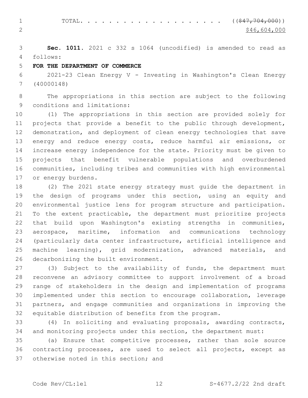1 TOTAL. . . . . . . . . . . . . . . . . . (  $(\frac{247, 704, 000}{5})$ 2  $\frac{$46,604,000}{ }$ 

 **Sec. 1011.** 2021 c 332 s 1064 (uncodified) is amended to read as follows: 4

## **FOR THE DEPARTMENT OF COMMERCE**

 2021-23 Clean Energy V - Investing in Washington's Clean Energy (40000148)

 The appropriations in this section are subject to the following 9 conditions and limitations:

 (1) The appropriations in this section are provided solely for projects that provide a benefit to the public through development, demonstration, and deployment of clean energy technologies that save energy and reduce energy costs, reduce harmful air emissions, or increase energy independence for the state. Priority must be given to projects that benefit vulnerable populations and overburdened communities, including tribes and communities with high environmental 17 or energy burdens.

 (2) The 2021 state energy strategy must guide the department in the design of programs under this section, using an equity and environmental justice lens for program structure and participation. To the extent practicable, the department must prioritize projects that build upon Washington's existing strengths in communities, aerospace, maritime, information and communications technology (particularly data center infrastructure, artificial intelligence and machine learning), grid modernization, advanced materials, and 26 decarbonizing the built environment.

 (3) Subject to the availability of funds, the department must reconvene an advisory committee to support involvement of a broad range of stakeholders in the design and implementation of programs implemented under this section to encourage collaboration, leverage partners, and engage communities and organizations in improving the equitable distribution of benefits from the program.

 (4) In soliciting and evaluating proposals, awarding contracts, and monitoring projects under this section, the department must:

 (a) Ensure that competitive processes, rather than sole source contracting processes, are used to select all projects, except as 37 otherwise noted in this section; and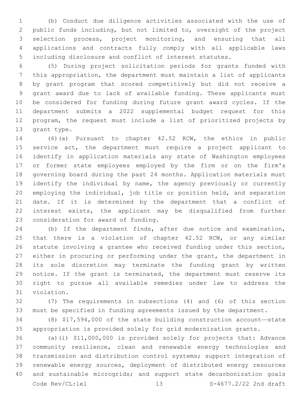(b) Conduct due diligence activities associated with the use of public funds including, but not limited to, oversight of the project selection process, project monitoring, and ensuring that all applications and contracts fully comply with all applicable laws including disclosure and conflict of interest statutes.

 (5) During project solicitation periods for grants funded with this appropriation, the department must maintain a list of applicants by grant program that scored competitively but did not receive a grant award due to lack of available funding. These applicants must be considered for funding during future grant award cycles. If the department submits a 2022 supplemental budget request for this program, the request must include a list of prioritized projects by 13 grant type.

 (6)(a) Pursuant to chapter 42.52 RCW, the ethics in public service act, the department must require a project applicant to identify in application materials any state of Washington employees or former state employees employed by the firm or on the firm's governing board during the past 24 months. Application materials must identify the individual by name, the agency previously or currently employing the individual, job title or position held, and separation date. If it is determined by the department that a conflict of interest exists, the applicant may be disqualified from further 23 consideration for award of funding.

 (b) If the department finds, after due notice and examination, 25 that there is a violation of chapter 42.52 RCW, or any similar statute involving a grantee who received funding under this section, either in procuring or performing under the grant, the department in its sole discretion may terminate the funding grant by written notice. If the grant is terminated, the department must reserve its right to pursue all available remedies under law to address the 31 violation.

 (7) The requirements in subsections (4) and (6) of this section must be specified in funding agreements issued by the department.

 (8) \$17,594,000 of the state building construction account—state appropriation is provided solely for grid modernization grants.

 (a)(i) \$11,000,000 is provided solely for projects that: Advance community resilience, clean and renewable energy technologies and transmission and distribution control systems; support integration of renewable energy sources, deployment of distributed energy resources and sustainable microgrids; and support state decarbonization goals Code Rev/CL:lel 13 S-4677.2/22 2nd draft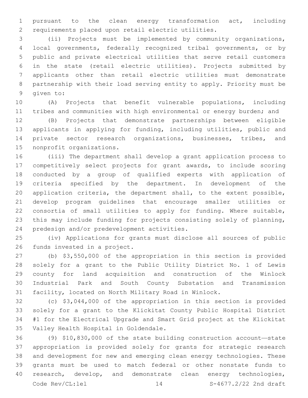pursuant to the clean energy transformation act, including requirements placed upon retail electric utilities.

 (ii) Projects must be implemented by community organizations, local governments, federally recognized tribal governments, or by public and private electrical utilities that serve retail customers in the state (retail electric utilities). Projects submitted by applicants other than retail electric utilities must demonstrate partnership with their load serving entity to apply. Priority must be 9 qiven to:

 (A) Projects that benefit vulnerable populations, including tribes and communities with high environmental or energy burden; and

 (B) Projects that demonstrate partnerships between eligible applicants in applying for funding, including utilities, public and private sector research organizations, businesses, tribes, and 15 nonprofit organizations.

 (iii) The department shall develop a grant application process to competitively select projects for grant awards, to include scoring conducted by a group of qualified experts with application of criteria specified by the department. In development of the application criteria, the department shall, to the extent possible, develop program guidelines that encourage smaller utilities or consortia of small utilities to apply for funding. Where suitable, this may include funding for projects consisting solely of planning, 24 predesign and/or predevelopment activities.

 (iv) Applications for grants must disclose all sources of public 26 funds invested in a project.

 (b) \$3,550,000 of the appropriation in this section is provided solely for a grant to the Public Utility District No. 1 of Lewis county for land acquisition and construction of the Winlock Industrial Park and South County Substation and Transmission facility, located on North Military Road in Winlock.

 (c) \$3,044,000 of the appropriation in this section is provided solely for a grant to the Klickitat County Public Hospital District #1 for the Electrical Upgrade and Smart Grid project at the Klickitat 35 Valley Health Hospital in Goldendale.

 (9) \$10,830,000 of the state building construction account—state appropriation is provided solely for grants for strategic research and development for new and emerging clean energy technologies. These grants must be used to match federal or other nonstate funds to 40 research, develop, and demonstrate clean energy technologies, Code Rev/CL:lel 14 S-4677.2/22 2nd draft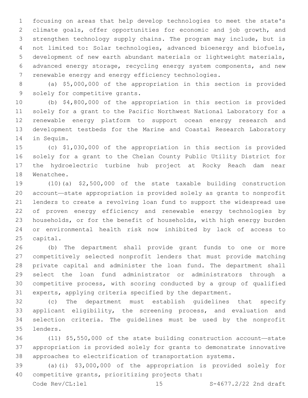focusing on areas that help develop technologies to meet the state's climate goals, offer opportunities for economic and job growth, and strengthen technology supply chains. The program may include, but is not limited to: Solar technologies, advanced bioenergy and biofuels, development of new earth abundant materials or lightweight materials, advanced energy storage, recycling energy system components, and new renewable energy and energy efficiency technologies.

 (a) \$5,000,000 of the appropriation in this section is provided 9 solely for competitive grants.

 (b) \$4,800,000 of the appropriation in this section is provided solely for a grant to the Pacific Northwest National Laboratory for a renewable energy platform to support ocean energy research and development testbeds for the Marine and Coastal Research Laboratory 14 in Sequim.

 (c) \$1,030,000 of the appropriation in this section is provided solely for a grant to the Chelan County Public Utility District for the hydroelectric turbine hub project at Rocky Reach dam near 18 Wenatchee.

 (10)(a) \$2,500,000 of the state taxable building construction account—state appropriation is provided solely as grants to nonprofit lenders to create a revolving loan fund to support the widespread use of proven energy efficiency and renewable energy technologies by households, or for the benefit of households, with high energy burden or environmental health risk now inhibited by lack of access to 25 capital.

 (b) The department shall provide grant funds to one or more competitively selected nonprofit lenders that must provide matching private capital and administer the loan fund. The department shall select the loan fund administrator or administrators through a competitive process, with scoring conducted by a group of qualified experts, applying criteria specified by the department.

 (c) The department must establish guidelines that specify applicant eligibility, the screening process, and evaluation and selection criteria. The guidelines must be used by the nonprofit lenders.35

 (11) \$5,550,000 of the state building construction account—state appropriation is provided solely for grants to demonstrate innovative approaches to electrification of transportation systems.

 (a)(i) \$3,000,000 of the appropriation is provided solely for 40 competitive grants, prioritizing projects that:

Code Rev/CL:lel 15 S-4677.2/22 2nd draft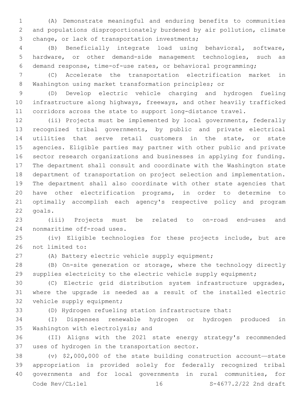(A) Demonstrate meaningful and enduring benefits to communities and populations disproportionately burdened by air pollution, climate 3 change, or lack of transportation investments;

 (B) Beneficially integrate load using behavioral, software, hardware, or other demand-side management technologies, such as demand response, time-of-use rates, or behavioral programming;

 (C) Accelerate the transportation electrification market in Washington using market transformation principles; or

 (D) Develop electric vehicle charging and hydrogen fueling infrastructure along highways, freeways, and other heavily trafficked corridors across the state to support long-distance travel.

 (ii) Projects must be implemented by local governments, federally recognized tribal governments, by public and private electrical utilities that serve retail customers in the state, or state agencies. Eligible parties may partner with other public and private sector research organizations and businesses in applying for funding. The department shall consult and coordinate with the Washington state department of transportation on project selection and implementation. The department shall also coordinate with other state agencies that have other electrification programs, in order to determine to optimally accomplish each agency's respective policy and program 22 goals.

 (iii) Projects must be related to on-road end-uses and 24 nonmaritime off-road uses.

 (iv) Eligible technologies for these projects include, but are 26 not limited to:

(A) Battery electric vehicle supply equipment;

 (B) On-site generation or storage, where the technology directly supplies electricity to the electric vehicle supply equipment;

 (C) Electric grid distribution system infrastructure upgrades, where the upgrade is needed as a result of the installed electric 32 vehicle supply equipment;

(D) Hydrogen refueling station infrastructure that:

 (I) Dispenses renewable hydrogen or hydrogen produced in 35 Washington with electrolysis; and

 (II) Aligns with the 2021 state energy strategy's recommended 37 uses of hydrogen in the transportation sector.

 (v) \$2,000,000 of the state building construction account—state appropriation is provided solely for federally recognized tribal governments and for local governments in rural communities, for Code Rev/CL:lel 16 16 S-4677.2/22 2nd draft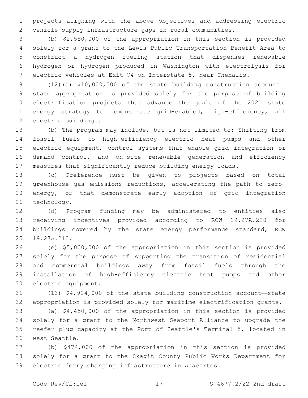projects aligning with the above objectives and addressing electric vehicle supply infrastructure gaps in rural communities.

 (b) \$2,550,000 of the appropriation in this section is provided solely for a grant to the Lewis Public Transportation Benefit Area to construct a hydrogen fueling station that dispenses renewable hydrogen or hydrogen produced in Washington with electrolysis for electric vehicles at Exit 74 on Interstate 5, near Chehalis.

 (12)(a) \$10,000,000 of the state building construction account— state appropriation is provided solely for the purpose of building electrification projects that advance the goals of the 2021 state 11 energy strategy to demonstrate grid-enabled, high-efficiency, all 12 electric buildings.

 (b) The program may include, but is not limited to: Shifting from fossil fuels to high-efficiency electric heat pumps and other electric equipment, control systems that enable grid integration or demand control, and on-site renewable generation and efficiency measures that significantly reduce building energy loads.

 (c) Preference must be given to projects based on total greenhouse gas emissions reductions, accelerating the path to zero- energy, or that demonstrate early adoption of grid integration 21 technology.

 (d) Program funding may be administered to entities also receiving incentives provided according to RCW 19.27A.220 for buildings covered by the state energy performance standard, RCW 25 19.27A.210.

 (e) \$5,000,000 of the appropriation in this section is provided solely for the purpose of supporting the transition of residential and commercial buildings away from fossil fuels through the installation of high-efficiency electric heat pumps and other 30 electric equipment.

 (13) \$4,924,000 of the state building construction account—state appropriation is provided solely for maritime electrification grants.

 (a) \$4,450,000 of the appropriation in this section is provided solely for a grant to the Northwest Seaport Alliance to upgrade the reefer plug capacity at the Port of Seattle's Terminal 5, located in 36 west Seattle.

 (b) \$474,000 of the appropriation in this section is provided solely for a grant to the Skagit County Public Works Department for electric ferry charging infrastructure in Anacortes.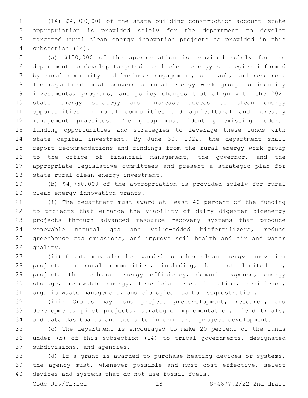(14) \$4,900,000 of the state building construction account—state appropriation is provided solely for the department to develop targeted rural clean energy innovation projects as provided in this 4 subsection  $(14)$ .

 (a) \$150,000 of the appropriation is provided solely for the department to develop targeted rural clean energy strategies informed by rural community and business engagement, outreach, and research. The department must convene a rural energy work group to identify investments, programs, and policy changes that align with the 2021 state energy strategy and increase access to clean energy opportunities in rural communities and agricultural and forestry management practices. The group must identify existing federal funding opportunities and strategies to leverage these funds with state capital investment. By June 30, 2022, the department shall report recommendations and findings from the rural energy work group 16 to the office of financial management, the governor, and the appropriate legislative committees and present a strategic plan for 18 state rural clean energy investment.

 (b) \$4,750,000 of the appropriation is provided solely for rural 20 clean energy innovation grants.

 (i) The department must award at least 40 percent of the funding to projects that enhance the viability of dairy digester bioenergy projects through advanced resource recovery systems that produce renewable natural gas and value-added biofertilizers, reduce greenhouse gas emissions, and improve soil health and air and water 26 quality.

 (ii) Grants may also be awarded to other clean energy innovation projects in rural communities, including, but not limited to, 29 projects that enhance energy efficiency, demand response, energy storage, renewable energy, beneficial electrification, resilience, organic waste management, and biological carbon sequestration.

 (iii) Grants may fund project predevelopment, research, and development, pilot projects, strategic implementation, field trials, and data dashboards and tools to inform rural project development.

 (c) The department is encouraged to make 20 percent of the funds under (b) of this subsection (14) to tribal governments, designated 37 subdivisions, and agencies.

 (d) If a grant is awarded to purchase heating devices or systems, the agency must, whenever possible and most cost effective, select 40 devices and systems that do not use fossil fuels.

Code Rev/CL:lel 18 18 S-4677.2/22 2nd draft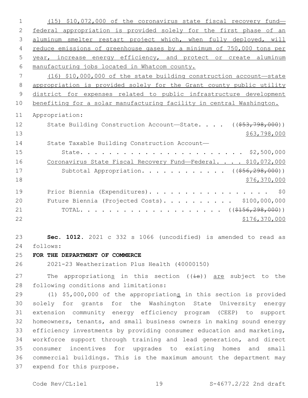(15) \$10,072,000 of the coronavirus state fiscal recovery fund— federal appropriation is provided solely for the first phase of an 3 aluminum smelter restart project which, when fully deployed, will reduce emissions of greenhouse gases by a minimum of 750,000 tons per year, increase energy efficiency, and protect or create aluminum manufacturing jobs located in Whatcom county. (16) \$10,000,000 of the state building construction account—state appropriation is provided solely for the Grant county public utility district for expenses related to public infrastructure development benefiting for a solar manufacturing facility in central Washington. Appropriation: 12 State Building Construction Account—State. . . . ((\$53,798,000)) \$63,798,000 State Taxable Building Construction Account— State. . . . . . . . . . . . . . . . . . . . . . . \$2,500,000 16 Coronavirus State Fiscal Recovery Fund—Federal. . . . \$10,072,000 17 Subtotal Appropriation. . . . . . . . . . . ((\$56,298,000)) 18 \$76,370,000 19 Prior Biennia (Expenditures). . . . . . . . . . . . . . . . \$0 Future Biennia (Projected Costs). . . . . . . . . . \$100,000,000 21 TOTAL. . . . . . . . . . . . . . . . . . ( $(\frac{\text{156}}{156}, \frac{298}{100})$ ) \$176,370,000 **Sec. 1012.** 2021 c 332 s 1066 (uncodified) is amended to read as follows: 24 **FOR THE DEPARTMENT OF COMMERCE** 2021-23 Weatherization Plus Health (40000150) 27 The appropriations in this section ((is)) are subject to the 28 following conditions and limitations: 29 (1) \$5,000,000 of the appropriations in this section is provided solely for grants for the Washington State University energy

 extension community energy efficiency program (CEEP) to support homeowners, tenants, and small business owners in making sound energy efficiency investments by providing consumer education and marketing, workforce support through training and lead generation, and direct consumer incentives for upgrades to existing homes and small commercial buildings. This is the maximum amount the department may 37 expend for this purpose.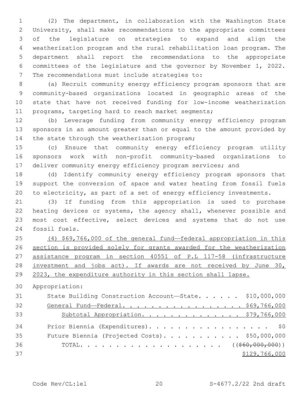(2) The department, in collaboration with the Washington State University, shall make recommendations to the appropriate committees of the legislature on strategies to expand and align the weatherization program and the rural rehabilitation loan program. The department shall report the recommendations to the appropriate committees of the legislature and the governor by November 1, 2022. 7 The recommendations must include strategies to:

 (a) Recruit community energy efficiency program sponsors that are community-based organizations located in geographic areas of the state that have not received funding for low-income weatherization programs, targeting hard to reach market segments;

 (b) Leverage funding from community energy efficiency program sponsors in an amount greater than or equal to the amount provided by 14 the state through the weatherization program;

 (c) Ensure that community energy efficiency program utility sponsors work with non-profit community-based organizations to 17 deliver community energy efficiency program services; and

 (d) Identify community energy efficiency program sponsors that support the conversion of space and water heating from fossil fuels to electricity, as part of a set of energy efficiency investments.

 (3) If funding from this appropriation is used to purchase heating devices or systems, the agency shall, whenever possible and most cost effective, select devices and systems that do not use 24 fossil fuels.

 (4) \$69,766,000 of the general fund—federal appropriation in this section is provided solely for grants awarded for the weatherization assistance program in section 40551 of P.L 117-58 (infrastructure investment and jobs act). If awards are not received by June 30, 2023, the expenditure authority in this section shall lapse.

Appropriation:

| 31 | State Building Construction Account-State. \$10,000,000 |
|----|---------------------------------------------------------|
| 32 | General Fund-Federal. \$69,766,000                      |
| 33 | Subtotal Appropriation. \$79,766,000                    |
| 34 | Prior Biennia (Expenditures). \$0                       |
| 35 | Future Biennia (Projected Costs). \$50,000,000          |
| 36 |                                                         |
| 37 | \$129,766,000                                           |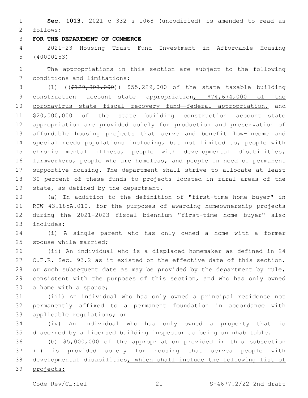**Sec. 1013.** 2021 c 332 s 1068 (uncodified) is amended to read as follows: 2

#### **FOR THE DEPARTMENT OF COMMERCE**

 2021-23 Housing Trust Fund Investment in Affordable Housing (40000153)

 The appropriations in this section are subject to the following 7 conditions and limitations:

8 (1) ((\$129,903,000)) \$55,229,000 of the state taxable building 9 construction account—state appropriation, \$74,674,000 of the 10 coronavirus state fiscal recovery fund—federal appropriation, and \$20,000,000 of the state building construction account—state appropriation are provided solely for production and preservation of affordable housing projects that serve and benefit low-income and special needs populations including, but not limited to, people with chronic mental illness, people with developmental disabilities, farmworkers, people who are homeless, and people in need of permanent supportive housing. The department shall strive to allocate at least 30 percent of these funds to projects located in rural areas of the 19 state, as defined by the department.

 (a) In addition to the definition of "first-time home buyer" in RCW 43.185A.010, for the purposes of awarding homeownership projects during the 2021-2023 fiscal biennium "first-time home buyer" also 23 includes:

 (i) A single parent who has only owned a home with a former 25 spouse while married;

 (ii) An individual who is a displaced homemaker as defined in 24 C.F.R. Sec. 93.2 as it existed on the effective date of this section, or such subsequent date as may be provided by the department by rule, consistent with the purposes of this section, and who has only owned 30 a home with a spouse;

 (iii) An individual who has only owned a principal residence not permanently affixed to a permanent foundation in accordance with 33 applicable regulations; or

 (iv) An individual who has only owned a property that is discerned by a licensed building inspector as being uninhabitable.

 (b) \$5,000,000 of the appropriation provided in this subsection (1) is provided solely for housing that serves people with developmental disabilities, which shall include the following list of projects: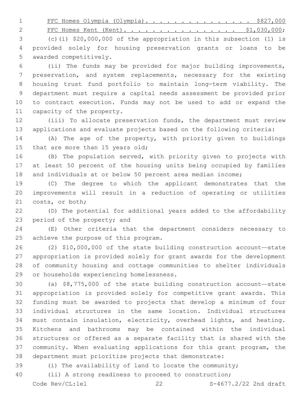1 FFC Homes Olympia (Olympia). . . . . . . . . . . . . . \$827,000

2 FFC Homes Kent (Kent). . . . . . . . . . . . . . . \$1,030,000;

 (c)(i) \$20,000,000 of the appropriation in this subsection (1) is provided solely for housing preservation grants or loans to be 5 awarded competitively.

 (ii) The funds may be provided for major building improvements, preservation, and system replacements, necessary for the existing housing trust fund portfolio to maintain long-term viability. The department must require a capital needs assessment be provided prior to contract execution. Funds may not be used to add or expand the 11 capacity of the property.

 (iii) To allocate preservation funds, the department must review applications and evaluate projects based on the following criteria:

 (A) The age of the property, with priority given to buildings 15 that are more than 15 years old;

 (B) The population served, with priority given to projects with at least 50 percent of the housing units being occupied by families and individuals at or below 50 percent area median income;

 (C) The degree to which the applicant demonstrates that the improvements will result in a reduction of operating or utilities 21 costs, or both;

 (D) The potential for additional years added to the affordability 23 period of the property; and

 (E) Other criteria that the department considers necessary to 25 achieve the purpose of this program.

 (2) \$10,000,000 of the state building construction account—state appropriation is provided solely for grant awards for the development of community housing and cottage communities to shelter individuals 29 or households experiencing homelessness.

 (a) \$8,775,000 of the state building construction account—state appropriation is provided solely for competitive grant awards. This funding must be awarded to projects that develop a minimum of four individual structures in the same location. Individual structures must contain insulation, electricity, overhead lights, and heating. Kitchens and bathrooms may be contained within the individual structures or offered as a separate facility that is shared with the community. When evaluating applications for this grant program, the department must prioritize projects that demonstrate:

(i) The availability of land to locate the community;

(ii) A strong readiness to proceed to construction;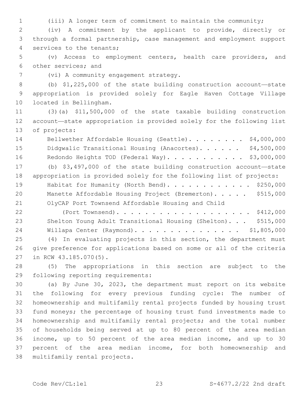(iii) A longer term of commitment to maintain the community;

 (iv) A commitment by the applicant to provide, directly or through a formal partnership, case management and employment support 4 services to the tenants;

 (v) Access to employment centers, health care providers, and 6 other services; and

7 (vi) A community engagement strategy.

 (b) \$1,225,000 of the state building construction account—state appropriation is provided solely for Eagle Haven Cottage Village 10 located in Bellingham.

 (3)(a) \$11,500,000 of the state taxable building construction account—state appropriation is provided solely for the following list 13 of projects:

14 Bellwether Affordable Housing (Seattle). . . . . . . \$4,000,000 15 Didgwalic Transitional Housing (Anacortes). . . . . . \$4,500,000 16 Redondo Heights TOD (Federal Way). . . . . . . . . . \$3,000,000

 (b) \$3,497,000 of the state building construction account—state appropriation is provided solely for the following list of projects: 19 Habitat for Humanity (North Bend). . . . . . . . . . . \$250,000 20 Manette Affordable Housing Project (Bremerton). . . . . \$515,000 OlyCAP Port Townsend Affordable Housing and Child

 (Port Townsend). . . . . . . . . . . . . . . . . . . \$412,000 Shelton Young Adult Transitional Housing (Shelton). . . \$515,000 Willapa Center (Raymond). . . . . . . . . . . . . . . \$1,805,000 (4) In evaluating projects in this section, the department must give preference for applications based on some or all of the criteria 27 in RCW 43.185.070(5).

 (5) The appropriations in this section are subject to the 29 following reporting requirements:

 (a) By June 30, 2023, the department must report on its website the following for every previous funding cycle: The number of homeownership and multifamily rental projects funded by housing trust fund moneys; the percentage of housing trust fund investments made to homeownership and multifamily rental projects; and the total number of households being served at up to 80 percent of the area median income, up to 50 percent of the area median income, and up to 30 percent of the area median income, for both homeownership and 38 multifamily rental projects.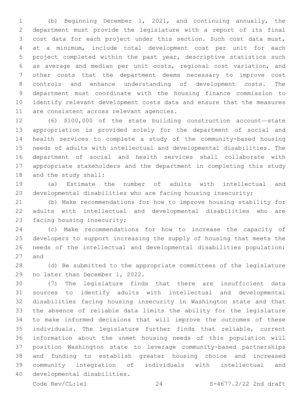(b) Beginning December 1, 2021, and continuing annually, the department must provide the legislature with a report of its final cost data for each project under this section. Such cost data must, at a minimum, include total development cost per unit for each project completed within the past year, descriptive statistics such as average and median per unit costs, regional cost variation, and other costs that the department deems necessary to improve cost controls and enhance understanding of development costs. The department must coordinate with the housing finance commission to identify relevant development costs data and ensure that the measures 11 are consistent across relevant agencies.

 (6) \$100,000 of the state building construction account—state appropriation is provided solely for the department of social and health services to complete a study of the community-based housing needs of adults with intellectual and developmental disabilities. The department of social and health services shall collaborate with appropriate stakeholders and the department in completing this study 18 and the study shall:

 (a) Estimate the number of adults with intellectual and developmental disabilities who are facing housing insecurity;

 (b) Make recommendations for how to improve housing stability for adults with intellectual and developmental disabilities who are 23 facing housing insecurity;

 (c) Make recommendations for how to increase the capacity of developers to support increasing the supply of housing that meets the needs of the intellectual and developmental disabilities population; 27 and

 (d) Be submitted to the appropriate committees of the legislature 29 no later than December 1, 2022.

 (7) The legislature finds that there are insufficient data sources to identify adults with intellectual and developmental disabilities facing housing insecurity in Washington state and that the absence of reliable data limits the ability for the legislature to make informed decisions that will improve the outcomes of these individuals. The legislature further finds that reliable, current information about the unmet housing needs of this population will position Washington state to leverage community-based partnerships and funding to establish greater housing choice and increased community integration of individuals with intellectual and 40 developmental disabilities.

Code Rev/CL:lel 24 S-4677.2/22 2nd draft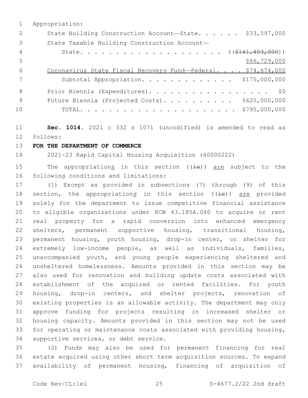|     | Appropriation:                                               |
|-----|--------------------------------------------------------------|
| 2   | State Building Construction Account-State. \$33,597,000      |
| 3   | State Taxable Building Construction Account-                 |
| 4   |                                                              |
| 5   | \$66,729,000                                                 |
| 6   | Coronavirus State Fiscal Recovery Fund-Federal. \$74,674,000 |
|     | Subtotal Appropriation. \$175,000,000                        |
| 8   | Prior Biennia (Expenditures). \$0                            |
| - 9 | Future Biennia (Projected Costs). \$620,000,000              |
| 10  |                                                              |

 **Sec. 1014.** 2021 c 332 s 1071 (uncodified) is amended to read as follows: 12

#### **FOR THE DEPARTMENT OF COMMERCE**

2021-23 Rapid Capital Housing Acquisition (40000222)

15 The appropriations in this section  $((\pm s))$  are subject to the 16 following conditions and limitations:

 (1) Except as provided in subsections (7) through (9) of this 18 section, the appropriations in this section ((is)) are provided solely for the department to issue competitive financial assistance to eligible organizations under RCW 43.185A.040 to acquire or rent real property for a rapid conversion into enhanced emergency shelters, permanent supportive housing, transitional housing, permanent housing, youth housing, drop-in center, or shelter for extremely low-income people, as well as individuals, families, unaccompanied youth, and young people experiencing sheltered and unsheltered homelessness. Amounts provided in this section may be also used for renovation and building update costs associated with establishment of the acquired or rented facilities. For youth housing, drop-in centers, and shelter projects, renovation of existing properties is an allowable activity. The department may only approve funding for projects resulting in increased shelter or housing capacity. Amounts provided in this section may not be used for operating or maintenance costs associated with providing housing, 34 supportive services, or debt service.

 (2) Funds may also be used for permanent financing for real estate acquired using other short term acquisition sources. To expand availability of permanent housing, financing of acquisition of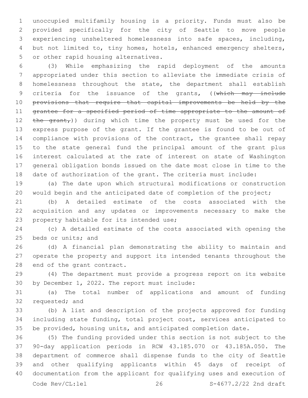unoccupied multifamily housing is a priority. Funds must also be provided specifically for the city of Seattle to move people experiencing unsheltered homelessness into safe spaces, including, but not limited to, tiny homes, hotels, enhanced emergency shelters, 5 or other rapid housing alternatives.

 (3) While emphasizing the rapid deployment of the amounts appropriated under this section to alleviate the immediate crisis of homelessness throughout the state, the department shall establish 9 criteria for the issuance of the grants, ((which may include provisions that require that capital improvements be held by the grantee for a specified period of time appropriate to the amount of 12 the grant,)) during which time the property must be used for the express purpose of the grant. If the grantee is found to be out of compliance with provisions of the contract, the grantee shall repay to the state general fund the principal amount of the grant plus interest calculated at the rate of interest on state of Washington general obligation bonds issued on the date most close in time to the date of authorization of the grant. The criteria must include:

 (a) The date upon which structural modifications or construction would begin and the anticipated date of completion of the project;

 (b) A detailed estimate of the costs associated with the acquisition and any updates or improvements necessary to make the 23 property habitable for its intended use;

 (c) A detailed estimate of the costs associated with opening the 25 beds or units; and

 (d) A financial plan demonstrating the ability to maintain and operate the property and support its intended tenants throughout the 28 end of the grant contract.

 (4) The department must provide a progress report on its website 30 by December 1, 2022. The report must include:

 (a) The total number of applications and amount of funding 32 requested; and

 (b) A list and description of the projects approved for funding including state funding, total project cost, services anticipated to be provided, housing units, and anticipated completion date.

 (5) The funding provided under this section is not subject to the 90-day application periods in RCW 43.185.070 or 43.185A.050. The department of commerce shall dispense funds to the city of Seattle and other qualifying applicants within 45 days of receipt of documentation from the applicant for qualifying uses and execution of Code Rev/CL:lel 26 S-4677.2/22 2nd draft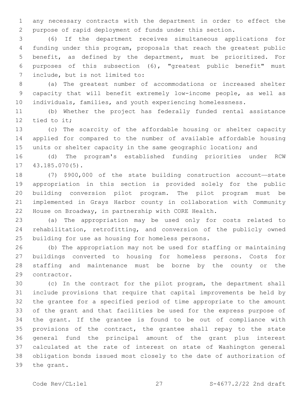any necessary contracts with the department in order to effect the purpose of rapid deployment of funds under this section.

 (6) If the department receives simultaneous applications for funding under this program, proposals that reach the greatest public benefit, as defined by the department, must be prioritized. For purposes of this subsection (6), "greatest public benefit" must 7 include, but is not limited to:

 (a) The greatest number of accommodations or increased shelter capacity that will benefit extremely low-income people, as well as individuals, families, and youth experiencing homelessness.

 (b) Whether the project has federally funded rental assistance 12 tied to it;

 (c) The scarcity of the affordable housing or shelter capacity applied for compared to the number of available affordable housing 15 units or shelter capacity in the same geographic location; and

 (d) The program's established funding priorities under RCW 17 43.185.070(5).

 (7) \$900,000 of the state building construction account—state appropriation in this section is provided solely for the public building conversion pilot program. The pilot program must be implemented in Grays Harbor county in collaboration with Community House on Broadway, in partnership with CORE Health.

 (a) The appropriation may be used only for costs related to rehabilitation, retrofitting, and conversion of the publicly owned 25 building for use as housing for homeless persons.

 (b) The appropriation may not be used for staffing or maintaining buildings converted to housing for homeless persons. Costs for staffing and maintenance must be borne by the county or the 29 contractor.

 (c) In the contract for the pilot program, the department shall include provisions that require that capital improvements be held by the grantee for a specified period of time appropriate to the amount of the grant and that facilities be used for the express purpose of the grant. If the grantee is found to be out of compliance with 35 provisions of the contract, the grantee shall repay to the state general fund the principal amount of the grant plus interest calculated at the rate of interest on state of Washington general obligation bonds issued most closely to the date of authorization of 39 the grant.

Code Rev/CL:lel 27 S-4677.2/22 2nd draft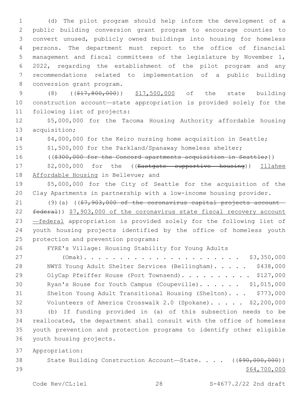(d) The pilot program should help inform the development of a public building conversion grant program to encourage counties to convert unused, publicly owned buildings into housing for homeless persons. The department must report to the office of financial management and fiscal committees of the legislature by November 1, 2022, regarding the establishment of the pilot program and any recommendations related to implementation of a public building 8 conversion grant program.

9 (8) ((\$17,800,000)) \$17,500,000 of the state building 10 construction account—state appropriation is provided solely for the 11 following list of projects:

12 \$5,000,000 for the Tacoma Housing Authority affordable housing 13 acquisition;

14 \$4,000,000 for the Keiro nursing home acquisition in Seattle;

15 \$1,500,000 for the Parkland/Spanaway homeless shelter;

16 ((\$300,000 for the Concord apartments acquisition in Seattle;))

17 \$2,000,000 for the ((Eastgate supportive housing)) Illahee 18 Affordable Housing in Bellevue; and

19 \$5,000,000 for the City of Seattle for the acquisition of the 20 Clay Apartments in partnership with a low-income housing provider.

21 (9)(a) ( $(\frac{27}{37}, \frac{903}{100})$  of the coronavirus capital projects account-22 federal)) \$7,903,000 of the coronavirus state fiscal recovery account 23 —federal appropriation is provided solely for the following list of 24 youth housing projects identified by the office of homeless youth 25 protection and prevention programs:

26 FYRE's Village: Housing Stability for Young Adults

 (Omak). . . . . . . . . . . . . . . . . . . . . . \$3,350,000 NWYS Young Adult Shelter Services (Bellingham). . . . . \$438,000 29 OlyCap Pfeiffer House (Port Townsend). . . . . . . . . \$127,000 30 Ryan's House for Youth Campus (Coupeville). . . . . . \$1,015,000 Shelton Young Adult Transitional Housing (Shelton). . . \$773,000 Volunteers of America Crosswalk 2.0 (Spokane). . . . . \$2,200,000 (b) If funding provided in (a) of this subsection needs to be reallocated, the department shall consult with the office of homeless youth prevention and protection programs to identify other eligible 36 youth housing projects.

37 Appropriation:

38 State Building Construction Account-State. . . . ((\$90,000,000))  $39$  \$64,700,000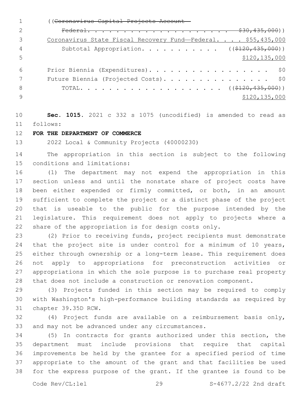((Coronavirus Capital Projects Account— Federal. . . . . . . . . . . . . . . . . . . . \$30,435,000)) 3 Coronavirus State Fiscal Recovery Fund—Federal. . . . \$55,435,000 4 Subtotal Appropriation. . . . . . . . . . ((\$120,435,000)) \$120,135,000 Prior Biennia (Expenditures). . . . . . . . . . . . . . . . . \$0 7 Future Biennia (Projected Costs). . . . . . . . . . . . . . \$0 8 TOTAL. . . . . . . . . . . . . . . . . . (  $(\frac{2120}{120}, \frac{435}{100})$  )  $\frac{135}{000}$  \$120,135,000

 **Sec. 1015.** 2021 c 332 s 1075 (uncodified) is amended to read as follows: 11

### **FOR THE DEPARTMENT OF COMMERCE**

2022 Local & Community Projects (40000230)

 The appropriation in this section is subject to the following 15 conditions and limitations:

 (1) The department may not expend the appropriation in this section unless and until the nonstate share of project costs have been either expended or firmly committed, or both, in an amount sufficient to complete the project or a distinct phase of the project that is useable to the public for the purpose intended by the legislature. This requirement does not apply to projects where a share of the appropriation is for design costs only.

 (2) Prior to receiving funds, project recipients must demonstrate 24 that the project site is under control for a minimum of 10 years, either through ownership or a long-term lease. This requirement does not apply to appropriations for preconstruction activities or appropriations in which the sole purpose is to purchase real property that does not include a construction or renovation component.

 (3) Projects funded in this section may be required to comply with Washington's high-performance building standards as required by 31 chapter 39.35D RCW.

 (4) Project funds are available on a reimbursement basis only, 33 and may not be advanced under any circumstances.

 (5) In contracts for grants authorized under this section, the department must include provisions that require that capital improvements be held by the grantee for a specified period of time appropriate to the amount of the grant and that facilities be used for the express purpose of the grant. If the grantee is found to be

Code Rev/CL:lel 29 S-4677.2/22 2nd draft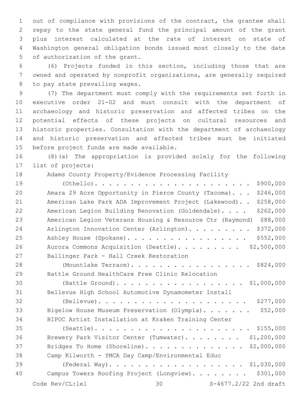out of compliance with provisions of the contract, the grantee shall repay to the state general fund the principal amount of the grant plus interest calculated at the rate of interest on state of Washington general obligation bonds issued most closely to the date 5 of authorization of the grant.

 (6) Projects funded in this section, including those that are owned and operated by nonprofit organizations, are generally required 8 to pay state prevailing wages.

 (7) The department must comply with the requirements set forth in executive order 21-02 and must consult with the department of archaeology and historic preservation and affected tribes on the potential effects of these projects on cultural resources and historic properties. Consultation with the department of archaeology and historic preservation and affected tribes must be initiated 15 before project funds are made available.

 (8)(a) The appropriation is provided solely for the following 17 list of projects:

Adams County Property/Evidence Processing Facility

| 19 |                                                  | \$900,000                                                          |
|----|--------------------------------------------------|--------------------------------------------------------------------|
| 20 |                                                  | \$246,000<br>Amara 29 Acre Opportunity in Pierce County (Tacoma).  |
| 21 |                                                  | \$258,000<br>American Lake Park ADA Improvement Project (Lakewood) |
| 22 |                                                  | \$262,000<br>American Legion Building Renovation (Goldendale).     |
| 23 |                                                  | American Legion Veterans Housing & Resource Ctr (Raymond) \$88,000 |
| 24 |                                                  | \$372,000<br>Arlington Innovation Center (Arlington).              |
| 25 |                                                  | \$552,000<br>Ashley House (Spokane).                               |
| 26 |                                                  | Aurora Commons Acquisition (Seattle). \$2,500,000                  |
| 27 | Ballinger Park - Hall Creek Restoration          |                                                                    |
| 28 |                                                  | (Mountlake Terrace). \$824,000                                     |
| 29 | Battle Ground HealthCare Free Clinic Relocation  |                                                                    |
| 30 |                                                  | (Battle Ground). \$1,000,000                                       |
| 31 |                                                  | Bellevue High School Automotive Dynamometer Install                |
| 32 |                                                  | \$277,000                                                          |
| 33 |                                                  | \$52,000<br>Bigelow House Museum Preservation (Olympia).           |
| 34 |                                                  | BIPOC Artist Installation at Kraken Training Center                |
| 35 |                                                  |                                                                    |
| 36 |                                                  | Brewery Park Visitor Center (Tumwater). \$1,200,000                |
| 37 |                                                  | Bridges To Home (Shoreline).<br>\$2,000,000                        |
| 38 | Camp Kilworth - YMCA Day Camp/Environmental Educ |                                                                    |
| 39 |                                                  |                                                                    |
| 40 |                                                  | \$301,000<br>Campus Towers Roofing Project (Longview).             |
|    | Code Rev/CL:lel                                  | S-4677.2/22 2nd draft<br>30                                        |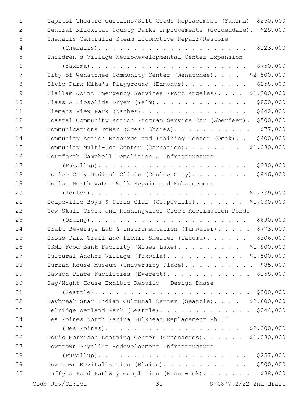Capitol Theatre Curtains/Soft Goods Replacement (Yakima) \$250,000 Central Klickitat County Parks Improvements (Goldendale). \$25,000 Chehalis Centralia Steam Locomotive Repair/Restore (Chehalis). . . . . . . . . . . . . . . . . . . . . \$123,000 Children's Village Neurodevelopmental Center Expansion (Yakima). . . . . . . . . . . . . . . . . . . . . . \$750,000 City of Wenatchee Community Center (Wenatchee). . . . \$2,500,000 8 Civic Park Mika's Playground (Edmonds). . . . . . . . \$258,000 9 Clallam Joint Emergency Services (Port Angeles). . . . \$1,200,000 10 Class A Biosolids Dryer (Yelm). . . . . . . . . . . . \$850,000 11 Clemans View Park (Naches). . . . . . . . . . . . . . \$442,000 Coastal Community Action Program Service Ctr (Aberdeen). \$500,000 13 Communications Tower (Ocean Shores). . . . . . . . . . . \$77,000 Community Action Resource and Training Center (Omak). . \$400,000 15 Community Multi-Use Center (Carnation). . . . . . . \$1,030,000 Cornforth Campbell Demolition & Infrastructure (Puyallup). . . . . . . . . . . . . . . . . . . . . \$330,000 18 Coulee City Medical Clinic (Coulee City)........ \$846,000 Coulon North Water Walk Repair and Enhancement (Renton). . . . . . . . . . . . . . . . . . . . . \$1,339,000 21 Coupeville Boys & Girls Club (Coupeville). . . . . . \$1,030,000 Cow Skull Creek and Rushingwater Creek Acclimation Ponds (Orting). . . . . . . . . . . . . . . . . . . . . . \$690,000 Craft Beverage Lab & Instrumentation (Tumwater). . . . . \$773,000 25 Cross Park Trail and Picnic Shelter (Tacoma). . . . . \$206,000 26 CSML Food Bank Facility (Moses Lake). . . . . . . . \$1,900,000 27 Cultural Anchor Village (Tukwila). . . . . . . . . . \$1,500,000 28 Curran House Museum (University Place). . . . . . . . . \$85,000 29 Dawson Place Facilities (Everett). . . . . . . . . . . \$258,000 Day/Night House Exhibit Rebuild - Design Phase (Seattle). . . . . . . . . . . . . . . . . . . . . . \$300,000 Daybreak Star Indian Cultural Center (Seattle). . . . \$2,600,000 Delridge Wetland Park (Seattle). . . . . . . . . . . . . \$244,000 Des Moines North Marina Bulkhead Replacement Ph II (Des Moines). . . . . . . . . . . . . . . . . . . \$2,000,000 Doris Morrison Learning Center (Greenacres). . . . . . \$1,030,000 Downtown Puyallup Redevelopment Infrastructure (Puyallup). . . . . . . . . . . . . . . . . . . . . \$257,000 Downtown Revitalization (Blaine). . . . . . . . . . . . \$500,000 Duffy's Pond Pathway Completion (Kennewick). . . . . . . \$38,000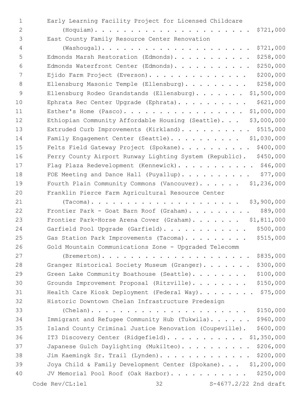| $\mathbf{1}$   | Early Learning Facility Project for Licensed Childcare               |
|----------------|----------------------------------------------------------------------|
| $\overline{2}$ | \$721,000                                                            |
| 3              | East County Family Resource Center Renovation                        |
| 4              | \$721,000                                                            |
| 5              | \$258,000<br>Edmonds Marsh Restoration (Edmonds).                    |
| 6              | \$250,000<br>Edmonds Waterfront Center (Edmonds).                    |
| 7              | \$200,000<br>Ejido Farm Project (Everson).                           |
| $\,8\,$        | \$258,000<br>Ellensburg Masonic Temple (Ellensburg).                 |
| 9              | \$1,500,000<br>Ellensburg Rodeo Grandstands (Ellensburg).            |
| 10             | \$621,000<br>Ephrata Rec Center Upgrade (Ephrata).                   |
| 11             | Esther's Home (Pasco).<br>\$1,000,000                                |
| 12             | \$3,000,000<br>Ethiopian Community Affordable Housing (Seattle).     |
| 13             | \$515,000<br>Extruded Curb Improvements (Kirkland).                  |
| 14             | Family Engagement Center (Seattle). \$1,030,000                      |
| 15             | \$400,000<br>Felts Field Gateway Project (Spokane).                  |
| 16             | \$450,000<br>Ferry County Airport Runway Lighting System (Republic). |
| 17             | Flag Plaza Redevelopment (Kennewick). \$46,000                       |
| 18             | \$77,000<br>FOE Meeting and Dance Hall (Puyallup).                   |
| 19             | \$1,236,000<br>Fourth Plain Community Commons (Vancouver).           |
| 20             | Franklin Pierce Farm Agricultural Resource Center                    |
| 21             | \$3,900,000                                                          |
| 22             | \$89,000<br>Frontier Park - Goat Barn Roof (Graham).                 |
| 23             | \$1,811,000<br>Frontier Park-Horse Arena Cover (Graham).             |
| 24             | \$500,000<br>Garfield Pool Upgrade (Garfield).                       |
| 25             | \$515,000<br>Gas Station Park Improvements (Tacoma).                 |
| 26             | Gold Mountain Communications Zone - Upgraded Telecomm                |
| 27             | \$835,000                                                            |
| 28             | \$300,000<br>Granger Historical Society Museum (Granger).            |
| 29             | \$100,000<br>Green Lake Community Boathouse (Seattle).               |
| 30             | \$150,000<br>Grounds Improvement Proposal (Ritzville).               |
| 31             | \$75,000<br>Health Care Kiosk Deployment (Federal Way).              |
| 32             | Historic Downtown Chelan Infrastructure Predesign                    |
| 33             | \$150,000                                                            |
| 34             | \$960,000<br>Immigrant and Refugee Community Hub (Tukwila).          |
| 35             | \$600,000<br>Island County Criminal Justice Renovation (Coupeville). |
| 36             | IT3 Discovery Center (Ridgefield).<br>\$1,350,000                    |
| 37             | \$206,000<br>Japanese Gulch Daylighting (Mukilteo).                  |
| 38             | \$200,000<br>Jim Kaemingk Sr. Trail (Lynden).                        |
| 39             | Joya Child & Family Development Center (Spokane). \$1,200,000        |
| 40             | JV Memorial Pool Roof (Oak Harbor).<br>\$250,000                     |
|                | Code Rev/CL:lel<br>32 S-4677.2/22 2nd draft                          |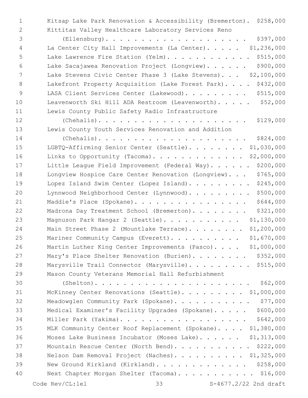Kitsap Lake Park Renovation & Accessibility (Bremerton). \$258,000 Kittitas Valley Healthcare Laboratory Services Reno

 (Ellensburg). . . . . . . . . . . . . . . . . . . . \$397,000 La Center City Hall Improvements (La Center). . . . . \$1,236,000 5 Lake Lawrence Fire Station (Yelm). . . . . . . . . . . \$515,000 Lake Sacajawea Renovation Project (Longview). . . . . . \$900,000 Lake Stevens Civic Center Phase 3 (Lake Stevens). . . \$2,100,000 8 Lakefront Property Acquisition (Lake Forest Park). . . . \$432,000 9 LASA Client Services Center (Lakewood). . . . . . . . \$515,000 Leavenworth Ski Hill ADA Restroom (Leavenworth). . . . . \$52,000 Lewis County Public Safety Radio Infrastructure

 (Chehalis). . . . . . . . . . . . . . . . . . . . . \$129,000 Lewis County Youth Services Renovation and Addition

 (Chehalis). . . . . . . . . . . . . . . . . . . . . \$824,000 LGBTQ-Affirming Senior Center (Seattle). . . . . . . . \$1,030,000 Links to Opportunity (Tacoma). . . . . . . . . . . . . \$2,000,000 17 Little League Field Improvement (Federal Way). . . . . \$200,000 Longview Hospice Care Center Renovation (Longview). . . \$765,000 19 Lopez Island Swim Center (Lopez Island). . . . . . . . \$245,000 Lynnwood Neighborhood Center (Lynnwood). . . . . . . . . \$500,000 21 Maddie's Place (Spokane). . . . . . . . . . . . . . . \$644,000 22 Madrona Day Treatment School (Bremerton). . . . . . . \$321,000 Magnuson Park Hangar 2 (Seattle). . . . . . . . . . . \$1,130,000 24 Main Street Phase 2 (Mountlake Terrace). . . . . . . \$1,200,000 25 Mariner Community Campus (Everett). . . . . . . . . \$1,670,000 26 Martin Luther King Center Improvements (Pasco). . . . \$1,000,000 27 Mary's Place Shelter Renovation (Burien). . . . . . . \$352,000 28 Marysville Trail Connector (Marysville). . . . . . . . \$515,000 Mason County Veterans Memorial Hall Refurbishment

 (Shelton). . . . . . . . . . . . . . . . . . . . . . \$62,000 McKinney Center Renovations (Seattle). . . . . . . . . \$1,000,000 32 Meadowglen Community Park (Spokane). . . . . . . . . . \$77,000 Medical Examiner's Facility Upgrades (Spokane). . . . . \$600,000 Miller Park (Yakima). . . . . . . . . . . . . . . . . . \$642,000 MLK Community Center Roof Replacement (Spokane). . . . \$1,380,000 Moses Lake Business Incubator (Moses Lake). . . . . . \$1,313,000 37 Mountain Rescue Center (North Bend). . . . . . . . . . \$222,000 Nelson Dam Removal Project (Naches). . . . . . . . . . \$1,325,000 New Ground Kirkland (Kirkland). . . . . . . . . . . . . \$258,000 Next Chapter Morgan Shelter (Tacoma). . . . . . . . . . . \$16,000 Code  $\text{Rev}(\text{CL:lel})$  33  $\text{S-4677.2}/22$  2nd draft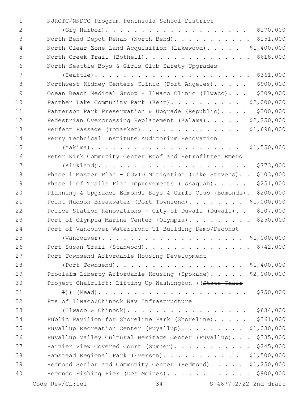NJROTC/NNDCC Program Peninsula School District1

| $\overline{2}$ | $(Gig Harbor)$                                                          |
|----------------|-------------------------------------------------------------------------|
| 3              | North Bend Depot Rehab (North Bend). \$151,000                          |
| 4              | North Clear Zone Land Acquisition (Lakewood). \$1,400,000               |
| 5              | North Creek Trail (Bothell). \$618,000                                  |
| 6              | North Seattle Boys & Girls Club Safety Upgrades                         |
| 7              | $(Seattle)$ \$361,000                                                   |
| 8              | \$900,000<br>Northwest Kidney Centers Clinic (Port Angeles).            |
| $\mathsf 9$    | \$309,000<br>Ocean Beach Medical Group - Ilwaco Clinic (Ilwaco).        |
| 10             | \$2,000,000<br>Panther Lake Community Park (Kent).                      |
| 11             | \$300,000<br>Patterson Park Preservation & Upgrade (Republic).          |
| 12             | Pedestrian Overcrossing Replacement (Kalama). \$2,250,000               |
| 13             | Perfect Passage (Tonasket). \$1,698,000                                 |
| 14             | Perry Technical Institute Auditorium Renovation                         |
| 15             |                                                                         |
| 16             | Peter Kirk Community Center Roof and Retrofitted Emerg                  |
| 17             | \$773,000<br>$(Kirkland)$                                               |
| 18             | Phase 1 Master Plan - COVID Mitigation (Lake Stevens). . \$103,000      |
| 19             | \$251,000<br>Phase 1 of Trails Plan Improvements (Issaquah). $\ldots$ . |
| 20             | Planning & Upgrades Edmonds Boys & Girls Club (Edmonds). \$200,000      |
| 21             | Point Hudson Breakwater (Port Townsend). \$1,000,000                    |
| 22             | \$107,000<br>Police Station Renovations - City of Duvall (Duvall)       |
| 23             | Port of Olympia Marine Center (Olympia). \$250,000                      |
| 24             | Port of Vancouver Waterfront T1 Building Demo/Deconst                   |
| 25             |                                                                         |
| 26             | Port Susan Trail (Stanwood). \$742,000                                  |
| 27             | Port Townsend Affordable Housing Development                            |
| 28             | (Port Townsend). \$1,400,000                                            |
| 29             | Proclaim Liberty Affordable Housing (Spokane). \$2,000,000              |
| 30             | Project Chairlift: Lifting Up Washington ((State Chair                  |
| 31             | \$750,000                                                               |
| 32             | Pts of Ilwaco/Chinook Nav Infrastructure                                |
| 33             |                                                                         |
| 34             | Public Pavilion for Shoreline Park (Shoreline). \$361,000               |
| 35             | Puyallup Recreation Center (Puyallup). \$1,030,000                      |
| 36             | Puyallup Valley Cultural Heritage Center (Puyallup). \$335,000          |
| 37             | Rainier View Covered Court (Sumner). \$245,000                          |
| 38             | Ramstead Regional Park (Everson). \$1,500,000                           |
| 39             | Redmond Senior and Community Center (Redmond). \$1,250,000              |
| 40             | Redondo Fishing Pier (Des Moines). \$900,000                            |
|                |                                                                         |

Code Rev/CL:lel 34 S-4677.2/22 2nd draft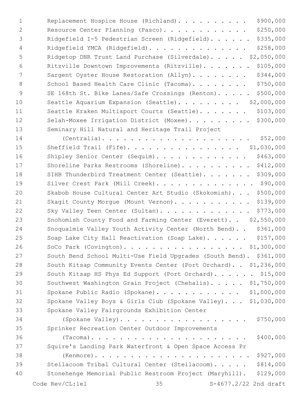| $\mathbf 1$ | \$900,000<br>Replacement Hospice House (Richland).                   |
|-------------|----------------------------------------------------------------------|
| 2           | \$250,000<br>Resource Center Planning (Pasco).                       |
| 3           | \$335,000<br>Ridgefield I-5 Pedestrian Screen (Ridgefield).          |
| 4           | \$258,000<br>Ridgefield YMCA (Ridgefield).                           |
| 5           | Ridgetop DNR Trust Land Purchase (Silverdale). \$2,050,000           |
| 6           | \$105,000<br>Ritzville Downtown Improvements (Ritzville).            |
| 7           | \$344,000<br>Sargent Oyster House Restoration (Allyn).               |
| 8           | \$750,000<br>School Based Health Care Clinic (Tacoma).               |
| 9           | \$500,000<br>SE 168th St. Bike Lanes/Safe Crossings (Renton).        |
| 10          | \$2,000,000<br>Seattle Aquarium Expansion (Seattle).                 |
| 11          | \$103,000<br>Seattle Kraken Multisport Courts (Seattle).             |
| 12          | \$300,000<br>Selah-Moxee Irrigation District (Moxee).                |
| 13          | Seminary Hill Natural and Heritage Trail Project                     |
| 14          | \$52,000<br>$(Centralia)$                                            |
| 15          | Sheffield Trail (Fife). \$1,030,000                                  |
| 16          | \$463,000<br>Shipley Senior Center (Sequim).                         |
| 17          | \$412,000<br>Shoreline Parks Restrooms (Shoreline).                  |
| 18          | \$309,000<br>SIHB Thunderbird Treatment Center (Seattle).            |
| 19          | Silver Crest Park (Mill Creek). \$90,000                             |
| 20          | \$500,000<br>Skabob House Cultural Center Art Studio (Skokomish).    |
| 21          | \$139,000<br>Skagit County Morgue (Mount Vernon).                    |
| 22          | \$773,000<br>Sky Valley Teen Center (Sultan).                        |
| 23          | Snohomish County Food and Farming Center (Everett). . \$2,550,000    |
| 24          | \$361,000<br>Snoqualmie Valley Youth Activity Center (North Bend)    |
| 25          | \$157,000<br>Soap Lake City Hall Reactivation (Soap Lake).           |
| 26          | SoCo Park (Covington). \$1,300,000                                   |
| 27          | South Bend School Multi-Use Field Upgrades (South Bend). \$361,000   |
| 28          | South Kitsap Community Events Center (Port Orchard). . \$1,236,000   |
| 29          | South Kitsap HS Phys Ed Support (Port Orchard). \$15,000             |
| 30          | Southwest Washington Grain Project (Chehalis). \$1,750,000           |
| 31          | Spokane Public Radio (Spokane). \$1,000,000                          |
| 32          | Spokane Valley Boys & Girls Club (Spokane Valley). \$1,030,000       |
| 33          | Spokane Valley Fairgrounds Exhibition Center                         |
| 34          | \$750,000<br>(Spokane Valley).                                       |
| 35          | Sprinker Recreation Center Outdoor Improvements                      |
| 36          | \$400,000                                                            |
| 37          | Squire's Landing Park Waterfront & Open Space Access Pr              |
| 38          | \$927,000                                                            |
| 39          | \$814,000<br>Steilacoom Tribal Cultural Center (Steilacoom).         |
| 40          | Stonehenge Memorial Public Restroom Project (Maryhill).<br>\$129,000 |
|             | Code Rev/CL:lel<br>35<br>S-4677.2/22 2nd draft                       |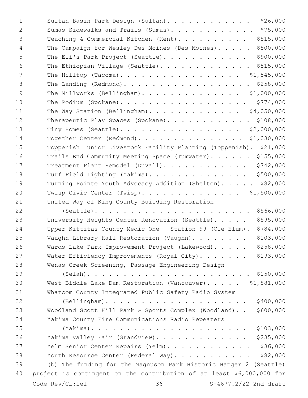| $\mathbf{1}$ | Sultan Basin Park Design (Sultan). \$26,000                           |
|--------------|-----------------------------------------------------------------------|
| 2            | Sumas Sidewalks and Trails (Sumas). \$75,000                          |
| 3            | \$515,000<br>Teaching & Commercial Kitchen (Kent).                    |
| 4            | \$500,000<br>The Campaign for Wesley Des Moines (Des Moines).         |
| 5            | \$900,000<br>The Eli's Park Project (Seattle).                        |
| 6            | The Ethiopian Village (Seattle). \$515,000                            |
| 7            | The Hilltop (Tacoma). \$1,545,000                                     |
| 8            | The Landing (Redmond). \$258,000                                      |
| 9            | The Millworks (Bellingham). \$1,000,000                               |
| 10           | The Podium (Spokane). \$774,000                                       |
| 11           | The Way Station (Bellingham). \$4,050,000                             |
| 12           | Therapeutic Play Spaces (Spokane). \$108,000                          |
| 13           | Tiny Homes (Seattle). \$2,000,000                                     |
| 14           | Together Center (Redmond). \$1,030,000                                |
| 15           | Toppenish Junior Livestock Facility Planning (Toppenish). \$21,000    |
| 16           | Trails End Community Meeting Space (Tumwater). \$155,000              |
| 17           | \$742,000<br>Treatment Plant Remodel (Duvall).                        |
| 18           | \$500,000<br>Turf Field Lighting (Yakima).                            |
| 19           | Turning Pointe Youth Advocacy Addition (Shelton). \$82,000            |
| 20           | Twisp Civic Center (Twisp). \$1,500,000                               |
| 21           | United Way of King County Building Restoration                        |
| 22           | \$566,000<br>$(Seattle)$                                              |
| 23           | \$595,000<br>University Heights Center Renovation (Seattle).          |
| 24           | \$784,000<br>Upper Kittitas County Medic One - Station 99 (Cle Elum). |
| 25           | \$103,000<br>Vaughn Library Hall Restoration (Vaughn).                |
| 26           | \$258,000<br>Wards Lake Park Improvement Project (Lakewood).          |
| 27           | \$193,000<br>Water Efficiency Improvements (Royal City).              |
| 28           | Wenas Creek Screening, Passage Engineering Design                     |
| 29           |                                                                       |
| 30           | West Biddle Lake Dam Restoration (Vancouver). \$1,881,000             |
| 31           | Whatcom County Integrated Public Safety Radio System                  |
| 32           | \$400,000                                                             |
| 33           | Woodland Scott Hill Park & Sports Complex (Woodland)<br>\$600,000     |
| 34           | Yakima County Fire Communications Radio Repeaters                     |
| 35           | \$103,000                                                             |
| 36           | \$235,000<br>Yakima Valley Fair (Grandview).                          |
| 37           | \$36,000<br>Yelm Senior Center Repairs (Yelm).                        |
| 38           | \$82,000<br>Youth Resource Center (Federal Way).                      |
| 39           | (b) The funding for the Magnuson Park Historic Hanger 2 (Seattle)     |
| 40           | project is contingent on the contribution of at least \$6,000,000 for |
|              | 36<br>Code Rev/CL:lel<br>S-4677.2/22 2nd draft                        |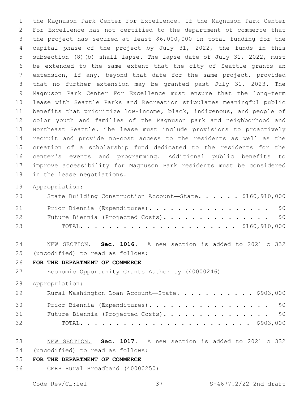the Magnuson Park Center For Excellence. If the Magnuson Park Center For Excellence has not certified to the department of commerce that the project has secured at least \$6,000,000 in total funding for the capital phase of the project by July 31, 2022, the funds in this subsection (8)(b) shall lapse. The lapse date of July 31, 2022, must be extended to the same extent that the city of Seattle grants an extension, if any, beyond that date for the same project, provided that no further extension may be granted past July 31, 2023. The Magnuson Park Center For Excellence must ensure that the long-term lease with Seattle Parks and Recreation stipulates meaningful public benefits that prioritize low-income, black, indigenous, and people of color youth and families of the Magnuson park and neighborhood and Northeast Seattle. The lease must include provisions to proactively recruit and provide no-cost access to the residents as well as the creation of a scholarship fund dedicated to the residents for the center's events and programming. Additional public benefits to improve accessibility for Magnuson Park residents must be considered 18 in the lease negotiations.

Appropriation:

| 20 | State Building Construction Account-State. \$160,910,000 |
|----|----------------------------------------------------------|
| 21 | Prior Biennia (Expenditures). \$0                        |
| 22 | Future Biennia (Projected Costs). \$0                    |
| 23 |                                                          |

 NEW SECTION. **Sec. 1016.** A new section is added to 2021 c 332 (uncodified) to read as follows: 25

**FOR THE DEPARTMENT OF COMMERCE**

Economic Opportunity Grants Authority (40000246)

Appropriation:

| 29 | Rural Washington Loan Account-State. \$903,000 |
|----|------------------------------------------------|
| 30 | Prior Biennia (Expenditures). \$0              |
| 31 | Future Biennia (Projected Costs). \$0          |
| 32 |                                                |

 NEW SECTION. **Sec. 1017.** A new section is added to 2021 c 332 (uncodified) to read as follows: 34

**FOR THE DEPARTMENT OF COMMERCE**

CERB Rural Broadband (40000250)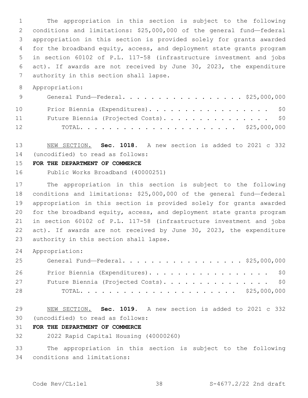The appropriation in this section is subject to the following conditions and limitations: \$25,000,000 of the general fund—federal appropriation in this section is provided solely for grants awarded for the broadband equity, access, and deployment state grants program in section 60102 of P.L. 117-58 (infrastructure investment and jobs act). If awards are not received by June 30, 2023, the expenditure 7 authority in this section shall lapse.

Appropriation:

| 9  | General Fund—Federal. \$25,000,000    |
|----|---------------------------------------|
| 10 | Prior Biennia (Expenditures). \$0     |
| 11 | Future Biennia (Projected Costs). \$0 |
| 12 |                                       |

 NEW SECTION. **Sec. 1018.** A new section is added to 2021 c 332 (uncodified) to read as follows: 14

### **FOR THE DEPARTMENT OF COMMERCE**

Public Works Broadband (40000251)

 The appropriation in this section is subject to the following conditions and limitations: \$25,000,000 of the general fund—federal appropriation in this section is provided solely for grants awarded for the broadband equity, access, and deployment state grants program in section 60102 of P.L. 117-58 (infrastructure investment and jobs act). If awards are not received by June 30, 2023, the expenditure 23 authority in this section shall lapse.

Appropriation:

| 25 | General Fund—Federal. \$25,000,000    |
|----|---------------------------------------|
| 26 | Prior Biennia (Expenditures). \$0     |
| 27 | Future Biennia (Projected Costs). \$0 |
| 28 |                                       |

 NEW SECTION. **Sec. 1019.** A new section is added to 2021 c 332 (uncodified) to read as follows: 30

## **FOR THE DEPARTMENT OF COMMERCE**

2022 Rapid Capital Housing (40000260)

 The appropriation in this section is subject to the following 34 conditions and limitations: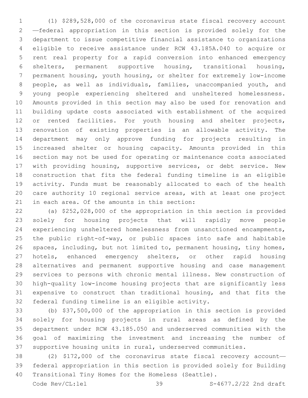(1) \$289,528,000 of the coronavirus state fiscal recovery account —federal appropriation in this section is provided solely for the department to issue competitive financial assistance to organizations eligible to receive assistance under RCW 43.185A.040 to acquire or rent real property for a rapid conversion into enhanced emergency shelters, permanent supportive housing, transitional housing, permanent housing, youth housing, or shelter for extremely low-income people, as well as individuals, families, unaccompanied youth, and young people experiencing sheltered and unsheltered homelessness. Amounts provided in this section may also be used for renovation and building update costs associated with establishment of the acquired 12 or rented facilities. For youth housing and shelter projects, renovation of existing properties is an allowable activity. The department may only approve funding for projects resulting in increased shelter or housing capacity. Amounts provided in this section may not be used for operating or maintenance costs associated with providing housing, supportive services, or debt service. New construction that fits the federal funding timeline is an eligible activity. Funds must be reasonably allocated to each of the health care authority 10 regional service areas, with at least one project 21 in each area. Of the amounts in this section:

 (a) \$252,028,000 of the appropriation in this section is provided solely for housing projects that will rapidly move people experiencing unsheltered homelessness from unsanctioned encampments, the public right-of-way, or public spaces into safe and habitable spaces, including, but not limited to, permanent housing, tiny homes, 27 hotels, enhanced emergency shelters, or other rapid housing alternatives and permanent supportive housing and case management services to persons with chronic mental illness. New construction of high-quality low-income housing projects that are significantly less expensive to construct than traditional housing, and that fits the 32 federal funding timeline is an eligible activity.

 (b) \$37,500,000 of the appropriation in this section is provided solely for housing projects in rural areas as defined by the department under RCW 43.185.050 and underserved communities with the goal of maximizing the investment and increasing the number of supportive housing units in rural, underserved communities.

 (2) \$172,000 of the coronavirus state fiscal recovery account— federal appropriation in this section is provided solely for Building Transitional Tiny Homes for the Homeless (Seattle).

Code Rev/CL:lel 39 S-4677.2/22 2nd draft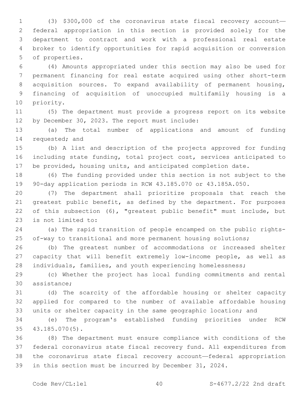(3) \$300,000 of the coronavirus state fiscal recovery account— federal appropriation in this section is provided solely for the department to contract and work with a professional real estate broker to identify opportunities for rapid acquisition or conversion 5 of properties.

 (4) Amounts appropriated under this section may also be used for permanent financing for real estate acquired using other short-term acquisition sources. To expand availability of permanent housing, financing of acquisition of unoccupied multifamily housing is a 10 priority.

 (5) The department must provide a progress report on its website 12 by December 30, 2023. The report must include:

 (a) The total number of applications and amount of funding 14 requested; and

 (b) A list and description of the projects approved for funding including state funding, total project cost, services anticipated to be provided, housing units, and anticipated completion date.

 (6) The funding provided under this section is not subject to the 90-day application periods in RCW 43.185.070 or 43.185A.050.

 (7) The department shall prioritize proposals that reach the 21 greatest public benefit, as defined by the department. For purposes of this subsection (6), "greatest public benefit" must include, but 23 is not limited to:

 (a) The rapid transition of people encamped on the public rights-of-way to transitional and more permanent housing solutions;

 (b) The greatest number of accommodations or increased shelter capacity that will benefit extremely low-income people, as well as individuals, families, and youth experiencing homelessness;

 (c) Whether the project has local funding commitments and rental 30 assistance:

 (d) The scarcity of the affordable housing or shelter capacity applied for compared to the number of available affordable housing units or shelter capacity in the same geographic location; and

 (e) The program's established funding priorities under RCW 43.185.070(5).35

 (8) The department must ensure compliance with conditions of the federal coronavirus state fiscal recovery fund. All expenditures from the coronavirus state fiscal recovery account—federal appropriation in this section must be incurred by December 31, 2024.

Code  $\text{Rev}(\text{CL:lel})$  40  $\text{S-4677.2/22}$  2nd draft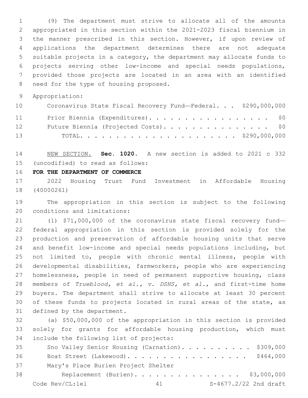(9) The department must strive to allocate all of the amounts appropriated in this section within the 2021-2023 fiscal biennium in the manner prescribed in this section. However, if upon review of applications the department determines there are not adequate suitable projects in a category, the department may allocate funds to projects serving other low-income and special needs populations, provided those projects are located in an area with an identified 8 need for the type of housing proposed.

Appropriation:

| 10 | Coronavirus State Fiscal Recovery Fund-Federal. \$290,000,000 |
|----|---------------------------------------------------------------|
| 11 | Prior Biennia (Expenditures). \$0                             |
| 12 | Future Biennia (Projected Costs). \$0                         |
| 13 |                                                               |

 NEW SECTION. **Sec. 1020.** A new section is added to 2021 c 332 (uncodified) to read as follows: 15

**FOR THE DEPARTMENT OF COMMERCE**

 2022 Housing Trust Fund Investment in Affordable Housing (40000261)

 The appropriation in this section is subject to the following 20 conditions and limitations:

 (1) \$71,000,000 of the coronavirus state fiscal recovery fund— federal appropriation in this section is provided solely for the production and preservation of affordable housing units that serve and benefit low-income and special needs populations including, but not limited to, people with chronic mental illness, people with developmental disabilities, farmworkers, people who are experiencing homelessness, people in need of permanent supportive housing, class members of *Trueblood, et al., v. DSHS, et al.*, and first-time home buyers. The department shall strive to allocate at least 30 percent of these funds to projects located in rural areas of the state, as 31 defined by the department.

 (a) \$50,000,000 of the appropriation in this section is provided solely for grants for affordable housing production, which must 34 include the following list of projects:

| 35 | Sno Valley Senior Housing (Carnation). \$309,000 |  |    |  |  |  |  |  |                       |
|----|--------------------------------------------------|--|----|--|--|--|--|--|-----------------------|
| 36 | Boat Street (Lakewood). \$464,000                |  |    |  |  |  |  |  |                       |
| 37 | Mary's Place Burien Project Shelter              |  |    |  |  |  |  |  |                       |
| 38 | Replacement (Burien). \$3,000,000                |  |    |  |  |  |  |  |                       |
|    | Code Rev/CL:lel                                  |  | 41 |  |  |  |  |  | S-4677.2/22 2nd draft |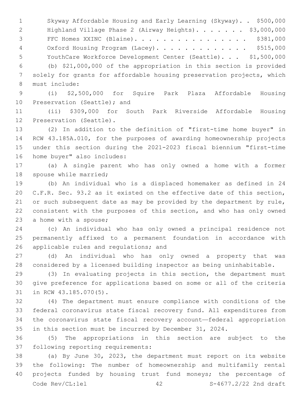Skyway Affordable Housing and Early Learning (Skyway). . \$500,000 2 Highland Village Phase 2 (Airway Heights). . . . . . \$3,000,000 FFC Homes XXINC (Blaine). . . . . . . . . . . . . . . . \$381,000 4 Oxford Housing Program (Lacey). . . . . . . . . . . . \$515,000 YouthCare Workforce Development Center (Seattle). . . \$1,500,000 (b) \$21,000,000 of the appropriation in this section is provided solely for grants for affordable housing preservation projects, which 8 must include:

 (i) \$2,500,000 for Squire Park Plaza Affordable Housing 10 Preservation (Seattle); and

 (ii) \$309,000 for South Park Riverside Affordable Housing 12 Preservation (Seattle).

 (2) In addition to the definition of "first-time home buyer" in RCW 43.185A.010, for the purposes of awarding homeownership projects under this section during the 2021-2023 fiscal biennium "first-time 16 home buyer" also includes:

 (a) A single parent who has only owned a home with a former 18 spouse while married;

 (b) An individual who is a displaced homemaker as defined in 24 C.F.R. Sec. 93.2 as it existed on the effective date of this section, 21 or such subsequent date as may be provided by the department by rule, consistent with the purposes of this section, and who has only owned 23 a home with a spouse;

 (c) An individual who has only owned a principal residence not permanently affixed to a permanent foundation in accordance with 26 applicable rules and regulations; and

 (d) An individual who has only owned a property that was considered by a licensed building inspector as being uninhabitable.

 (3) In evaluating projects in this section, the department must give preference for applications based on some or all of the criteria 31 in RCW 43.185.070(5).

 (4) The department must ensure compliance with conditions of the federal coronavirus state fiscal recovery fund. All expenditures from the coronavirus state fiscal recovery account—federal appropriation in this section must be incurred by December 31, 2024.

 (5) The appropriations in this section are subject to the 37 following reporting requirements:

 (a) By June 30, 2023, the department must report on its website the following: The number of homeownership and multifamily rental projects funded by housing trust fund moneys; the percentage of Code Rev/CL:lel 42 S-4677.2/22 2nd draft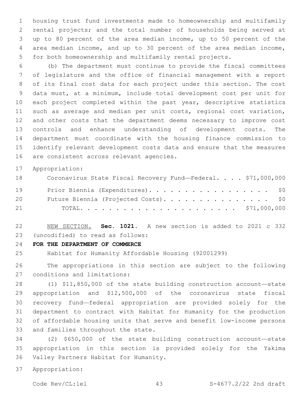housing trust fund investments made to homeownership and multifamily rental projects; and the total number of households being served at up to 80 percent of the area median income, up to 50 percent of the area median income, and up to 30 percent of the area median income, for both homeownership and multifamily rental projects.

 (b) The department must continue to provide the fiscal committees of legislature and the office of financial management with a report of its final cost data for each project under this section. The cost data must, at a minimum, include total development cost per unit for each project completed within the past year, descriptive statistics such as average and median per unit costs, regional cost variation, and other costs that the department deems necessary to improve cost controls and enhance understanding of development costs. The department must coordinate with the housing finance commission to identify relevant development costs data and ensure that the measures 16 are consistent across relevant agencies.

Appropriation:

| 18 | Coronavirus State Fiscal Recovery Fund-Federal. \$71,000,000 |
|----|--------------------------------------------------------------|
| 19 | Prior Biennia (Expenditures). \$0                            |
| 20 | Future Biennia (Projected Costs). \$0                        |
| 21 |                                                              |

 NEW SECTION. **Sec. 1021.** A new section is added to 2021 c 332 (uncodified) to read as follows: 23

**FOR THE DEPARTMENT OF COMMERCE**

Habitat for Humanity Affordable Housing (92001299)

 The appropriations in this section are subject to the following 27 conditions and limitations:

 (1) \$11,850,000 of the state building construction account—state appropriation and \$12,500,000 of the coronavirus state fiscal recovery fund—federal appropriation are provided solely for the department to contract with Habitat for Humanity for the production of affordable housing units that serve and benefit low-income persons 33 and families throughout the state.

 (2) \$650,000 of the state building construction account—state appropriation in this section is provided solely for the Yakima 36 Valley Partners Habitat for Humanity.

Appropriation:

Code Rev/CL:lel 43 S-4677.2/22 2nd draft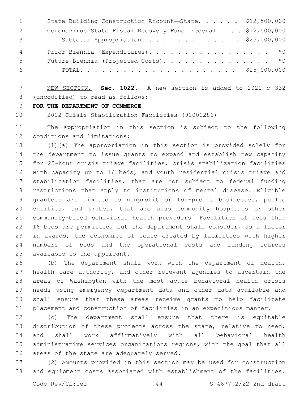| $\mathbf{1}$ | State Building Construction Account-State. \$12,500,000      |  |
|--------------|--------------------------------------------------------------|--|
| 2            | Coronavirus State Fiscal Recovery Fund-Federal. \$12,500,000 |  |
| 3            | Subtotal Appropriation. \$25,000,000                         |  |
| 4            | Prior Biennia (Expenditures). \$0                            |  |
| $5^{\circ}$  | Future Biennia (Projected Costs). \$0                        |  |
| - 6          |                                                              |  |

 NEW SECTION. **Sec. 1022.** A new section is added to 2021 c 332 8 (uncodified) to read as follows:

**FOR THE DEPARTMENT OF COMMERCE**

2022 Crisis Stabilization Facilities (92001286)

 The appropriation in this section is subject to the following 12 conditions and limitations:

 (1)(a) The appropriation in this section is provided solely for the department to issue grants to expand and establish new capacity for 23-hour crisis triage facilities, crisis stabilization facilities with capacity up to 16 beds, and youth residential crisis triage and stabilization facilities, that are not subject to federal funding restrictions that apply to institutions of mental disease. Eligible grantees are limited to nonprofit or for-profit businesses, public entities, and tribes, that are also community hospitals or other community-based behavioral health providers. Facilities of less than 16 beds are permitted, but the department shall consider, as a factor in awards, the economies of scale created by facilities with higher numbers of beds and the operational costs and funding sources 25 available to the applicant.

 (b) The department shall work with the department of health, health care authority, and other relevant agencies to ascertain the areas of Washington with the most acute behavioral health crisis needs using emergency department data and other data available and shall ensure that these areas receive grants to help facilitate placement and construction of facilities in an expeditious manner.

 (c) The department shall ensure that there is equitable distribution of these projects across the state, relative to need, and shall work affirmatively with all behavioral health administrative services organizations regions, with the goal that all 36 areas of the state are adequately served.

 (2) Amounts provided in this section may be used for construction and equipment costs associated with establishment of the facilities.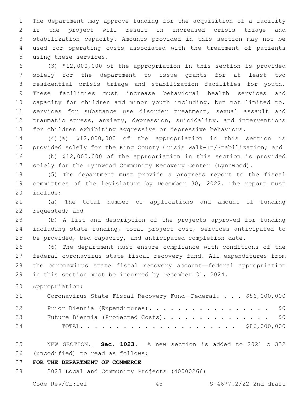The department may approve funding for the acquisition of a facility if the project will result in increased crisis triage and stabilization capacity. Amounts provided in this section may not be used for operating costs associated with the treatment of patients 5 using these services.

 (3) \$12,000,000 of the appropriation in this section is provided solely for the department to issue grants for at least two residential crisis triage and stabilization facilities for youth. These facilities must increase behavioral health services and capacity for children and minor youth including, but not limited to, services for substance use disorder treatment, sexual assault and traumatic stress, anxiety, depression, suicidality, and interventions for children exhibiting aggressive or depressive behaviors.

 (4)(a) \$12,000,000 of the appropriation in this section is provided solely for the King County Crisis Walk-In/Stabilization; and

 (b) \$12,000,000 of the appropriation in this section is provided solely for the Lynnwood Community Recovery Center (Lynnwood).

 (5) The department must provide a progress report to the fiscal committees of the legislature by December 30, 2022. The report must 20 include:

 (a) The total number of applications and amount of funding 22 requested; and

 (b) A list and description of the projects approved for funding including state funding, total project cost, services anticipated to 25 be provided, bed capacity, and anticipated completion date.

 (6) The department must ensure compliance with conditions of the federal coronavirus state fiscal recovery fund. All expenditures from the coronavirus state fiscal recovery account—federal appropriation in this section must be incurred by December 31, 2024.

Appropriation:

| 31 | Coronavirus State Fiscal Recovery Fund-Federal. \$86,000,000 |
|----|--------------------------------------------------------------|
| 32 | Prior Biennia (Expenditures). \$0                            |
| 33 | Future Biennia (Projected Costs). \$0                        |
| 34 |                                                              |

 NEW SECTION. **Sec. 1023.** A new section is added to 2021 c 332 (uncodified) to read as follows: 36

**FOR THE DEPARTMENT OF COMMERCE**

2023 Local and Community Projects (40000266)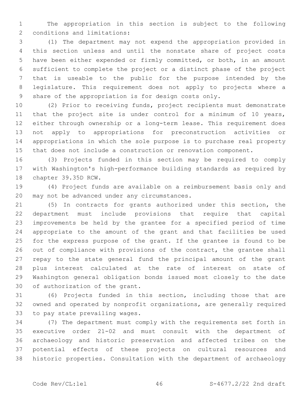The appropriation in this section is subject to the following 2 conditions and limitations:

 (1) The department may not expend the appropriation provided in this section unless and until the nonstate share of project costs have been either expended or firmly committed, or both, in an amount sufficient to complete the project or a distinct phase of the project that is useable to the public for the purpose intended by the legislature. This requirement does not apply to projects where a share of the appropriation is for design costs only.

 (2) Prior to receiving funds, project recipients must demonstrate 11 that the project site is under control for a minimum of 10 years, either through ownership or a long-term lease. This requirement does not apply to appropriations for preconstruction activities or appropriations in which the sole purpose is to purchase real property that does not include a construction or renovation component.

 (3) Projects funded in this section may be required to comply with Washington's high-performance building standards as required by 18 chapter 39.35D RCW.

 (4) Project funds are available on a reimbursement basis only and 20 may not be advanced under any circumstances.

 (5) In contracts for grants authorized under this section, the department must include provisions that require that capital improvements be held by the grantee for a specified period of time appropriate to the amount of the grant and that facilities be used for the express purpose of the grant. If the grantee is found to be 26 out of compliance with provisions of the contract, the grantee shall repay to the state general fund the principal amount of the grant plus interest calculated at the rate of interest on state of Washington general obligation bonds issued most closely to the date 30 of authorization of the grant.

 (6) Projects funded in this section, including those that are owned and operated by nonprofit organizations, are generally required 33 to pay state prevailing wages.

 (7) The department must comply with the requirements set forth in executive order 21-02 and must consult with the department of archaeology and historic preservation and affected tribes on the potential effects of these projects on cultural resources and historic properties. Consultation with the department of archaeology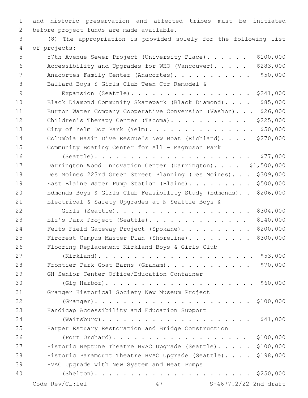1 and historic preservation and affected tribes must be initiated 2 before project funds are made available.

3 (8) The appropriation is provided solely for the following list of projects:4

- 5 57th Avenue Sewer Project (University Place). . . . . . \$100,000 6 Accessibility and Upgrades for WHO (Vancouver). . . . . \$283,000 7 Anacortes Family Center (Anacortes). . . . . . . . . . \$50,000 8 Ballard Boys & Girls Club Teen Ctr Remodel &
- 9 Expansion (Seattle). . . . . . . . . . . . . . . . . \$241,000 10 Black Diamond Community Skatepark (Black Diamond). . . . \$85,000 11 Burton Water Company Cooperative Conversion (Vashon). . . \$26,000 12 Children's Therapy Center (Tacoma). . . . . . . . . . \$225,000 13 City of Yelm Dog Park (Yelm). . . . . . . . . . . . . . . \$50,000 14 Columbia Basin Dive Rescue's New Boat (Richland). . . . \$270,000 15 Community Boating Center for All - Magnuson Park
- 16 (Seattle). . . . . . . . . . . . . . . . . . . . . . \$77,000 17 Darrington Wood Innovation Center (Darrington).... \$1,500,000 18 Des Moines 223rd Green Street Planning (Des Moines). . . \$309,000 19 East Blaine Water Pump Station (Blaine). . . . . . . . \$500,000 20 Edmonds Boys & Girls Club Feasibility Study (Edmonds). . \$206,000 21 Electrical & Safety Upgrades at N Seattle Boys & 22 Girls (Seattle). . . . . . . . . . . . . . . . . . . \$304,000 23 Eli's Park Project (Seattle). . . . . . . . . . . . . \$140,000 24 Felts Field Gateway Project (Spokane). . . . . . . . . \$200,000
- 25 Fircrest Campus Master Plan (Shoreline). . . . . . . . \$300,000 26 Flooring Replacement Kirkland Boys & Girls Club 27 (Kirkland). . . . . . . . . . . . . . . . . . . . . . \$53,000 28 Frontier Park Goat Barns (Graham). . . . . . . . . . . . \$70,000 29 GH Senior Center Office/Education Container 30 (Gig Harbor). . . . . . . . . . . . . . . . . . . . . \$60,000 31 Granger Historical Society New Museum Project 32 (Granger). . . . . . . . . . . . . . . . . . . . . . \$100,000
- 33 Handicap Accessibility and Education Support 34 (Waitsburg). . . . . . . . . . . . . . . . . . . . . \$41,000 35 Harper Estuary Restoration and Bridge Construction 36 (Port Orchard). . . . . . . . . . . . . . . . . . . \$100,000 37 Historic Neptune Theatre HVAC Upgrade (Seattle). . . . . \$100,000
- 38 Historic Paramount Theatre HVAC Upgrade (Seattle). . . . \$198,000 39 HVAC Upgrade with New System and Heat Pumps
- 40 (Shelton). . . . . . . . . . . . . . . . . . . . . . \$250,000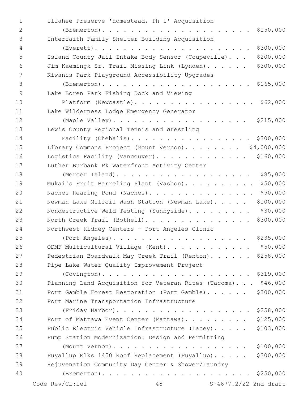| $\mathbf{1}$    | Illahee Preserve 'Homestead, Ph 1' Acquisition                    |
|-----------------|-------------------------------------------------------------------|
| $\mathbf{2}$    | \$150,000                                                         |
| 3               | Interfaith Family Shelter Building Acquisition                    |
| $\overline{4}$  | \$300,000                                                         |
| 5               | \$200,000<br>Island County Jail Intake Body Sensor (Coupeville).  |
| 6               | \$300,000<br>Jim Kaemingk Sr. Trail Missing Link (Lynden).        |
| $7\phantom{.0}$ | Kiwanis Park Playground Accessibility Upgrades                    |
| $8\,$           |                                                                   |
| $\mathsf 9$     | Lake Boren Park Fishing Dock and Viewing                          |
| 10              | Platform (Newcastle). \$62,000                                    |
| 11              | Lake Wilderness Lodge Emergency Generator                         |
| 12              |                                                                   |
| 13              | Lewis County Regional Tennis and Wrestling                        |
| 14              | Facility (Chehalis).<br>\$300,000                                 |
| 15              | Library Commons Project (Mount Vernon). \$4,000,000               |
| 16              | Logistics Facility (Vancouver).<br>\$160,000                      |
| 17              | Luther Burbank Pk Waterfront Activity Center                      |
| 18              | (Mercer Island).<br>\$85,000                                      |
| 19              | \$50,000<br>Mukai's Fruit Barreling Plant (Vashon).               |
| 20              | \$50,000<br>Naches Rearing Pond (Naches).                         |
| 21              | \$100,000<br>Newman Lake Milfoil Wash Station (Newman Lake)       |
| 22              | \$30,000<br>Nondestructive Weld Testing (Sunnyside).              |
| 23              | \$300,000<br>North Creek Trail (Bothell).                         |
| 24              | Northwest Kidney Centers - Port Angeles Clinic                    |
| 25              | \$235,000                                                         |
| 26              | \$50,000<br>ODMF Multicultural Village (Kent).                    |
| 27              | \$258,000<br>Pedestrian Boardwalk May Creek Trail (Renton).       |
| 28              | Pipe Lake Water Quality Improvement Project                       |
| 29              |                                                                   |
| 30              | \$46,000<br>Planning Land Acquisition for Veteran Rites (Tacoma). |
| 31              | Port Gamble Forest Restoration (Port Gamble).<br>\$300,000        |
| 32              | Port Marine Transportation Infrastructure                         |
| 33              | \$258,000<br>(Friday Harbor).                                     |
| 34              | \$125,000<br>Port of Mattawa Event Center (Mattawa).              |
| 35              | \$103,000<br>Public Electric Vehicle Infrastructure (Lacey).      |
| 36              | Pump Station Modernization: Design and Permitting                 |
| 37              | \$100,000<br>(Mount Vernon).                                      |
| 38              | \$300,000<br>Puyallup Elks 1450 Roof Replacement (Puyallup).      |
| 39              | Rejuvenation Community Day Center & Shower/Laundry                |
| 40              |                                                                   |
|                 | Code Rev/CL:lel<br>48<br>S-4677.2/22 2nd draft                    |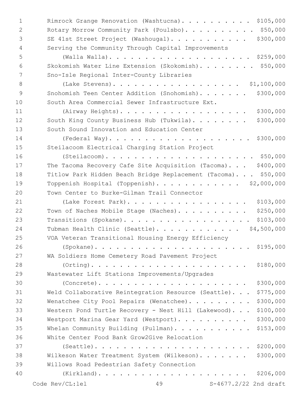| $\mathbf 1$  | Rimrock Grange Renovation (Washtucna). \$105,000                  |
|--------------|-------------------------------------------------------------------|
| $\mathbf{2}$ | Rotary Morrow Community Park (Poulsbo). \$50,000                  |
| 3            | SE 41st Street Project (Washougal). \$300,000                     |
| 4            | Serving the Community Through Capital Improvements                |
| 5            |                                                                   |
| 6            | Skokomish Water Line Extension (Skokomish). \$50,000              |
| 7            | Sno-Isle Regional Inter-County Libraries                          |
| 8            |                                                                   |
| 9            | \$300,000<br>Snohomish Teen Center Addition (Snohomish).          |
| 10           | South Area Commercial Sewer Infrastructure Ext.                   |
| 11           | \$300,000<br>(Airway Heights).                                    |
| 12           | \$300,000<br>South King County Business Hub (Tukwila).            |
| 13           | South Sound Innovation and Education Center                       |
| 14           | \$300,000<br>$(Federal Way)$                                      |
| 15           | Steilacoom Electrical Charging Station Project                    |
| 16           | $(Steilacoom)$                                                    |
| 17           | The Tacoma Recovery Cafe Site Acquisition (Tacoma). \$400,000     |
| 18           | Titlow Park Hidden Beach Bridge Replacement (Tacoma). \$50,000    |
| 19           | Toppenish Hospital (Toppenish). \$2,000,000                       |
| 20           | Town Center to Burke-Gilman Trail Connector                       |
| 21           | \$103,000<br>(Lake Forest Park).                                  |
| 22           | \$250,000<br>Town of Naches Mobile Stage (Naches).                |
| 23           | \$103,000<br>Transitions (Spokane).                               |
| 24           | \$4,500,000<br>Tubman Health Clinic (Seattle).                    |
| 25           | VOA Veteran Transitional Housing Energy Efficiency                |
| 26           |                                                                   |
| 27           | WA Soldiers Home Cemetery Road Pavement Project                   |
| 28           | $(Orting)$<br>\$180,000                                           |
| 29           | Wastewater Lift Stations Improvements/Upgrades                    |
| 30           | $(Concrete)$<br>\$300,000                                         |
| 31           | Weld Collaborative Reintegration Resource (Seattle).<br>\$775,000 |
| 32           | \$300,000<br>Wenatchee City Pool Repairs (Wenatchee).             |
| 33           | \$100,000<br>Western Pond Turtle Recovery - Nest Hill (Lakewood). |
| 34           | \$300,000<br>Westport Marina Gear Yard (Westport).                |
| 35           | \$153,000<br>Whelan Community Building (Pullman).                 |
| 36           | White Center Food Bank Grow2Give Relocation                       |
| 37           | \$200,000<br>$(Seattle)$                                          |
| 38           | \$300,000<br>Wilkeson Water Treatment System (Wilkeson).          |
| 39           | Willows Road Pedestrian Safety Connection                         |
| 40           | \$206,000                                                         |
|              | S-4677.2/22 2nd draft<br>Code Rev/CL:lel<br>49                    |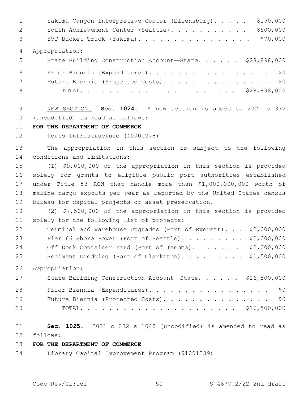| $\mathbf{1}$    | \$150,000<br>Yakima Canyon Interpretive Center (Ellensburg). |
|-----------------|--------------------------------------------------------------|
| 2               | \$500,000<br>Youth Achievement Center (Seattle).             |
| $\mathcal{S}$   | \$70,000<br>YVT Bucket Truck (Yakima).                       |
| 4               | Appropriation:                                               |
| 5 <sup>5</sup>  | State Building Construction Account-State. \$28,898,000      |
| 6               | Prior Biennia (Expenditures). \$0                            |
| $7\overline{ }$ | Future Biennia (Projected Costs). \$0                        |
| 8               |                                                              |

 NEW SECTION. **Sec. 1024.** A new section is added to 2021 c 332 10 (uncodified) to read as follows:

#### **FOR THE DEPARTMENT OF COMMERCE**

Ports Infrastructure (40000278)

 The appropriation in this section is subject to the following 14 conditions and limitations:

 (1) \$9,000,000 of the appropriation in this section is provided solely for grants to eligible public port authorities established under Title 53 RCW that handle more than \$1,000,000,000 worth of marine cargo exports per year as reported by the United States census bureau for capital projects or asset preservation.

 (2) \$7,500,000 of the appropriation in this section is provided 21 solely for the following list of projects:

 Terminal and Warehouse Upgrades (Port of Everett). . . \$2,000,000 Pier 66 Shore Power (Port of Seattle). . . . . . . . . \$2,000,000 24 Off Dock Container Yard (Port of Tacoma)....... \$2,000,000 25 Sediment Dredging (Port of Clarkston). . . . . . . . \$1,500,000

Appropriation:

| 27 | State Building Construction Account-State. \$16,500,000 |
|----|---------------------------------------------------------|
| 28 | Prior Biennia (Expenditures). \$0                       |
| 29 | Future Biennia (Projected Costs). \$0                   |
| 30 |                                                         |

 **Sec. 1025.** 2021 c 332 s 1048 (uncodified) is amended to read as follows: 32

## **FOR THE DEPARTMENT OF COMMERCE**

Library Capital Improvement Program (91001239)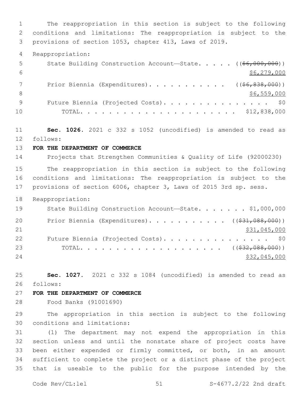The reappropriation in this section is subject to the following conditions and limitations: The reappropriation is subject to the provisions of section 1053, chapter 413, Laws of 2019. Reappropriation: 5 State Building Construction Account—State. . . . . ((\$6,000,000))  $$6,279,000$ 7 Prior Biennia (Expenditures). . . . . . . . . . ((\$6,838,000))  $\frac{1}{26}$ , 559, 000 9 Future Biennia (Projected Costs). . . . . . . . . . . . . . \$0 TOTAL. . . . . . . . . . . . . . . . . . . . . . \$12,838,000 **Sec. 1026.** 2021 c 332 s 1052 (uncodified) is amended to read as follows: 12 **FOR THE DEPARTMENT OF COMMERCE** Projects that Strengthen Communities & Quality of Life (92000230) The reappropriation in this section is subject to the following conditions and limitations: The reappropriation is subject to the provisions of section 6006, chapter 3, Laws of 2015 3rd sp. sess. Reappropriation: 19 State Building Construction Account-State. . . . . . \$1,000,000 20 Prior Biennia (Expenditures). . . . . . . . . . ((\$31,088,000)) 21 \$31,045,000 22 Future Biennia (Projected Costs). . . . . . . . . . . . . . \$0 TOTAL. . . . . . . . . . . . . . . . . . . . ((\$32,088,000)) 24 \$32,045,000 **Sec. 1027.** 2021 c 332 s 1084 (uncodified) is amended to read as follows: 26 **FOR THE DEPARTMENT OF COMMERCE** Food Banks (91001690) The appropriation in this section is subject to the following 30 conditions and limitations: (1) The department may not expend the appropriation in this section unless and until the nonstate share of project costs have been either expended or firmly committed, or both, in an amount sufficient to complete the project or a distinct phase of the project that is useable to the public for the purpose intended by the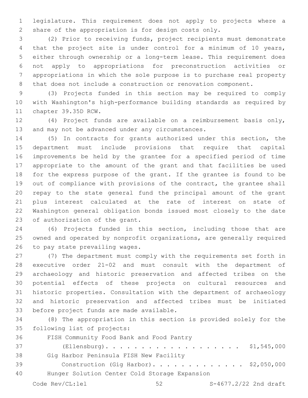legislature. This requirement does not apply to projects where a share of the appropriation is for design costs only.

 (2) Prior to receiving funds, project recipients must demonstrate that the project site is under control for a minimum of 10 years, either through ownership or a long-term lease. This requirement does not apply to appropriations for preconstruction activities or appropriations in which the sole purpose is to purchase real property that does not include a construction or renovation component.

 (3) Projects funded in this section may be required to comply with Washington's high-performance building standards as required by 11 chapter 39.35D RCW.

 (4) Project funds are available on a reimbursement basis only, 13 and may not be advanced under any circumstances.

 (5) In contracts for grants authorized under this section, the department must include provisions that require that capital improvements be held by the grantee for a specified period of time appropriate to the amount of the grant and that facilities be used for the express purpose of the grant. If the grantee is found to be out of compliance with provisions of the contract, the grantee shall repay to the state general fund the principal amount of the grant plus interest calculated at the rate of interest on state of Washington general obligation bonds issued most closely to the date 23 of authorization of the grant.

 (6) Projects funded in this section, including those that are owned and operated by nonprofit organizations, are generally required 26 to pay state prevailing wages.

 (7) The department must comply with the requirements set forth in executive order 21-02 and must consult with the department of archaeology and historic preservation and affected tribes on the potential effects of these projects on cultural resources and historic properties. Consultation with the department of archaeology and historic preservation and affected tribes must be initiated 33 before project funds are made available.

 (8) The appropriation in this section is provided solely for the 35 following list of projects:

36 FISH Community Food Bank and Food Pantry (Ellensburg). . . . . . . . . . . . . . . . . . . \$1,545,000 38 Gig Harbor Peninsula FISH New Facility Construction (Gig Harbor). . . . . . . . . . . . . \$2,050,000 Hunger Solution Center Cold Storage Expansion40 Code  $\text{Rev}(\text{CL:lel})$  52  $\text{S-4677.2/22}$  2nd draft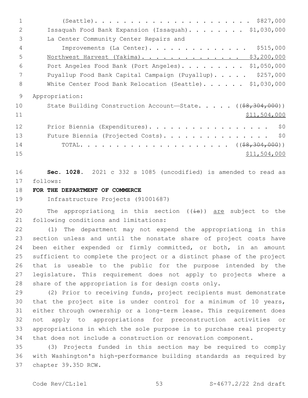(Seattle). . . . . . . . . . . . . . . . . . . . . . \$827,000 Issaquah Food Bank Expansion (Issaquah). . . . . . . . \$1,030,000 3 La Center Community Center Repairs and Improvements (La Center). . . . . . . . . . . . . . \$515,000 5 Northwest Harvest (Yakima). . . . . . . . . . . . . . \$3,200,000 Port Angeles Food Bank (Port Angeles). . . . . . . . . \$1,050,000 7 Puyallup Food Bank Capital Campaign (Puyallup)..... \$257,000 8 White Center Food Bank Relocation (Seattle). . . . . . \$1,030,000 Appropriation: 10 State Building Construction Account—State. . . . . ((\$8,304,000)) \$11,504,000 12 Prior Biennia (Expenditures). . . . . . . . . . . . . . . . \$0 13 Future Biennia (Projected Costs). . . . . . . . . . . . . . \$0 TOTAL. . . . . . . . . . . . . . . . . . . . . ((\$8,304,000)) \$11,504,000 **Sec. 1028.** 2021 c 332 s 1085 (uncodified) is amended to read as

17 follows:

## **FOR THE DEPARTMENT OF COMMERCE**

Infrastructure Projects (91001687)

20 The appropriations in this section  $((\frac{1}{18}))$  are subject to the 21 following conditions and limitations:

22 (1) The department may not expend the appropriations in this section unless and until the nonstate share of project costs have been either expended or firmly committed, or both, in an amount sufficient to complete the project or a distinct phase of the project that is useable to the public for the purpose intended by the legislature. This requirement does not apply to projects where a share of the appropriation is for design costs only.

 (2) Prior to receiving funds, project recipients must demonstrate that the project site is under control for a minimum of 10 years, either through ownership or a long-term lease. This requirement does not apply to appropriations for preconstruction activities or appropriations in which the sole purpose is to purchase real property that does not include a construction or renovation component.

 (3) Projects funded in this section may be required to comply with Washington's high-performance building standards as required by 37 chapter 39.35D RCW.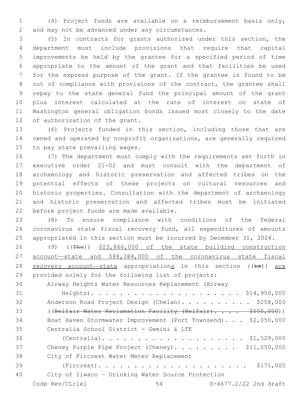(4) Project funds are available on a reimbursement basis only, 2 and may not be advanced under any circumstances.

 (5) In contracts for grants authorized under this section, the department must include provisions that require that capital improvements be held by the grantee for a specified period of time appropriate to the amount of the grant and that facilities be used for the express purpose of the grant. If the grantee is found to be out of compliance with provisions of the contract, the grantee shall repay to the state general fund the principal amount of the grant plus interest calculated at the rate of interest on state of Washington general obligation bonds issued most closely to the date 12 of authorization of the grant.

 (6) Projects funded in this section, including those that are owned and operated by nonprofit organizations, are generally required 15 to pay state prevailing wages.

 (7) The department must comply with the requirements set forth in executive order 21-02 and must consult with the department of archaeology and historic preservation and affected tribes on the potential effects of these projects on cultural resources and historic properties. Consultation with the department of archaeology and historic preservation and affected tribes must be initiated 22 before project funds are made available.

 (8) To ensure compliance with conditions of the federal coronavirus state fiscal recovery fund, all expenditures of amounts appropriated in this section must be incurred by December 31, 2024.

 (9) ((The)) \$23,866,000 of the state building construction account—state and \$88,384,000 of the coronavirus state fiscal 28 recovery account—state appropriations in this section  $(\frac{1}{13})$  are provided solely for the following list of projects:

Airway Heights Water Resources Replacement (Airway

 Heights). . . . . . . . . . . . . . . . . . . . . \$14,950,000 32 Anderson Road Project Design (Chelan). . . . . . . . . \$258,000 33 ((Belfair Water Reclamation Facility (Belfair).... \$500,000)) Boat Haven Stormwater Improvement (Port Townsend). . . \$2,050,000 35 Centralia School District - Gemini & LTE (Centralia). . . . . . . . . . . . . . . . . . . . \$1,529,000 37 Cheney Purple Pipe Project (Cheney). . . . . . . . \$11,050,000 38 City of Fircrest Water Meter Replacement (Fircrest). . . . . . . . . . . . . . . . . . . . . \$171,000 City of Ilwaco – Drinking Water Source Protection Code  $\text{Rev}(\text{CL:lel})$  54  $\text{S-4677.2/22}$  2nd draft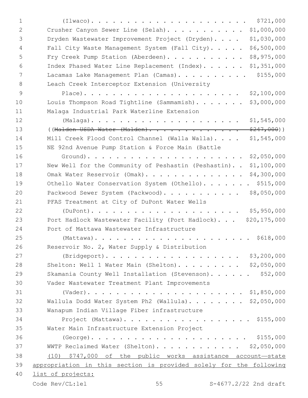| 1  | \$721,000                                                          |
|----|--------------------------------------------------------------------|
| 2  | \$1,000,000<br>Crusher Canyon Sewer Line (Selah).                  |
| 3  | \$1,030,000<br>Dryden Wastewater Improvement Project (Dryden)      |
| 4  | \$6,500,000<br>Fall City Waste Management System (Fall City).      |
| 5  | \$8,975,000<br>Fry Creek Pump Station (Aberdeen).                  |
| 6  | \$1,351,000<br>Index Phased Water Line Replacement (Index).        |
| 7  | \$155,000<br>Lacamas Lake Management Plan (Camas).                 |
| 8  | Leach Creek Interceptor Extension (University                      |
| 9  | \$2,100,000<br>$Place)$                                            |
| 10 | Louis Thompson Road Tightline (Sammamish).<br>\$3,000,000          |
| 11 | Malaga Industrial Park Waterline Extension                         |
| 12 | \$1,545,000                                                        |
| 13 | $$247,000)$ )<br>((Malden USDA Water (Malden).                     |
| 14 | Mill Creek Flood Control Channel (Walla Walla)<br>\$1,545,000      |
| 15 | NE 92nd Avenue Pump Station & Force Main (Battle                   |
| 16 | \$2,050,000                                                        |
| 17 | New Well for the Community of Peshastin (Peshastin)<br>\$1,100,000 |
| 18 | \$4,300,000<br>Omak Water Reservoir (Omak).                        |
| 19 | Othello Water Conservation System (Othello). \$515,000             |
| 20 | \$8,050,000<br>Packwood Sewer System (Packwood).                   |
| 21 | PFAS Treatment at City of DuPont Water Wells                       |
| 22 | \$5,950,000                                                        |
| 23 | Port Hadlock Wastewater Facility (Port Hadlock). \$20,175,000      |
| 24 | Port of Mattawa Wastewater Infrastructure                          |
| 25 |                                                                    |
| 26 | Reservoir No. 2, Water Supply & Distribution                       |
| 27 |                                                                    |
| 28 | Shelton: Well 1 Water Main (Shelton). \$2,050,000                  |
| 29 | Skamania County Well Installation (Stevenson). \$52,000            |
| 30 | Vader Wastewater Treatment Plant Improvements                      |
| 31 |                                                                    |
| 32 | Wallula Dodd Water System Ph2 (Wallula). \$2,050,000               |
| 33 | Wanapum Indian Village Fiber infrastructure                        |
| 34 | Project (Mattawa). \$155,000                                       |
| 35 | Water Main Infrastructure Extension Project                        |
| 36 |                                                                    |
| 37 | WWTP Reclaimed Water (Shelton). \$2,050,000                        |
| 38 | (10) \$747,000 of the public works assistance account-state        |
| 39 | appropriation in this section is provided solely for the following |
| 40 | list of projects:                                                  |
|    | 55<br>S-4677.2/22 2nd draft<br>Code Rev/CL:lel                     |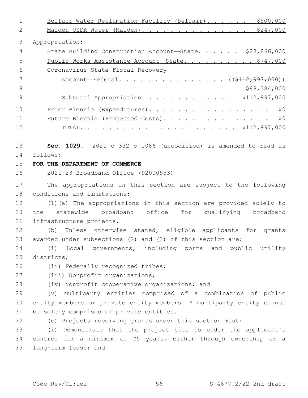1 Belfair Water Reclamation Facility (Belfair). . . . . . \$500,000 2 Malden USDA Water (Malden). . . . . . . . . . . . . . \$247,000 3 Appropriation: 4 State Building Construction Account—State. . . . . \$23,866,000 5 Public Works Assistance Account—State. . . . . . . . . \$747,000 Coronavirus State Fiscal Recovery6 7 Account—Federal. . . . . . . . . . . . . . ((\$112,997,000)) 8 \$88,384,000 9 Subtotal Appropriation. . . . . . . . . . . . \$112,997,000 10 Prior Biennia (Expenditures). . . . . . . . . . . . . . . . . \$0 11 Future Biennia (Projected Costs). . . . . . . . . . . . . . \$0 12 TOTAL. . . . . . . . . . . . . . . . . . . . . . \$112,997,000 13 **Sec. 1029.** 2021 c 332 s 1086 (uncodified) is amended to read as follows: 14 15 **FOR THE DEPARTMENT OF COMMERCE** 16 2021-23 Broadband Office (92000953) 17 The appropriations in this section are subject to the following 18 conditions and limitations: 19 (1)(a) The appropriations in this section are provided solely to 20 the statewide broadband office for qualifying broadband 21 infrastructure projects. 22 (b) Unless otherwise stated, eligible applicants for grants 23 awarded under subsections (2) and (3) of this section are: 24 (i) Local governments, including ports and public utility 25 districts: 26 (ii) Federally recognized tribes; 27 (iii) Nonprofit organizations; 28 (iv) Nonprofit cooperative organizations; and 29 (v) Multiparty entities comprised of a combination of public 30 entity members or private entity members. A multiparty entity cannot 31 be solely comprised of private entities. 32 (c) Projects receiving grants under this section must: 33 (i) Demonstrate that the project site is under the applicant's 34 control for a minimum of 25 years, either through ownership or a 35 long-term lease; and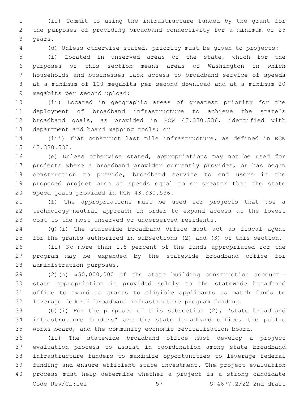(ii) Commit to using the infrastructure funded by the grant for the purposes of providing broadband connectivity for a minimum of 25 3 years.

(d) Unless otherwise stated, priority must be given to projects:

 (i) Located in unserved areas of the state, which for the purposes of this section means areas of Washington in which households and businesses lack access to broadband service of speeds at a minimum of 100 megabits per second download and at a minimum 20 9 megabits per second upload;

 (ii) Located in geographic areas of greatest priority for the deployment of broadband infrastructure to achieve the state's broadband goals, as provided in RCW 43.330.536, identified with 13 department and board mapping tools; or

 (iii) That construct last mile infrastructure, as defined in RCW 15 43.330.530.

 (e) Unless otherwise stated, appropriations may not be used for projects where a broadband provider currently provides, or has begun construction to provide, broadband service to end users in the proposed project area at speeds equal to or greater than the state 20 speed goals provided in RCW 43.330.536.

 (f) The appropriations must be used for projects that use a technology-neutral approach in order to expand access at the lowest cost to the most unserved or underserved residents.

 (g)(i) The statewide broadband office must act as fiscal agent for the grants authorized in subsections (2) and (3) of this section.

 (ii) No more than 1.5 percent of the funds appropriated for the program may be expended by the statewide broadband office for 28 administration purposes.

 (2)(a) \$50,000,000 of the state building construction account— state appropriation is provided solely to the statewide broadband office to award as grants to eligible applicants as match funds to leverage federal broadband infrastructure program funding.

 (b)(i) For the purposes of this subsection (2), "state broadband infrastructure funders" are the state broadband office, the public works board, and the community economic revitalization board.

 (ii) The statewide broadband office must develop a project evaluation process to assist in coordination among state broadband infrastructure funders to maximize opportunities to leverage federal funding and ensure efficient state investment. The project evaluation process must help determine whether a project is a strong candidate Code  $\text{Rev}(\text{CL:lel})$  57  $\text{S-4677.2/22}$  2nd draft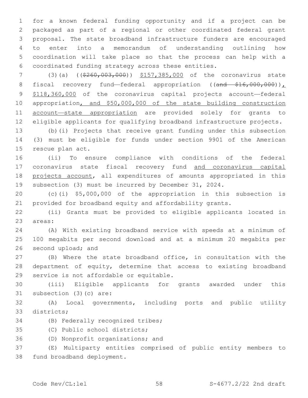for a known federal funding opportunity and if a project can be packaged as part of a regional or other coordinated federal grant proposal. The state broadband infrastructure funders are encouraged to enter into a memorandum of understanding outlining how coordination will take place so that the process can help with a coordinated funding strategy across these entities.

7 (3)(a) ((\$260,003,000)) \$157,385,000 of the coronavirus state 8 fiscal recovery fund—federal appropriation ((and \$16,000,000)), \$118,360,000 of the coronavirus capital projects account—federal appropriation, and \$50,000,000 of the state building construction account—state appropriation are provided solely for grants to eligible applicants for qualifying broadband infrastructure projects.

 (b)(i) Projects that receive grant funding under this subsection (3) must be eligible for funds under section 9901 of the American 15 rescue plan act.

 (ii) To ensure compliance with conditions of the federal 17 coronavirus state fiscal recovery fund and coronavirus capital projects account, all expenditures of amounts appropriated in this subsection (3) must be incurred by December 31, 2024.

 (c)(i) \$5,000,000 of the appropriation in this subsection is provided for broadband equity and affordability grants.

 (ii) Grants must be provided to eligible applicants located in 23 areas:

 (A) With existing broadband service with speeds at a minimum of 100 megabits per second download and at a minimum 20 megabits per 26 second upload; and

 (B) Where the state broadband office, in consultation with the department of equity, determine that access to existing broadband 29 service is not affordable or equitable.

 (iii) Eligible applicants for grants awarded under this 31 subsection (3)(c) are:

 (A) Local governments, including ports and public utility 33 districts;

34 (B) Federally recognized tribes;

35 (C) Public school districts;

36 (D) Nonprofit organizations; and

 (E) Multiparty entities comprised of public entity members to 38 fund broadband deployment.

 $\text{Code } \text{Rev} / \text{CL:} \text{1el}$   $\qquad \qquad 58$   $\qquad \qquad 58$   $\qquad \qquad 5-4677.2/22$  2nd draft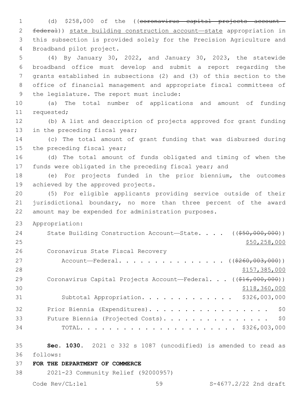1 (d) \$258,000 of the ((coronavirus capital projects account— 2 federal)) state building construction account—state appropriation in 3 this subsection is provided solely for the Precision Agriculture and 4 Broadband pilot project.

 (4) By January 30, 2022, and January 30, 2023, the statewide broadband office must develop and submit a report regarding the grants established in subsections (2) and (3) of this section to the office of financial management and appropriate fiscal committees of 9 the legislature. The report must include:

10 (a) The total number of applications and amount of funding 11 requested;

12 (b) A list and description of projects approved for grant funding 13 in the preceding fiscal year;

14 (c) The total amount of grant funding that was disbursed during 15 the preceding fiscal year;

16 (d) The total amount of funds obligated and timing of when the 17 funds were obligated in the preceding fiscal year; and

18 (e) For projects funded in the prior biennium, the outcomes 19 achieved by the approved projects.

20 (5) For eligible applicants providing service outside of their 21 jurisdictional boundary, no more than three percent of the award 22 amount may be expended for administration purposes.

23 Appropriation:

| 24 | State Building Construction Account-State. $($ $($ $\frac{550,000,000}{50,000,000})$ |
|----|--------------------------------------------------------------------------------------|
| 25 | \$50, 258, 000                                                                       |
| 26 | Coronavirus State Fiscal Recovery                                                    |
| 27 | Account—Federal. ( $(\frac{2260,003,000)}{200,000,000}$ )                            |
| 28 | \$157,385,000                                                                        |
| 29 | Coronavirus Capital Projects Account—Federal. $((\frac{246}{600}, 000)($             |
| 30 | \$118,360,000                                                                        |
| 31 | Subtotal Appropriation. \$326,003,000                                                |
| 32 | \$0<br>Prior Biennia (Expenditures).                                                 |
| 33 | \$0<br>Future Biennia (Projected Costs).                                             |
| 34 |                                                                                      |

35 **Sec. 1030.** 2021 c 332 s 1087 (uncodified) is amended to read as follows: 36

37 **FOR THE DEPARTMENT OF COMMERCE**

38 2021-23 Community Relief (92000957)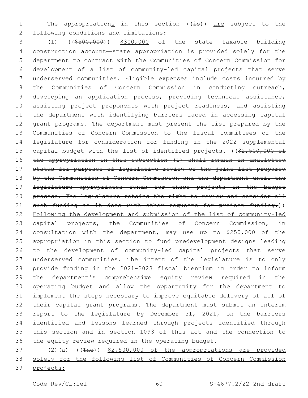1 The appropriations in this section ((is)) are subject to the following conditions and limitations:2

 (1) ((\$500,000)) \$300,000 of the state taxable building construction account—state appropriation is provided solely for the department to contract with the Communities of Concern Commission for development of a list of community-led capital projects that serve underserved communities. Eligible expenses include costs incurred by the Communities of Concern Commission in conducting outreach, developing an application process, providing technical assistance, assisting project proponents with project readiness, and assisting the department with identifying barriers faced in accessing capital grant programs. The department must present the list prepared by the Communities of Concern Commission to the fiscal committees of the legislature for consideration for funding in the 2022 supplemental 15 capital budget with the list of identified projects. ((\$2,500,000 of the appropriation in this subsection (1) shall remain in unallotted status for purposes of legislative review of the joint list prepared 18 by the Communities of Concern Commission and the department until the legislature appropriates funds for these projects in the budget 20 process. The legislature retains the right to review and consider all 21 such funding as it does with other requests for project funding.)) Following the development and submission of the list of community-led 23 capital projects, the Communities of Concern Commission, in 24 consultation with the department, may use up to \$250,000 of the appropriation in this section to fund predevelopment designs leading to the development of community-led capital projects that serve 27 underserved communities. The intent of the legislature is to only provide funding in the 2021-2023 fiscal biennium in order to inform the department's comprehensive equity review required in the operating budget and allow the opportunity for the department to implement the steps necessary to improve equitable delivery of all of their capital grant programs. The department must submit an interim report to the legislature by December 31, 2021, on the barriers identified and lessons learned through projects identified through this section and in section 1093 of this act and the connection to the equity review required in the operating budget.

37 (2)(a) ((The)) \$2,500,000 of the appropriations are provided solely for the following list of Communities of Concern Commission projects: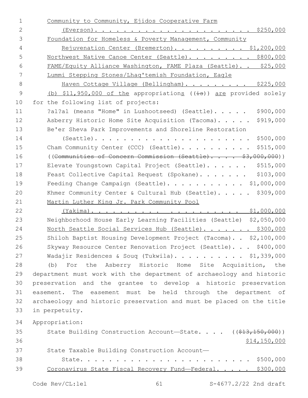| $\mathbf 1$<br>Community to Community, Ejidos Cooperative Farm                             |              |
|--------------------------------------------------------------------------------------------|--------------|
| $\overline{2}$                                                                             |              |
| 3<br>Foundation for Homeless & Poverty Management, Community                               |              |
| $\overline{4}$<br>Rejuvenation Center (Bremerton). \$1,200,000                             |              |
| 5<br>Northwest Native Canoe Center (Seattle). \$800,000                                    |              |
| 6<br>FAME/Equity Alliance Washington, FAME Plaza (Seattle) \$25,000                        |              |
| 7<br>Lummi Stepping Stones/Lhaq'temish Foundation, Eagle                                   |              |
| $\,8\,$<br>Haven Cottage Village (Bellingham). \$225,000                                   |              |
| $\mathcal{G}$<br>(b) $$11,950,000$ of the appropriations ( $(\pm s)$ ) are provided solely |              |
| 10<br>for the following list of projects:                                                  |              |
| 11<br>?al?al (means "Home" in Lushootseed) (Seattle).                                      | \$900,000    |
| 12<br>Asberry Historic Home Site Acquisition (Tacoma).                                     | \$919,000    |
| 13<br>Be'er Sheva Park Improvements and Shoreline Restoration                              |              |
| 14<br>$(Seattle)$                                                                          | \$500,000    |
| 15<br>Cham Community Center (CCC) (Seattle).                                               | \$515,000    |
| 16<br>((Communities of Concern Commission (Seattle) \$3,000,000))                          |              |
| 17<br>Elevate Youngstown Capital Project (Seattle).                                        | \$515,000    |
| 18<br>Feast Collective Capital Request (Spokane).                                          | \$103,000    |
| Feeding Change Campaign (Seattle). \$1,000,000<br>19                                       |              |
| 20<br>Khmer Community Center & Cultural Hub (Seattle).                                     | \$309,000    |
| 21<br>Martin Luther King Jr. Park Community Pool                                           |              |
| 22                                                                                         |              |
| 23<br>Neighborhood House Early Learning Facilities (Seattle) \$2,050,000                   |              |
| North Seattle Social Services Hub (Seattle). \$300,000<br>24                               |              |
| 25<br>Shiloh Baptist Housing Development Project (Tacoma). . \$2,100,000                   |              |
| 26<br>Skyway Resource Center Renovation Project (Seattle). \$400,000                       |              |
| 27<br>Wadajir Residences & Soug (Tukwila). \$1,339,000                                     |              |
| 28<br>(b) For the Asberry Historic Home Site Acquisition, the                              |              |
| 29<br>department must work with the department of archaeology and historic                 |              |
| 30<br>preservation and the grantee to develop a historic preservation                      |              |
| 31<br>easement. The easement must be held through the department of                        |              |
| 32<br>archaeology and historic preservation and must be placed on the title                |              |
| 33<br>in perpetuity.                                                                       |              |
| 34<br>Appropriation:                                                                       |              |
| 35<br>State Building Construction Account-State. $($ $($ $\frac{213}{150}$ , 000))         |              |
| 36                                                                                         | \$14,150,000 |
| 37<br>State Taxable Building Construction Account-                                         |              |
| 38                                                                                         |              |
| 39<br>Coronavirus State Fiscal Recovery Fund-Federal. \$300,000                            |              |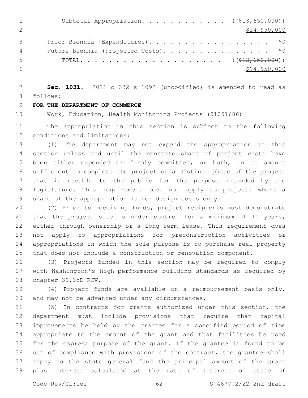|    | Subtotal Appropriation. ( $(\frac{213}{650}, \frac{650}{600})$ ) |
|----|------------------------------------------------------------------|
|    | \$14,950,000                                                     |
|    | Prior Biennia (Expenditures). \$0                                |
| 4  | Future Biennia (Projected Costs). \$0                            |
| .5 |                                                                  |
|    | \$14,950,000                                                     |

 **Sec. 1031.** 2021 c 332 s 1092 (uncodified) is amended to read as 8 follows:

# **FOR THE DEPARTMENT OF COMMERCE**

Work, Education, Health Monitoring Projects (91001686)

 The appropriation in this section is subject to the following 12 conditions and limitations:

 (1) The department may not expend the appropriation in this section unless and until the nonstate share of project costs have been either expended or firmly committed, or both, in an amount sufficient to complete the project or a distinct phase of the project that is useable to the public for the purpose intended by the legislature. This requirement does not apply to projects where a share of the appropriation is for design costs only.

 (2) Prior to receiving funds, project recipients must demonstrate 21 that the project site is under control for a minimum of 10 years, either through ownership or a long-term lease. This requirement does not apply to appropriations for preconstruction activities or appropriations in which the sole purpose is to purchase real property that does not include a construction or renovation component.

 (3) Projects funded in this section may be required to comply with Washington's high-performance building standards as required by 28 chapter 39.35D RCW.

 (4) Project funds are available on a reimbursement basis only, 30 and may not be advanced under any circumstances.

 (5) In contracts for grants authorized under this section, the department must include provisions that require that capital improvements be held by the grantee for a specified period of time appropriate to the amount of the grant and that facilities be used for the express purpose of the grant. If the grantee is found to be out of compliance with provisions of the contract, the grantee shall repay to the state general fund the principal amount of the grant plus interest calculated at the rate of interest on state of

Code Rev/CL:lel 62 62 S-4677.2/22 2nd draft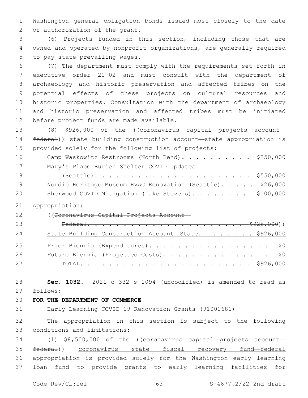Washington general obligation bonds issued most closely to the date 2 of authorization of the grant.

 (6) Projects funded in this section, including those that are owned and operated by nonprofit organizations, are generally required 5 to pay state prevailing wages.

 (7) The department must comply with the requirements set forth in executive order 21-02 and must consult with the department of archaeology and historic preservation and affected tribes on the potential effects of these projects on cultural resources and historic properties. Consultation with the department of archaeology and historic preservation and affected tribes must be initiated 12 before project funds are made available.

 (8) \$926,000 of the ((coronavirus capital projects account— federal)) state building construction account—state appropriation is provided solely for the following list of projects: 16 Camp Waskowitz Restrooms (North Bend). . . . . . . . . \$250,000

17 Mary's Place Burien Shelter COVID Updates (Seattle). . . . . . . . . . . . . . . . . . . . . . \$550,000 19 Nordic Heritage Museum HVAC Renovation (Seattle). . . . . \$26,000 20 Sherwood COVID Mitigation (Lake Stevens). . . . . . . \$100,000

Appropriation:

((Coronavirus Capital Projects Account—

| 23 |                                                      |  |
|----|------------------------------------------------------|--|
| 24 | State Building Construction Account-State. \$926,000 |  |
| 25 | Prior Biennia (Expenditures). \$0                    |  |
| 26 | Future Biennia (Projected Costs). \$0                |  |
| 27 |                                                      |  |

 **Sec. 1032.** 2021 c 332 s 1094 (uncodified) is amended to read as 29 follows:

### **FOR THE DEPARTMENT OF COMMERCE**

Early Learning COVID-19 Renovation Grants (91001681)

 The appropriation in this section is subject to the following 33 conditions and limitations:

34 (1) \$8,500,000 of the ((coronavirus capital projects account- federal)) coronavirus state fiscal recovery fund—federal appropriation is provided solely for the Washington early learning loan fund to provide grants to early learning facilities for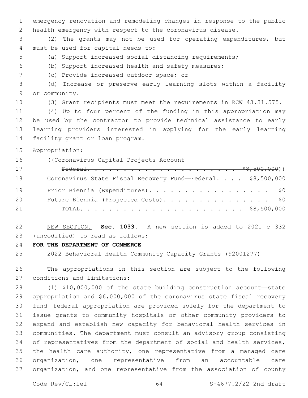emergency renovation and remodeling changes in response to the public health emergency with respect to the coronavirus disease.

 (2) The grants may not be used for operating expenditures, but 4 must be used for capital needs to:

- (a) Support increased social distancing requirements;
- (b) Support increased health and safety measures;
- (c) Provide increased outdoor space; or7

 (d) Increase or preserve early learning slots within a facility 9 or community.

(3) Grant recipients must meet the requirements in RCW 43.31.575.

 (4) Up to four percent of the funding in this appropriation may be used by the contractor to provide technical assistance to early learning providers interested in applying for the early learning 14 facility grant or loan program.

Appropriation:

((Coronavirus Capital Projects Account—

| 17 |                                                             |  |  |
|----|-------------------------------------------------------------|--|--|
| 18 | Coronavirus State Fiscal Recovery Fund-Federal. \$8,500,000 |  |  |
| 19 | Prior Biennia (Expenditures). \$0                           |  |  |
| 20 | Future Biennia (Projected Costs). \$0                       |  |  |
| 21 |                                                             |  |  |

 NEW SECTION. **Sec. 1033.** A new section is added to 2021 c 332 (uncodified) to read as follows: 23

**FOR THE DEPARTMENT OF COMMERCE**

2022 Behavioral Health Community Capacity Grants (92001277)

 The appropriations in this section are subject to the following 27 conditions and limitations:

 (1) \$10,000,000 of the state building construction account—state appropriation and \$6,000,000 of the coronavirus state fiscal recovery fund—federal appropriation are provided solely for the department to issue grants to community hospitals or other community providers to expand and establish new capacity for behavioral health services in communities. The department must consult an advisory group consisting 34 of representatives from the department of social and health services, the health care authority, one representative from a managed care organization, one representative from an accountable care organization, and one representative from the association of county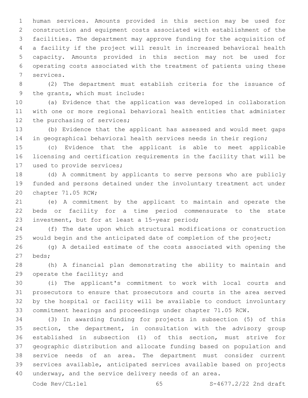human services. Amounts provided in this section may be used for construction and equipment costs associated with establishment of the facilities. The department may approve funding for the acquisition of a facility if the project will result in increased behavioral health capacity. Amounts provided in this section may not be used for operating costs associated with the treatment of patients using these 7 services.

 (2) The department must establish criteria for the issuance of 9 the grants, which must include:

 (a) Evidence that the application was developed in collaboration with one or more regional behavioral health entities that administer 12 the purchasing of services;

 (b) Evidence that the applicant has assessed and would meet gaps in geographical behavioral health services needs in their region;

 (c) Evidence that the applicant is able to meet applicable licensing and certification requirements in the facility that will be 17 used to provide services;

 (d) A commitment by applicants to serve persons who are publicly funded and persons detained under the involuntary treatment act under 20 chapter 71.05 RCW;

 (e) A commitment by the applicant to maintain and operate the beds or facility for a time period commensurate to the state 23 investment, but for at least a 15-year period;

 (f) The date upon which structural modifications or construction 25 would begin and the anticipated date of completion of the project;

 (g) A detailed estimate of the costs associated with opening the beds;27

 (h) A financial plan demonstrating the ability to maintain and 29 operate the facility; and

 (i) The applicant's commitment to work with local courts and prosecutors to ensure that prosecutors and courts in the area served by the hospital or facility will be available to conduct involuntary commitment hearings and proceedings under chapter 71.05 RCW.

 (3) In awarding funding for projects in subsection (5) of this section, the department, in consultation with the advisory group established in subsection (1) of this section, must strive for geographic distribution and allocate funding based on population and service needs of an area. The department must consider current services available, anticipated services available based on projects underway, and the service delivery needs of an area.

Code Rev/CL:lel 65 S-4677.2/22 2nd draft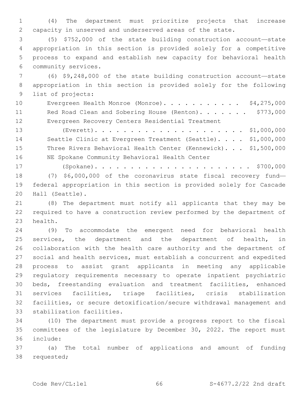(4) The department must prioritize projects that increase capacity in unserved and underserved areas of the state.

 (5) \$752,000 of the state building construction account—state appropriation in this section is provided solely for a competitive process to expand and establish new capacity for behavioral health community services.6

 (6) \$9,248,000 of the state building construction account—state appropriation in this section is provided solely for the following 9 list of projects:

10 Evergreen Health Monroe (Monroe). . . . . . . . . . \$4,275,000 11 Red Road Clean and Sobering House (Renton). . . . . . \$773,000 Evergreen Recovery Centers Residential Treatment

 (Everett). . . . . . . . . . . . . . . . . . . . . \$1,000,000 Seattle Clinic at Evergreen Treatment (Seattle). . . . \$1,000,000 Three Rivers Behavioral Health Center (Kennewick). . . \$1,500,000 16 NE Spokane Community Behavioral Health Center

 (Spokane). . . . . . . . . . . . . . . . . . . . . . \$700,000 (7) \$6,000,000 of the coronavirus state fiscal recovery fund— federal appropriation in this section is provided solely for Cascade 20 Hall (Seattle).

 (8) The department must notify all applicants that they may be required to have a construction review performed by the department of 23 health.

 (9) To accommodate the emergent need for behavioral health services, the department and the department of health, in collaboration with the health care authority and the department of social and health services, must establish a concurrent and expedited process to assist grant applicants in meeting any applicable regulatory requirements necessary to operate inpatient psychiatric beds, freestanding evaluation and treatment facilities, enhanced services facilities, triage facilities, crisis stabilization facilities, or secure detoxification/secure withdrawal management and 33 stabilization facilities.

 (10) The department must provide a progress report to the fiscal committees of the legislature by December 30, 2022. The report must include:36

 (a) The total number of applications and amount of funding 38 requested;

Code Rev/CL:lel 66 S-4677.2/22 2nd draft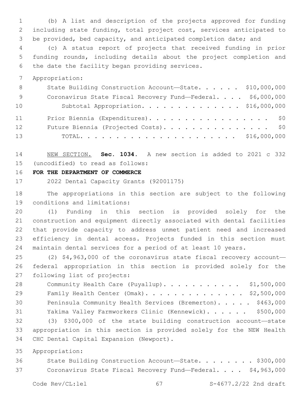(b) A list and description of the projects approved for funding including state funding, total project cost, services anticipated to be provided, bed capacity, and anticipated completion date; and

 (c) A status report of projects that received funding in prior funding rounds, including details about the project completion and 6 the date the facility began providing services.

Appropriation:

| 8 <sup>8</sup> | State Building Construction Account-State. \$10,000,000     |  |
|----------------|-------------------------------------------------------------|--|
| - 9            | Coronavirus State Fiscal Recovery Fund-Federal. \$6,000,000 |  |
| 10             | Subtotal Appropriation. \$16,000,000                        |  |
| 11             | Prior Biennia (Expenditures). \$0                           |  |
| 12             | Future Biennia (Projected Costs). \$0                       |  |
| 13             |                                                             |  |

 NEW SECTION. **Sec. 1034.** A new section is added to 2021 c 332 (uncodified) to read as follows: 15

**FOR THE DEPARTMENT OF COMMERCE**

2022 Dental Capacity Grants (92001175)

 The appropriations in this section are subject to the following 19 conditions and limitations:

 (1) Funding in this section is provided solely for the construction and equipment directly associated with dental facilities that provide capacity to address unmet patient need and increased efficiency in dental access. Projects funded in this section must maintain dental services for a period of at least 10 years.

 (2) \$4,963,000 of the coronavirus state fiscal recovery account— federal appropriation in this section is provided solely for the 27 following list of projects:

28 Community Health Care (Puyallup). . . . . . . . . . \$1,500,000 Family Health Center (Omak). . . . . . . . . . . . . . \$2,500,000 Peninsula Community Health Services (Bremerton). . . . . \$463,000 Yakima Valley Farmworkers Clinic (Kennewick). . . . . . \$500,000 (3) \$300,000 of the state building construction account—state appropriation in this section is provided solely for the NEW Health 34 CHC Dental Capital Expansion (Newport).

Appropriation:

36 State Building Construction Account-State. . . . . . . \$300,000 Coronavirus State Fiscal Recovery Fund—Federal. . . . \$4,963,000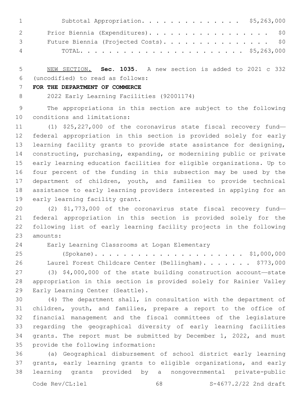| $\mathbf{1}$ and $\mathbf{1}$   | Subtotal Appropriation. \$5,263,000   |
|---------------------------------|---------------------------------------|
| $\overline{2}$                  | Prior Biennia (Expenditures). \$0     |
| $\mathcal{S}$ and $\mathcal{S}$ | Future Biennia (Projected Costs). \$0 |
|                                 | $4\,$                                 |

 NEW SECTION. **Sec. 1035.** A new section is added to 2021 c 332 (uncodified) to read as follows: 6

### **FOR THE DEPARTMENT OF COMMERCE**

2022 Early Learning Facilities (92001174)

 The appropriations in this section are subject to the following 10 conditions and limitations:

 (1) \$25,227,000 of the coronavirus state fiscal recovery fund— federal appropriation in this section is provided solely for early learning facility grants to provide state assistance for designing, constructing, purchasing, expanding, or modernizing public or private early learning education facilities for eligible organizations. Up to four percent of the funding in this subsection may be used by the department of children, youth, and families to provide technical assistance to early learning providers interested in applying for an 19 early learning facility grant.

 (2) \$1,773,000 of the coronavirus state fiscal recovery fund— federal appropriation in this section is provided solely for the following list of early learning facility projects in the following 23 amounts:

Early Learning Classrooms at Logan Elementary24

 (Spokane). . . . . . . . . . . . . . . . . . . . . \$1,000,000 26 Laurel Forest Childcare Center (Bellingham). . . . . . \$773,000 (3) \$4,000,000 of the state building construction account—state appropriation in this section is provided solely for Rainier Valley 29 Early Learning Center (Seattle).

 (4) The department shall, in consultation with the department of children, youth, and families, prepare a report to the office of financial management and the fiscal committees of the legislature regarding the geographical diversity of early learning facilities grants. The report must be submitted by December 1, 2022, and must 35 provide the following information:

 (a) Geographical disbursement of school district early learning grants, early learning grants to eligible organizations, and early learning grants provided by a nongovernmental private-public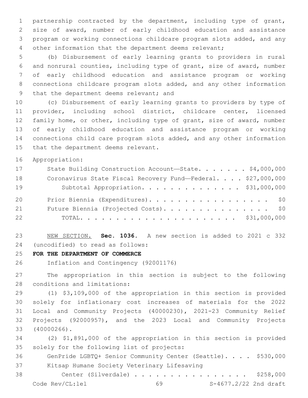partnership contracted by the department, including type of grant, size of award, number of early childhood education and assistance program or working connections childcare program slots added, and any other information that the department deems relevant;

 (b) Disbursement of early learning grants to providers in rural and nonrural counties, including type of grant, size of award, number of early childhood education and assistance program or working connections childcare program slots added, and any other information 9 that the department deems relevant; and

 (c) Disbursement of early learning grants to providers by type of provider, including school district, childcare center, licensed family home, or other, including type of grant, size of award, number of early childhood education and assistance program or working connections child care program slots added, and any other information 15 that the department deems relevant.

Appropriation:

| 17 | State Building Construction Account-State. \$4,000,000       |
|----|--------------------------------------------------------------|
| 18 | Coronavirus State Fiscal Recovery Fund-Federal. \$27,000,000 |
| 19 | Subtotal Appropriation. \$31,000,000                         |
| 20 | Prior Biennia (Expenditures). \$0                            |
| 21 | Future Biennia (Projected Costs). \$0                        |
| 22 |                                                              |

 NEW SECTION. **Sec. 1036.** A new section is added to 2021 c 332 (uncodified) to read as follows: 24

**FOR THE DEPARTMENT OF COMMERCE**

Inflation and Contingency (92001176)

 The appropriation in this section is subject to the following 28 conditions and limitations:

 (1) \$3,109,000 of the appropriation in this section is provided solely for inflationary cost increases of materials for the 2022 Local and Community Projects (40000230), 2021-23 Community Relief Projects (92000957), and the 2023 Local and Community Projects (40000266).33

 (2) \$1,891,000 of the appropriation in this section is provided 35 solely for the following list of projects:

 GenPride LGBTQ+ Senior Community Center (Seattle). . . . \$530,000 37 Kitsap Humane Society Veterinary Lifesaving

 Center (Silverdale) . . . . . . . . . . . . . . . . \$258,000 Code Rev/CL:lel 69 S-4677.2/22 2nd draft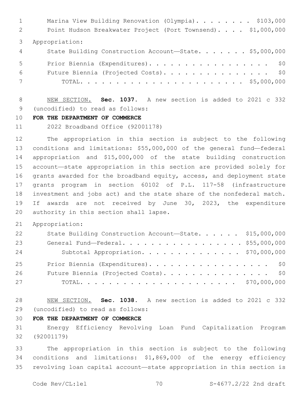1 Marina View Building Renovation (Olympia). . . . . . . \$103,000 Point Hudson Breakwater Project (Port Townsend). . . . \$1,000,000 Appropriation: State Building Construction Account—State. . . . . . . \$5,000,000 5 Prior Biennia (Expenditures). . . . . . . . . . . . . . . . \$0 Future Biennia (Projected Costs). . . . . . . . . . . . . . . \$0 TOTAL. . . . . . . . . . . . . . . . . . . . . . . \$5,000,000

 NEW SECTION. **Sec. 1037.** A new section is added to 2021 c 332 (uncodified) to read as follows: 9

## **FOR THE DEPARTMENT OF COMMERCE**

2022 Broadband Office (92001178)

 The appropriation in this section is subject to the following conditions and limitations: \$55,000,000 of the general fund—federal appropriation and \$15,000,000 of the state building construction account—state appropriation in this section are provided solely for grants awarded for the broadband equity, access, and deployment state grants program in section 60102 of P.L. 117-58 (infrastructure investment and jobs act) and the state share of the nonfederal match. If awards are not received by June 30, 2023, the expenditure 20 authority in this section shall lapse.

Appropriation:

| 22 | State Building Construction Account-State. \$15,000,000 |  |
|----|---------------------------------------------------------|--|
| 23 | General Fund-Federal. \$55,000,000                      |  |
| 24 | Subtotal Appropriation. \$70,000,000                    |  |
| 25 | Prior Biennia (Expenditures). \$0                       |  |
| 26 | Future Biennia (Projected Costs). \$0                   |  |
| 27 |                                                         |  |

 NEW SECTION. **Sec. 1038.** A new section is added to 2021 c 332 (uncodified) to read as follows: 29

# **FOR THE DEPARTMENT OF COMMERCE**

 Energy Efficiency Revolving Loan Fund Capitalization Program (92001179)

 The appropriation in this section is subject to the following conditions and limitations: \$1,869,000 of the energy efficiency revolving loan capital account—state appropriation in this section is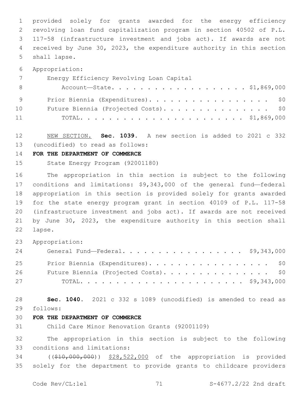provided solely for grants awarded for the energy efficiency revolving loan fund capitalization program in section 40502 of P.L. 117-58 (infrastructure investment and jobs act). If awards are not received by June 30, 2023, the expenditure authority in this section 5 shall lapse.

Appropriation:

|     | Energy Efficiency Revolving Loan Capital |
|-----|------------------------------------------|
| - 8 | Account—State. \$1,869,000               |
| 9   | Prior Biennia (Expenditures). \$0        |
| 10  | Future Biennia (Projected Costs). \$0    |
| 11  |                                          |

 NEW SECTION. **Sec. 1039.** A new section is added to 2021 c 332 13 (uncodified) to read as follows:

#### **FOR THE DEPARTMENT OF COMMERCE**

State Energy Program (92001180)

 The appropriation in this section is subject to the following conditions and limitations: \$9,343,000 of the general fund—federal appropriation in this section is provided solely for grants awarded for the state energy program grant in section 40109 of P.L. 117-58 (infrastructure investment and jobs act). If awards are not received by June 30, 2023, the expenditure authority in this section shall 22 lapse.

Appropriation:

| 24 | General Fund—Federal. \$9,343,000     |  |
|----|---------------------------------------|--|
| 25 | Prior Biennia (Expenditures). \$0     |  |
| 26 | Future Biennia (Projected Costs). \$0 |  |
| 27 |                                       |  |

 **Sec. 1040.** 2021 c 332 s 1089 (uncodified) is amended to read as follows: 29

# **FOR THE DEPARTMENT OF COMMERCE**

Child Care Minor Renovation Grants (92001109)

 The appropriation in this section is subject to the following 33 conditions and limitations:

 ((\$10,000,000)) \$28,522,000 of the appropriation is provided solely for the department to provide grants to childcare providers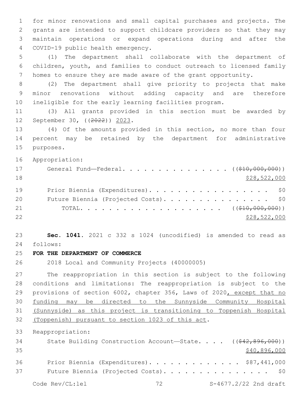for minor renovations and small capital purchases and projects. The grants are intended to support childcare providers so that they may maintain operations or expand operations during and after the COVID-19 public health emergency.4

 (1) The department shall collaborate with the department of children, youth, and families to conduct outreach to licensed family homes to ensure they are made aware of the grant opportunity.

 (2) The department shall give priority to projects that make minor renovations without adding capacity and are therefore ineligible for the early learning facilities program.

 (3) All grants provided in this section must be awarded by 12 September 30, ((2022)) 2023.

 (4) Of the amounts provided in this section, no more than four percent may be retained by the department for administrative 15 purposes.

Appropriation:

| 17 | General Fund—Federal. ( $(\frac{210}{100}, 000, 000)$ ) |
|----|---------------------------------------------------------|
| 18 | \$28,522,000                                            |
| 19 | Prior Biennia (Expenditures). \$0                       |
| 20 | Future Biennia (Projected Costs). \$0                   |
| 21 |                                                         |
| 22 | \$28,522,000                                            |

 **Sec. 1041.** 2021 c 332 s 1024 (uncodified) is amended to read as follows: 24

**FOR THE DEPARTMENT OF COMMERCE**

2018 Local and Community Projects (40000005)

 The reappropriation in this section is subject to the following conditions and limitations: The reappropriation is subject to the provisions of section 6002, chapter 356, Laws of 2020, except that no funding may be directed to the Sunnyside Community Hospital (Sunnyside) as this project is transitioning to Toppenish Hospital 32 (Toppenish) pursuant to section 1023 of this act.

Reappropriation:

| 34 | State Building Construction Account-State. $($ $($ $\frac{642}{62}$ , 896, 000)) |  |  |  |  |                       |
|----|----------------------------------------------------------------------------------|--|--|--|--|-----------------------|
| 35 |                                                                                  |  |  |  |  | \$40,896,000          |
| 36 | Prior Biennia (Expenditures). \$87,441,000                                       |  |  |  |  |                       |
| 37 | Future Biennia (Projected Costs). \$0                                            |  |  |  |  |                       |
|    | Code Rev/CL:lel                                                                  |  |  |  |  | S-4677.2/22 2nd draft |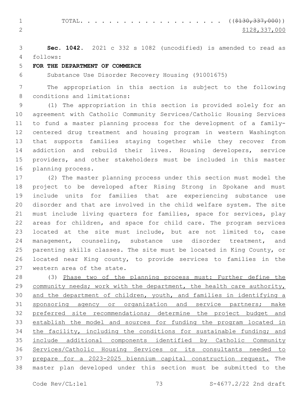1 TOTAL. . . . . . . . . . . . . . . . . . (  $(\frac{2130,337,000}{s})$ 2  $\frac{$128,337,000}{2}$ 

 **Sec. 1042.** 2021 c 332 s 1082 (uncodified) is amended to read as follows: 4

# **FOR THE DEPARTMENT OF COMMERCE**

Substance Use Disorder Recovery Housing (91001675)

 The appropriation in this section is subject to the following 8 conditions and limitations:

 (1) The appropriation in this section is provided solely for an agreement with Catholic Community Services/Catholic Housing Services to fund a master planning process for the development of a family- centered drug treatment and housing program in western Washington that supports families staying together while they recover from addiction and rebuild their lives. Housing developers, service providers, and other stakeholders must be included in this master 16 planning process.

 (2) The master planning process under this section must model the project to be developed after Rising Strong in Spokane and must include units for families that are experiencing substance use disorder and that are involved in the child welfare system. The site must include living quarters for families, space for services, play areas for children, and space for child care. The program services located at the site must include, but are not limited to, case management, counseling, substance use disorder treatment, and parenting skills classes. The site must be located in King County, or located near King county, to provide services to families in the 27 western area of the state.

 (3) Phase two of the planning process must: Further define the 29 community needs; work with the department, the health care authority, and the department of children, youth, and families in identifying a 31 sponsoring agency or organization and service partners; make preferred site recommendations; determine the project budget and establish the model and sources for funding the program located in 34 the facility, including the conditions for sustainable funding; and include additional components identified by Catholic Community Services/Catholic Housing Services or its consultants needed to prepare for a 2023-2025 biennium capital construction request. The master plan developed under this section must be submitted to the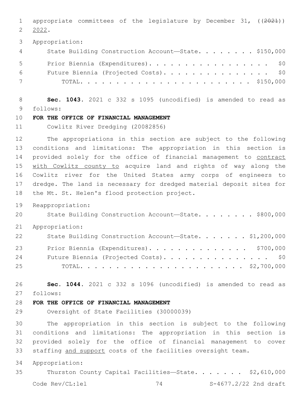appropriate committees of the legislature by December 31, ((2021)) 2022.

Appropriation:

| 4           | State Building Construction Account-State. \$150,000 |
|-------------|------------------------------------------------------|
| $5^{\circ}$ | Prior Biennia (Expenditures). \$0                    |
| 6 —         | Future Biennia (Projected Costs). \$0                |
| 7           |                                                      |

 **Sec. 1043.** 2021 c 332 s 1095 (uncodified) is amended to read as follows: 9

### **FOR THE OFFICE OF FINANCIAL MANAGEMENT**

Cowlitz River Dredging (20082856)

 The appropriations in this section are subject to the following conditions and limitations: The appropriation in this section is 14 provided solely for the office of financial management to contract with Cowlitz county to acquire land and rights of way along the Cowlitz river for the United States army corps of engineers to dredge. The land is necessary for dredged material deposit sites for 18 the Mt. St. Helen's flood protection project.

Reappropriation:

20 State Building Construction Account-State. . . . . . . \$800,000

Appropriation:

| 22 | State Building Construction Account-State. \$1,200,000 |
|----|--------------------------------------------------------|
| 23 | Prior Biennia (Expenditures). \$700,000                |
| 24 | Future Biennia (Projected Costs). \$0                  |
| 25 |                                                        |

 **Sec. 1044.** 2021 c 332 s 1096 (uncodified) is amended to read as follows: 27

# **FOR THE OFFICE OF FINANCIAL MANAGEMENT**

Oversight of State Facilities (30000039)

 The appropriation in this section is subject to the following conditions and limitations: The appropriation in this section is provided solely for the office of financial management to cover staffing and support costs of the facilities oversight team.

Appropriation:

Thurston County Capital Facilities—State. . . . . . . \$2,610,000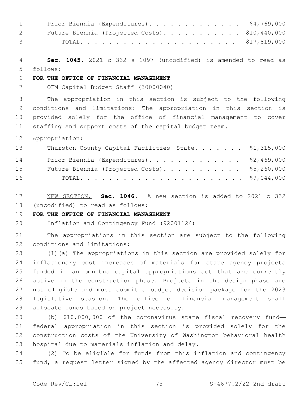| $1 \quad \blacksquare$ | Prior Biennia (Expenditures). \$4,769,000      |  |
|------------------------|------------------------------------------------|--|
| 2 —                    | Future Biennia (Projected Costs). \$10,440,000 |  |
| $3 \sim 3$             |                                                |  |

 **Sec. 1045.** 2021 c 332 s 1097 (uncodified) is amended to read as follows: 5

# **FOR THE OFFICE OF FINANCIAL MANAGEMENT**

OFM Capital Budget Staff (30000040)

 The appropriation in this section is subject to the following conditions and limitations: The appropriation in this section is provided solely for the office of financial management to cover 11 staffing and support costs of the capital budget team.

Appropriation:

| 13 | Thurston County Capital Facilities-State. \$1,315,000 |  |
|----|-------------------------------------------------------|--|
| 14 | Prior Biennia (Expenditures). \$2,469,000             |  |
| 15 | Future Biennia (Projected Costs). \$5,260,000         |  |
| 16 |                                                       |  |

 NEW SECTION. **Sec. 1046.** A new section is added to 2021 c 332 18 (uncodified) to read as follows:

## **FOR THE OFFICE OF FINANCIAL MANAGEMENT**

Inflation and Contingency Fund (92001124)

 The appropriations in this section are subject to the following 22 conditions and limitations:

 (1)(a) The appropriations in this section are provided solely for inflationary cost increases of materials for state agency projects funded in an omnibus capital appropriations act that are currently active in the construction phase. Projects in the design phase are not eligible and must submit a budget decision package for the 2023 legislative session. The office of financial management shall 29 allocate funds based on project necessity.

 (b) \$10,000,000 of the coronavirus state fiscal recovery fund— federal appropriation in this section is provided solely for the construction costs of the University of Washington behavioral health 33 hospital due to materials inflation and delay.

 (2) To be eligible for funds from this inflation and contingency fund, a request letter signed by the affected agency director must be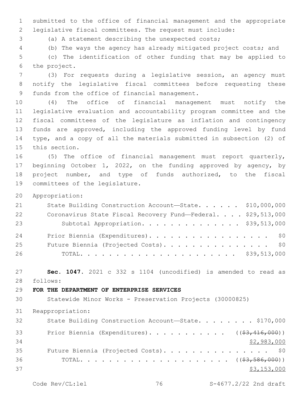submitted to the office of financial management and the appropriate legislative fiscal committees. The request must include:

(a) A statement describing the unexpected costs;

(b) The ways the agency has already mitigated project costs; and

 (c) The identification of other funding that may be applied to 6 the project.

 (3) For requests during a legislative session, an agency must notify the legislative fiscal committees before requesting these 9 funds from the office of financial management.

 (4) The office of financial management must notify the legislative evaluation and accountability program committee and the fiscal committees of the legislature as inflation and contingency funds are approved, including the approved funding level by fund type, and a copy of all the materials submitted in subsection (2) of 15 this section.

 (5) The office of financial management must report quarterly, beginning October 1, 2022, on the funding approved by agency, by project number, and type of funds authorized, to the fiscal 19 committees of the legislature.

Appropriation:

| 21 | State Building Construction Account-State. \$10,000,000      |  |
|----|--------------------------------------------------------------|--|
| 22 | Coronavirus State Fiscal Recovery Fund-Federal. \$29,513,000 |  |
| 23 | Subtotal Appropriation. \$39,513,000                         |  |
| 24 | Prior Biennia (Expenditures). \$0                            |  |
| 25 | Future Biennia (Projected Costs). \$0                        |  |
| 26 |                                                              |  |

 **Sec. 1047.** 2021 c 332 s 1104 (uncodified) is amended to read as follows: 28

#### **FOR THE DEPARTMENT OF ENTERPRISE SERVICES**

Statewide Minor Works - Preservation Projects (30000825)

Reappropriation:

| 32 | State Building Construction Account-State. \$170,000          |
|----|---------------------------------------------------------------|
| 33 | Prior Biennia (Expenditures). ( $(\frac{23}{16}, 416, 000)$ ) |
| 34 | \$2,983,000                                                   |
| 35 | Future Biennia (Projected Costs). \$0                         |
| 36 |                                                               |
| 37 | \$3,153,000                                                   |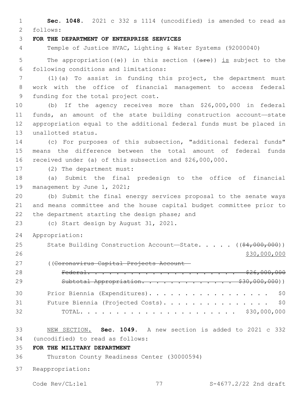**Sec. 1048.** 2021 c 332 s 1114 (uncodified) is amended to read as follows: 2 **FOR THE DEPARTMENT OF ENTERPRISE SERVICES** Temple of Justice HVAC, Lighting & Water Systems (92000040) 5 The appropriation( $(\theta)$ ) in this section ( $(\theta + \epsilon)$ ) is subject to the following conditions and limitations:6 (1)(a) To assist in funding this project, the department must work with the office of financial management to access federal 9 funding for the total project cost. (b) If the agency receives more than \$26,000,000 in federal funds, an amount of the state building construction account—state appropriation equal to the additional federal funds must be placed in 13 unallotted status. (c) For purposes of this subsection, "additional federal funds" means the difference between the total amount of federal funds

17 (2) The department must:

 (a) Submit the final predesign to the office of financial 19 management by June 1, 2021;

 (b) Submit the final energy services proposal to the senate ways and means committee and the house capital budget committee prior to 22 the department starting the design phase; and

23 (c) Start design by August 31, 2021.

received under (a) of this subsection and \$26,000,000.

- Appropriation:
- 25 State Building Construction Account—State. . . . . ((\$4,000,000)) 26 \$30,000,000 \$30,000,000 \$30,000 \$30,000 \$30,000 \$30,000 \$30,000 \$30,000 \$30,000 \$30,000 \$30,000 \$ ((Coronavirus Capital Projects Account—
- Federal. . . . . . . . . . . . . . . . . . . . . \$26,000,000 29 Subtotal Appropriation. . . . . . . . . . . . \$30,000,000)) Prior Biennia (Expenditures). . . . . . . . . . . . . . . . . \$0 Future Biennia (Projected Costs). . . . . . . . . . . . . . . \$0 TOTAL. . . . . . . . . . . . . . . . . . . . . . \$30,000,000
- NEW SECTION. **Sec. 1049.** A new section is added to 2021 c 332 (uncodified) to read as follows: 34
- **FOR THE MILITARY DEPARTMENT**

Thurston County Readiness Center (30000594)

Reappropriation: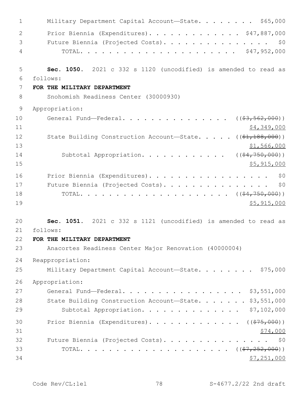| $\mathbf{1}$   | Military Department Capital Account-State. \$65,000                 |
|----------------|---------------------------------------------------------------------|
| $\overline{2}$ | Prior Biennia (Expenditures). \$47,887,000                          |
| 3              | Future Biennia (Projected Costs).<br>\$0                            |
| 4              |                                                                     |
| 5              | Sec. 1050. 2021 c 332 s 1120 (uncodified) is amended to read as     |
| 6              | follows:                                                            |
| 7              | FOR THE MILITARY DEPARTMENT                                         |
| 8              | Snohomish Readiness Center (30000930)                               |
| $\mathsf 9$    | Appropriation:                                                      |
| 10             | General Fund—Federal. ( $(\frac{23}{5000})$ )                       |
| 11             | \$4,349,000                                                         |
| 12             | State Building Construction Account-State. $($ $($ \$1,188,000) $)$ |
| 13             | \$1,566,000                                                         |
| 14             | Subtotal Appropriation. ( $(\frac{64,750,000}{2})$ )                |
| 15             | \$5,915,000                                                         |
| 16             | Prior Biennia (Expenditures).<br>\$0                                |
| 17             | Future Biennia (Projected Costs).<br>\$0                            |
| 18             |                                                                     |
| 19             | \$5,915,000                                                         |
| 20             | Sec. 1051. 2021 c 332 s 1121 (uncodified) is amended to read as     |
| 21             | follows:                                                            |
| 22             | FOR THE MILITARY DEPARTMENT                                         |
| 23             | Anacortes Readiness Center Major Renovation (40000004)              |
| 24             | Reappropriation:                                                    |
| 25             | Military Department Capital Account-State. \$75,000                 |
| 26             | Appropriation:                                                      |
| 27             | General Fund-Federal. \$3,551,000                                   |
| 28             | State Building Construction Account-State. \$3,551,000              |
| 29             | Subtotal Appropriation. \$7,102,000                                 |
| 30             | Prior Biennia (Expenditures). ( $(\frac{275,000}{7})$               |
| 31             | \$74,000                                                            |
| 32             | Future Biennia (Projected Costs). \$0                               |
| 33             |                                                                     |
| 34             | \$7,251,000                                                         |
|                |                                                                     |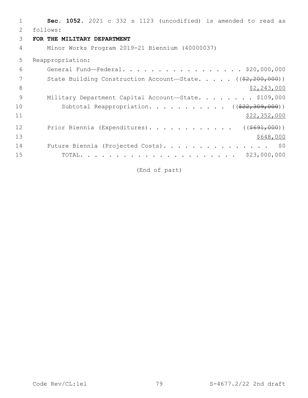| 1  | Sec. 1052. 2021 c 332 s 1123 (uncodified) is amended to read as    |
|----|--------------------------------------------------------------------|
| 2  | follows:                                                           |
| 3  | FOR THE MILITARY DEPARTMENT                                        |
| 4  | Minor Works Program 2019-21 Biennium (40000037)                    |
| 5  | Reappropriation:                                                   |
| 6  | General Fund-Federal. \$20,000,000                                 |
| 7  | State Building Construction Account-State. $($ $(*2, 200, 000))$   |
| 8  | \$2,243,000                                                        |
| 9  | Military Department Capital Account-State. \$109,000               |
| 10 | Subtotal Reappropriation. ( $(\frac{22}{7}\cdot\frac{309}{100})$ ) |
| 11 | \$22,352,000                                                       |
| 12 | Prior Biennia (Expenditures). ( $(\frac{\$691,000}{\$691,000})$    |
| 13 | \$648,000                                                          |
| 14 | Future Biennia (Projected Costs). \$0                              |
| 15 |                                                                    |

(End of part)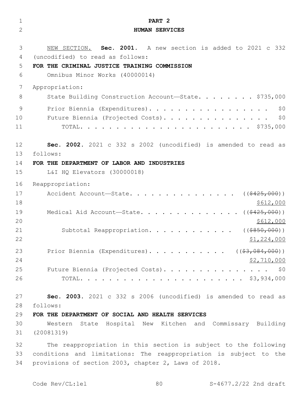| $\mathbf 1$ | PART <sub>2</sub>                                                 |
|-------------|-------------------------------------------------------------------|
| 2           | <b>HUMAN SERVICES</b>                                             |
| 3           | NEW SECTION. Sec. 2001. A new section is added to 2021 c 332      |
| 4           | (uncodified) to read as follows:                                  |
| 5           | FOR THE CRIMINAL JUSTICE TRAINING COMMISSION                      |
| 6           | Omnibus Minor Works (40000014)                                    |
| 7           | Appropriation:                                                    |
| 8           | State Building Construction Account-State. \$735,000              |
| 9           | Prior Biennia (Expenditures).<br>\$0                              |
| 10          | Future Biennia (Projected Costs).<br>\$0                          |
| 11          |                                                                   |
| 12          | Sec. 2002. 2021 c 332 s 2002 (uncodified) is amended to read as   |
| 13          | follows:                                                          |
| 14          | FOR THE DEPARTMENT OF LABOR AND INDUSTRIES                        |
| 15          | L&I HQ Elevators (30000018)                                       |
| 16          | Reappropriation:                                                  |
| 17          | Accident Account-State.<br>( ( \$425,000) )                       |
| 18          | \$612,000                                                         |
| 19          | Medical Aid Account-State. ( $(\frac{2425,000}{1})$               |
| 20          | \$612,000                                                         |
| 21          | Subtotal Reappropriation.<br>( ( \$850,000) )                     |
| 22          | \$1,224,000                                                       |
| 23          | Prior Biennia (Expenditures). ( $(\frac{27.084}{100})$ )          |
| 24          | \$2,710,000                                                       |
| 25          | Future Biennia (Projected Costs). \$0                             |
| 26          |                                                                   |
| 27          | Sec. 2003. 2021 c 332 s 2006 (uncodified) is amended to read as   |
| 28          | follows:                                                          |
| 29          | FOR THE DEPARTMENT OF SOCIAL AND HEALTH SERVICES                  |
| 30          | Western State Hospital New Kitchen and Commissary Building        |
| 31          | (20081319)                                                        |
| 32          | The reappropriation in this section is subject to the following   |
| 33          | conditions and limitations: The reappropriation is subject to the |
| 34          | provisions of section 2003, chapter 2, Laws of 2018.              |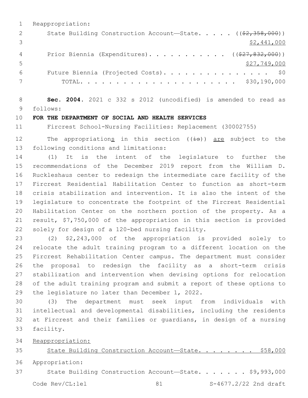|    | Reappropriation:                                                                   |
|----|------------------------------------------------------------------------------------|
|    | State Building Construction Account-State. $($ $($ $\frac{2}{2}, \frac{358}{200})$ |
|    | \$2,441,000                                                                        |
|    | Prior Biennia (Expenditures). ( $(\frac{27}{627}, \frac{832}{600})$ )              |
| .5 | \$27,749,000                                                                       |
| 6  | Future Biennia (Projected Costs). \$0                                              |
|    | TOTAL.                                                                             |

 **Sec. 2004.** 2021 c 332 s 2012 (uncodified) is amended to read as follows: 9

#### **FOR THE DEPARTMENT OF SOCIAL AND HEALTH SERVICES**

Fircrest School-Nursing Facilities: Replacement (30002755)

12 The appropriations in this section  $((\pm s))$  are subject to the 13 following conditions and limitations:

 (1) It is the intent of the legislature to further the recommendations of the December 2019 report from the William D. Ruckleshaus center to redesign the intermediate care facility of the Fircrest Residential Habilitation Center to function as short-term crisis stabilization and intervention. It is also the intent of the legislature to concentrate the footprint of the Fircrest Residential Habilitation Center on the northern portion of the property. As a result, \$7,750,000 of the appropriation in this section is provided 22 solely for design of a 120-bed nursing facility.

 (2) \$2,243,000 of the appropriation is provided solely to relocate the adult training program to a different location on the Fircrest Rehabilitation Center campus. The department must consider the proposal to redesign the facility as a short-term crisis stabilization and intervention when devising options for relocation of the adult training program and submit a report of these options to 29 the legislature no later than December 1, 2022.

 (3) The department must seek input from individuals with intellectual and developmental disabilities, including the residents at Fircrest and their families or guardians, in design of a nursing 33 facility.

Reappropriation:

State Building Construction Account—State. . . . . . . . \$58,000

Appropriation:

State Building Construction Account—State. . . . . . . \$9,993,000

Code Rev/CL:lel 81 81 S-4677.2/22 2nd draft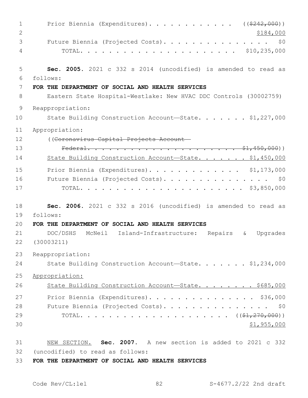| $\mathbf{1}$   | Prior Biennia (Expenditures). ( $(\frac{2242,000}{s})$                       |
|----------------|------------------------------------------------------------------------------|
| $\mathbf{2}$   | \$184,000                                                                    |
| 3              | Future Biennia (Projected Costs).<br>\$0                                     |
| 4              |                                                                              |
| 5              | Sec. 2005. 2021 c 332 s 2014 (uncodified) is amended to read as              |
| 6              | follows:                                                                     |
| 7<br>8         | FOR THE DEPARTMENT OF SOCIAL AND HEALTH SERVICES                             |
|                | Eastern State Hospital-Westlake: New HVAC DDC Controls (30002759)            |
| $\overline{9}$ | Reappropriation:                                                             |
| 10             | State Building Construction Account-State. \$1,227,000                       |
| 11             | Appropriation:                                                               |
| 12             | ((Coronavirus Capital Projects Account-                                      |
| 13             |                                                                              |
| 14             | State Building Construction Account-State. \$1,450,000                       |
| 15             | Prior Biennia (Expenditures). \$1,173,000                                    |
| 16             | Future Biennia (Projected Costs). \$0                                        |
| 17             |                                                                              |
| 18             | Sec. 2006. 2021 c 332 s 2016 (uncodified) is amended to read as              |
| 19             | follows:                                                                     |
| 20             | FOR THE DEPARTMENT OF SOCIAL AND HEALTH SERVICES                             |
| 21             | DOC/DSHS<br>McNeil Island-Infrastructure:<br>Repairs<br>Upgrades<br>$\delta$ |
| 22             | (30003211)                                                                   |
| 23             | Reappropriation:                                                             |
| 24             | State Building Construction Account-State. \$1,234,000                       |
| 25             | Appropriation:                                                               |
| 26             | State Building Construction Account-State. \$685,000                         |
| 27             | Prior Biennia (Expenditures). \$36,000                                       |
| 28             | Future Biennia (Projected Costs). \$0                                        |
| 29             |                                                                              |
| 30             | \$1,955,000                                                                  |
| 31             | NEW SECTION. Sec. 2007. A new section is added to 2021 c 332                 |
| 32             | (uncodified) to read as follows:                                             |
| 33             | FOR THE DEPARTMENT OF SOCIAL AND HEALTH SERVICES                             |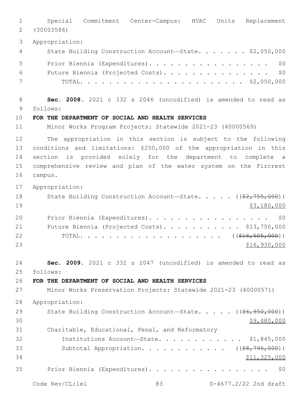Special Commitment Center-Campus: HVAC Units Replacement (30003586) Appropriation: 4 State Building Construction Account—State. . . . . . \$2,050,000 5 Prior Biennia (Expenditures). . . . . . . . . . . . . . . . \$0 Future Biennia (Projected Costs). . . . . . . . . . . . . . . \$0 TOTAL. . . . . . . . . . . . . . . . . . . . . . . \$2,050,000 **Sec. 2008.** 2021 c 332 s 2046 (uncodified) is amended to read as follows: 9 **FOR THE DEPARTMENT OF SOCIAL AND HEALTH SERVICES** Minor Works Program Projects: Statewide 2021-23 (40000569) The appropriation in this section is subject to the following conditions and limitations: \$250,000 of the appropriation in this section is provided solely for the department to complete a comprehensive review and plan of the water system on the Fircrest 16 campus. Appropriation: 18 State Building Construction Account—State. . . . ((\$2,755,000)) \$3,180,000 20 Prior Biennia (Expenditures). . . . . . . . . . . . . . . . \$0 21 Future Biennia (Projected Costs). . . . . . . . . . \$13,750,000 22 TOTAL. . . . . . . . . . . . . . . . . . ((<del>\$16,505,000</del>)) \$16,930,000 **Sec. 2009.** 2021 c 332 s 2047 (uncodified) is amended to read as follows: 25 **FOR THE DEPARTMENT OF SOCIAL AND HEALTH SERVICES** Minor Works Preservation Projects: Statewide 2021-23 (40000571) Appropriation: 29 State Building Construction Account—State. . . . . ((<del>\$6,950,000</del>))  $30 \div 9,480,000$  Charitable, Educational, Penal, and Reformatory Institutions Account—State. . . . . . . . . . . . \$1,845,000 33 Subtotal Appropriation. . . . . . . . . . . ((\$8,795,000)) \$11,325,000 Prior Biennia (Expenditures). . . . . . . . . . . . . . . . . \$0

Code Rev/CL:lel 83 83 S-4677.2/22 2nd draft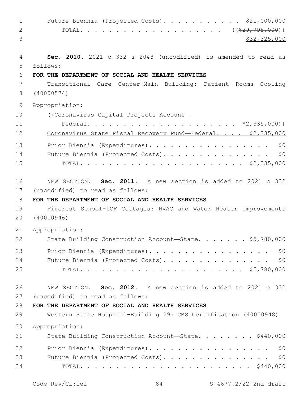1 Future Biennia (Projected Costs). . . . . . . . . . \$21,000,000 2 TOTAL. . . . . . . . . . . . . . . . . . ((<del>\$29,795,000</del>)) \$32,325,000 **Sec. 2010.** 2021 c 332 s 2048 (uncodified) is amended to read as follows: 5 **FOR THE DEPARTMENT OF SOCIAL AND HEALTH SERVICES** Transitional Care Center-Main Building: Patient Rooms Cooling (40000574) Appropriation: ((Coronavirus Capital Projects Account— Federal. . . . . . . . . . . . . . . . . . . . . \$2,335,000)) 12 Coronavirus State Fiscal Recovery Fund-Federal. . . . \$2,335,000 13 Prior Biennia (Expenditures). . . . . . . . . . . . . . . . \$0 Future Biennia (Projected Costs). . . . . . . . . . . . . . . \$0 TOTAL. . . . . . . . . . . . . . . . . . . . . . . \$2,335,000 NEW SECTION. **Sec. 2011.** A new section is added to 2021 c 332 17 (uncodified) to read as follows: **FOR THE DEPARTMENT OF SOCIAL AND HEALTH SERVICES** Fircrest School-ICF Cottages: HVAC and Water Heater Improvements (40000946) Appropriation: 22 State Building Construction Account-State. . . . . . \$5,780,000 23 Prior Biennia (Expenditures). . . . . . . . . . . . . . . . \$0 24 Future Biennia (Projected Costs). . . . . . . . . . . . . . \$0 TOTAL. . . . . . . . . . . . . . . . . . . . . . . \$5,780,000 NEW SECTION. **Sec. 2012.** A new section is added to 2021 c 332 27 (uncodified) to read as follows: **FOR THE DEPARTMENT OF SOCIAL AND HEALTH SERVICES** Western State Hospital-Building 29: CMS Certification (40000948) Appropriation: 31 State Building Construction Account—State. . . . . . . \$440,000 32 Prior Biennia (Expenditures). . . . . . . . . . . . . . . . \$0 33 Future Biennia (Projected Costs). . . . . . . . . . . . . . \$0 TOTAL. . . . . . . . . . . . . . . . . . . . . . . . \$440,000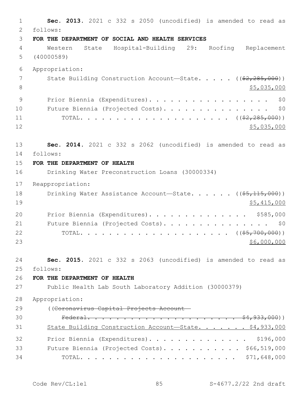**Sec. 2013.** 2021 c 332 s 2050 (uncodified) is amended to read as follows: 2 **FOR THE DEPARTMENT OF SOCIAL AND HEALTH SERVICES** Western State Hospital-Building 29: Roofing Replacement (40000589) Appropriation: 7 State Building Construction Account—State. . . . . ((\$2,285,000))  $\frac{1}{5}$ ,035,000 9 Prior Biennia (Expenditures). . . . . . . . . . . . . . . . \$0 10 Future Biennia (Projected Costs). . . . . . . . . . . . . . \$0 TOTAL. . . . . . . . . . . . . . . . . . . . . ((\$2,285,000)) \$5,035,000 **Sec. 2014.** 2021 c 332 s 2062 (uncodified) is amended to read as follows: 14 **FOR THE DEPARTMENT OF HEALTH** Drinking Water Preconstruction Loans (30000334) Reappropriation: 18 Drinking Water Assistance Account—State. . . . . ((\$5,115,000)) \$5,415,000 20 Prior Biennia (Expenditures). . . . . . . . . . . . . \$585,000 21 Future Biennia (Projected Costs). . . . . . . . . . . . . . \$0 TOTAL. . . . . . . . . . . . . . . . . . . . . ((\$5,700,000)) \$6,000,000 **Sec. 2015.** 2021 c 332 s 2063 (uncodified) is amended to read as follows: 25 **FOR THE DEPARTMENT OF HEALTH** Public Health Lab South Laboratory Addition (30000379) Appropriation: ((Coronavirus Capital Projects Account— Federal. . . . . . . . . . . . . . . . . . . . . \$4,933,000)) 31 State Building Construction Account—State. . . . . . \$4,933,000 Prior Biennia (Expenditures). . . . . . . . . . . . . . \$196,000 33 Future Biennia (Projected Costs). . . . . . . . . . \$66,519,000 TOTAL. . . . . . . . . . . . . . . . . . . . . . \$71,648,000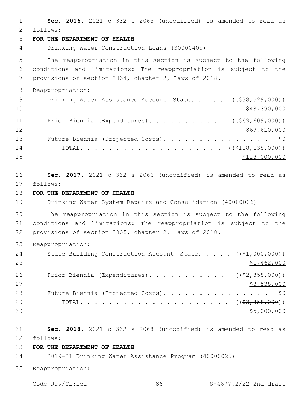**Sec. 2016.** 2021 c 332 s 2065 (uncodified) is amended to read as follows: 2 **FOR THE DEPARTMENT OF HEALTH** Drinking Water Construction Loans (30000409) The reappropriation in this section is subject to the following conditions and limitations: The reappropriation is subject to the provisions of section 2034, chapter 2, Laws of 2018. Reappropriation: 9 Drinking Water Assistance Account—State. . . . . ((\$38,529,000))  $\frac{10}{248,390,000}$ 11 Prior Biennia (Expenditures)........... ((\$69,609,000)) 12 \$69,610,000 13 Future Biennia (Projected Costs). . . . . . . . . . . . . . \$0 14 TOTAL. . . . . . . . . . . . . . . . . . ((<del>\$108,138,000</del>))  $$118,000,000$  **Sec. 2017.** 2021 c 332 s 2066 (uncodified) is amended to read as follows: 17 **FOR THE DEPARTMENT OF HEALTH** Drinking Water System Repairs and Consolidation (40000006) The reappropriation in this section is subject to the following conditions and limitations: The reappropriation is subject to the provisions of section 2035, chapter 2, Laws of 2018. Reappropriation: 24 State Building Construction Account—State. . . . . ((\$1,000,000)) \$1,462,000 26 Prior Biennia (Expenditures). . . . . . . . . . ((\$2,858,000)) 27 \$3,538,000 28 Future Biennia (Projected Costs). . . . . . . . . . . . . . \$0 TOTAL. . . . . . . . . . . . . . . . . . . . . ((\$3,858,000)) \$5,000,000 **Sec. 2018.** 2021 c 332 s 2068 (uncodified) is amended to read as follows: 32 **FOR THE DEPARTMENT OF HEALTH** 2019-21 Drinking Water Assistance Program (40000025) Reappropriation: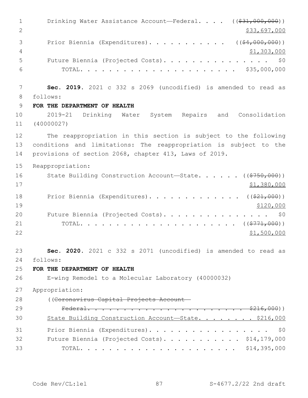1 Drinking Water Assistance Account—Federal. . . . ((\$31,000,000)) 2 \$33,697,000 3 Prior Biennia (Expenditures). . . . . . . . . . . ((\$4,000,000))  $\frac{4}{71,303,000}$  Future Biennia (Projected Costs). . . . . . . . . . . . . . . \$0 TOTAL. . . . . . . . . . . . . . . . . . . . . . \$35,000,000 **Sec. 2019.** 2021 c 332 s 2069 (uncodified) is amended to read as follows: 8 **FOR THE DEPARTMENT OF HEALTH** 2019-21 Drinking Water System Repairs and Consolidation (40000027) The reappropriation in this section is subject to the following conditions and limitations: The reappropriation is subject to the provisions of section 2068, chapter 413, Laws of 2019. Reappropriation: 16 State Building Construction Account—State. . . . . . ((\$750,000)) \$1,380,000 18 Prior Biennia (Expenditures). . . . . . . . . . . . ((\$21,000)) 19 \$120,000 20 Future Biennia (Projected Costs). . . . . . . . . . . . . . \$0 TOTAL. . . . . . . . . . . . . . . . . . . . . . ((\$771,000))  $$1,500,000$  **Sec. 2020.** 2021 c 332 s 2071 (uncodified) is amended to read as follows: 24 **FOR THE DEPARTMENT OF HEALTH** E-wing Remodel to a Molecular Laboratory (40000032) Appropriation: ((Coronavirus Capital Projects Account— Federal. . . . . . . . . . . . . . . . . . . . . . \$216,000)) State Building Construction Account—State. . . . . . . . \$216,000 Prior Biennia (Expenditures). . . . . . . . . . . . . . . . . \$0 32 Future Biennia (Projected Costs). . . . . . . . . . \$14,179,000 TOTAL. . . . . . . . . . . . . . . . . . . . . . \$14,395,000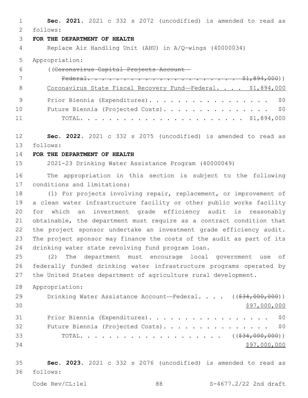**Sec. 2021.** 2021 c 332 s 2072 (uncodified) is amended to read as follows: 2

## **FOR THE DEPARTMENT OF HEALTH**

Replace Air Handling Unit (AHU) in A/Q-wings (40000034)

Appropriation:

| 6  | ((Coronavirus Capital Projects Account-                     |
|----|-------------------------------------------------------------|
|    |                                                             |
| -8 | Coronavirus State Fiscal Recovery Fund-Federal. \$1,894,000 |
|    | Prior Biennia (Expenditures). \$0                           |
| 10 | Future Biennia (Projected Costs). \$0                       |
| 11 |                                                             |

 **Sec. 2022.** 2021 c 332 s 2075 (uncodified) is amended to read as follows: 13

#### **FOR THE DEPARTMENT OF HEALTH**

2021-23 Drinking Water Assistance Program (40000049)

 The appropriation in this section is subject to the following 17 conditions and limitations:

 (1) For projects involving repair, replacement, or improvement of a clean water infrastructure facility or other public works facility for which an investment grade efficiency audit is reasonably obtainable, the department must require as a contract condition that the project sponsor undertake an investment grade efficiency audit. The project sponsor may finance the costs of the audit as part of its 24 drinking water state revolving fund program loan.

 (2) The department must encourage local government use of federally funded drinking water infrastructure programs operated by the United States department of agriculture rural development.

Appropriation:

| 29 | Drinking Water Assistance Account—Federal. $($ $($ $\frac{24}{634}$ , 000, 000)) |
|----|----------------------------------------------------------------------------------|
| 30 | \$97,000,000                                                                     |
| 31 | Prior Biennia (Expenditures). \$0                                                |
| 32 | Future Biennia (Projected Costs). \$0                                            |
| 33 |                                                                                  |
| 34 | \$97,000,000                                                                     |

 **Sec. 2023.** 2021 c 332 s 2076 (uncodified) is amended to read as follows: 36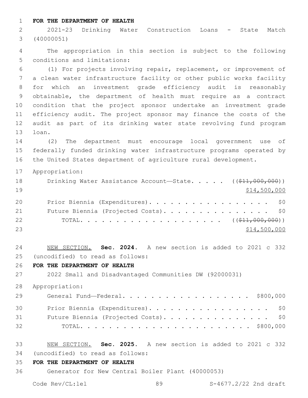**FOR THE DEPARTMENT OF HEALTH**

 2021-23 Drinking Water Construction Loans - State Match (40000051)

 The appropriation in this section is subject to the following 5 conditions and limitations:

 (1) For projects involving repair, replacement, or improvement of a clean water infrastructure facility or other public works facility for which an investment grade efficiency audit is reasonably obtainable, the department of health must require as a contract condition that the project sponsor undertake an investment grade efficiency audit. The project sponsor may finance the costs of the audit as part of its drinking water state revolving fund program 13 loan.

 (2) The department must encourage local government use of federally funded drinking water infrastructure programs operated by the United States department of agriculture rural development.

Appropriation:

| 18 | Drinking Water Assistance Account-State. $($ $($ \$11,000,000)) |  |
|----|-----------------------------------------------------------------|--|
| 19 | \$14,500,000                                                    |  |
| 20 | Prior Biennia (Expenditures). \$0                               |  |
| 21 | Future Biennia (Projected Costs). \$0                           |  |
| 22 |                                                                 |  |
| 23 | \$14,500,000                                                    |  |

 NEW SECTION. **Sec. 2024.** A new section is added to 2021 c 332 (uncodified) to read as follows: 25

**FOR THE DEPARTMENT OF HEALTH**

2022 Small and Disadvantaged Communities DW (92000031)

Appropriation:

| 29 | General Fund—Federal. \$800,000       |
|----|---------------------------------------|
| 30 | Prior Biennia (Expenditures). \$0     |
| 31 | Future Biennia (Projected Costs). \$0 |
| 32 |                                       |

- NEW SECTION. **Sec. 2025.** A new section is added to 2021 c 332 (uncodified) to read as follows: 34
- **FOR THE DEPARTMENT OF HEALTH**
- Generator for New Central Boiler Plant (40000053)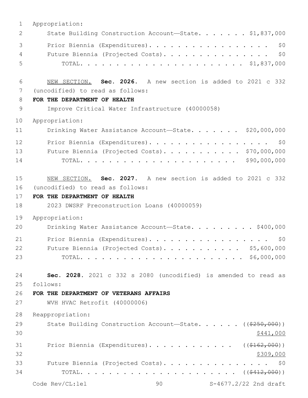| $\mathbf 1$ | Appropriation:                                                        |
|-------------|-----------------------------------------------------------------------|
| 2           | State Building Construction Account-State. \$1,837,000                |
| 3           | Prior Biennia (Expenditures).<br>\$0                                  |
| 4           | Future Biennia (Projected Costs).<br>\$0                              |
| 5           |                                                                       |
| 6           | NEW SECTION. Sec. 2026. A new section is added to 2021 c 332          |
| 7           | (uncodified) to read as follows:                                      |
| 8           | FOR THE DEPARTMENT OF HEALTH                                          |
| 9           | Improve Critical Water Infrastructure (40000058)                      |
| 10          | Appropriation:                                                        |
| 11          | Drinking Water Assistance Account-State. \$20,000,000                 |
| 12          | Prior Biennia (Expenditures).<br>\$0                                  |
| 13          | Future Biennia (Projected Costs). \$70,000,000                        |
| 14          | \$90,000,000                                                          |
|             |                                                                       |
| 15          | NEW SECTION. Sec. 2027. A new section is added to 2021 c 332          |
| 16          | (uncodified) to read as follows:                                      |
| 17          | FOR THE DEPARTMENT OF HEALTH                                          |
| 18          | 2023 DWSRF Preconstruction Loans (40000059)                           |
| 19          | Appropriation:                                                        |
| 20          | Drinking Water Assistance Account-State. \$400,000                    |
| 21          | Prior Biennia (Expenditures).<br>\$0                                  |
| 22          | Future Biennia (Projected Costs). \$5,600,000                         |
| 23          |                                                                       |
| 24          | Sec. 2028. 2021 c 332 s 2080 (uncodified) is amended to read as       |
| 25          | follows:                                                              |
| 26          | FOR THE DEPARTMENT OF VETERANS AFFAIRS                                |
| 27          | WVH HVAC Retrofit (40000006)                                          |
| 28          | Reappropriation:                                                      |
| 29          | State Building Construction Account-State. $($ $($ $\frac{259}{100})$ |
| 30          | \$441,000                                                             |
| 31          | Prior Biennia (Expenditures). ( $(\frac{\$162,000}{\$162,000})$ )     |
| 32          | \$309,000                                                             |
| 33          | Future Biennia (Projected Costs). \$0                                 |
| 34          |                                                                       |
|             | Code Rev/CL:lel<br>90<br>S-4677.2/22 2nd draft                        |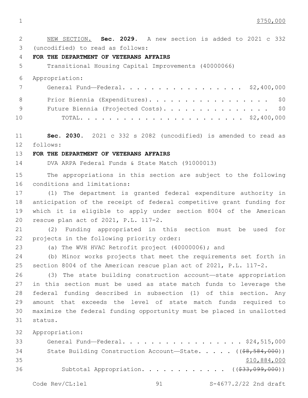1 \$750,000

 NEW SECTION. **Sec. 2029.** A new section is added to 2021 c 332 3 (uncodified) to read as follows: **FOR THE DEPARTMENT OF VETERANS AFFAIRS** Transitional Housing Capital Improvements (40000066) Appropriation: General Fund—Federal. . . . . . . . . . . . . . . . . \$2,400,000 8 Prior Biennia (Expenditures). . . . . . . . . . . . . . . . \$0 9 Future Biennia (Projected Costs). . . . . . . . . . . . . . \$0 TOTAL. . . . . . . . . . . . . . . . . . . . . . . \$2,400,000 **Sec. 2030.** 2021 c 332 s 2082 (uncodified) is amended to read as follows: 12 **FOR THE DEPARTMENT OF VETERANS AFFAIRS** DVA ARPA Federal Funds & State Match (91000013) The appropriations in this section are subject to the following 16 conditions and limitations: (1) The department is granted federal expenditure authority in anticipation of the receipt of federal competitive grant funding for which it is eligible to apply under section 8004 of the American 20 rescue plan act of 2021, P.L. 117-2. (2) Funding appropriated in this section must be used for 22 projects in the following priority order: (a) The WVH HVAC Retrofit project (40000006); and (b) Minor works projects that meet the requirements set forth in section 8004 of the American rescue plan act of 2021, P.L. 117-2. (3) The state building construction account—state appropriation in this section must be used as state match funds to leverage the federal funding described in subsection (1) of this section. Any amount that exceeds the level of state match funds required to maximize the federal funding opportunity must be placed in unallotted status.31 Appropriation: General Fund—Federal. . . . . . . . . . . . . . . . . \$24,515,000 34 State Building Construction Account—State. . . . . ((<del>\$8,584,000</del>)) \$10,884,000 Subtotal Appropriation. . . . . . . . . . . . ((\$33,099,000))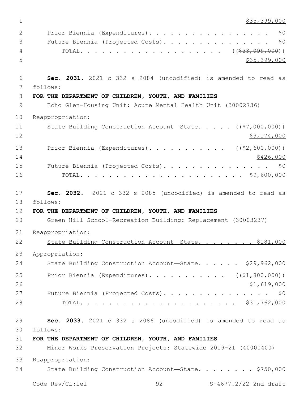1 \$35,399,000

| 2  | \$0<br>Prior Biennia (Expenditures).                               |
|----|--------------------------------------------------------------------|
|    |                                                                    |
| 3  | \$0<br>Future Biennia (Projected Costs).                           |
| 4  |                                                                    |
| 5  | \$35,399,000                                                       |
| 6  | Sec. 2031. 2021 c 332 s 2084 (uncodified) is amended to read as    |
| 7  | follows:                                                           |
| 8  | FOR THE DEPARTMENT OF CHILDREN, YOUTH, AND FAMILIES                |
| 9  | Echo Glen-Housing Unit: Acute Mental Health Unit (30002736)        |
| 10 | Reappropriation:                                                   |
| 11 | State Building Construction Account-State. $($ $(*7, 000, 000) )$  |
| 12 | \$9,174,000                                                        |
| 13 | Prior Biennia (Expenditures). ( $(\frac{2}{62}, 600, 000)$ )       |
| 14 | \$426,000                                                          |
| 15 | Future Biennia (Projected Costs).<br>\$0                           |
| 16 |                                                                    |
|    |                                                                    |
| 17 | Sec. 2032. 2021 c 332 s 2085 (uncodified) is amended to read as    |
| 18 | follows:                                                           |
|    |                                                                    |
| 19 | FOR THE DEPARTMENT OF CHILDREN, YOUTH, AND FAMILIES                |
| 20 | Green Hill School-Recreation Building: Replacement (30003237)      |
| 21 | Reappropriation:                                                   |
| 22 | State Building Construction Account-State. \$181,000               |
| 23 | Appropriation:                                                     |
| 24 | State Building Construction Account-State. \$29,962,000            |
| 25 | Prior Biennia (Expenditures). ( $(\frac{1}{2}, \frac{200}{100})$ ) |
| 26 | \$1,619,000                                                        |
| 27 | Future Biennia (Projected Costs). \$0                              |
| 28 |                                                                    |
|    |                                                                    |
| 29 | Sec. 2033. 2021 c 332 s 2086 (uncodified) is amended to read as    |
| 30 | follows:                                                           |
| 31 | FOR THE DEPARTMENT OF CHILDREN, YOUTH, AND FAMILIES                |
| 32 | Minor Works Preservation Projects: Statewide 2019-21 (40000400)    |
| 33 | Reappropriation:                                                   |
| 34 | State Building Construction Account-State. \$750,000               |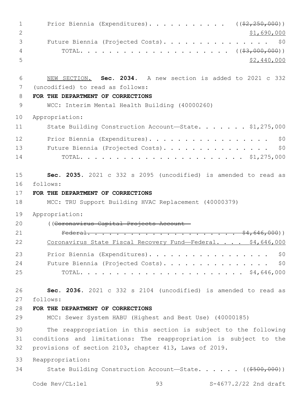| $\mathbf 1$<br>$\overline{2}$ | Prior Biennia (Expenditures). ( $(\frac{2}{2}, 250, 000)$ )<br>\$1,690,000                       |
|-------------------------------|--------------------------------------------------------------------------------------------------|
| 3<br>4<br>5                   | Future Biennia (Projected Costs).<br>\$0<br>\$2,440,000                                          |
| 6<br>7                        | NEW SECTION. Sec. 2034. A new section is added to 2021 c 332<br>(uncodified) to read as follows: |
| 8                             | FOR THE DEPARTMENT OF CORRECTIONS                                                                |
| 9                             | WCC: Interim Mental Health Building (40000260)                                                   |
| 10                            | Appropriation:                                                                                   |
| 11                            | State Building Construction Account-State. \$1,275,000                                           |
| 12                            | Prior Biennia (Expenditures).<br>\$0                                                             |
| 13                            | \$0<br>Future Biennia (Projected Costs).                                                         |
| 14                            |                                                                                                  |
| 15                            | Sec. 2035. 2021 c 332 s 2095 (uncodified) is amended to read as                                  |
| 16                            | follows:                                                                                         |
| 17                            | FOR THE DEPARTMENT OF CORRECTIONS                                                                |
| 18                            | MCC: TRU Support Building HVAC Replacement (40000379)                                            |
| 19                            | Appropriation:                                                                                   |
| 20                            | ((Coronavirus Capital Projects Account-                                                          |
| 21                            |                                                                                                  |
| 22                            | Coronavirus State Fiscal Recovery Fund-Federal.<br>\$4,646,000                                   |
| 23                            | Prior Biennia (Expenditures).<br>\$0                                                             |
| 24                            | Future Biennia (Projected Costs).<br>\$0                                                         |
| 25                            |                                                                                                  |
| 26                            | Sec. 2036. 2021 c 332 s 2104 (uncodified) is amended to read as                                  |
| 27                            | follows:                                                                                         |
| 28                            | FOR THE DEPARTMENT OF CORRECTIONS                                                                |
| 29                            | MCC: Sewer System HABU (Highest and Best Use) (40000185)                                         |
| 30                            | The reappropriation in this section is subject to the following                                  |
| 31                            | conditions and limitations: The reappropriation is subject to the                                |
| 32                            | provisions of section 2103, chapter 413, Laws of 2019.                                           |
| 33                            | Reappropriation:                                                                                 |
| 34                            | State Building Construction Account-State. $($ $($ \$500,000) $)$                                |
|                               | Code Rev/CL:lel<br>93<br>S-4677.2/22 2nd draft                                                   |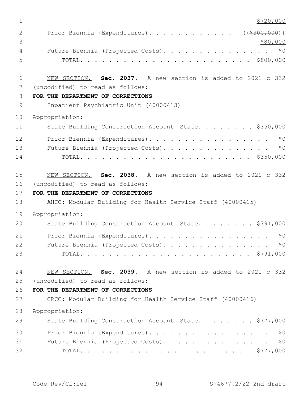| $\mathbf 1$    | \$720,000                                                    |
|----------------|--------------------------------------------------------------|
| 2<br>3         | Prior Biennia (Expenditures). ((\$300,000))<br>\$80,000      |
| $\overline{4}$ | Future Biennia (Projected Costs). \$0                        |
| 5              |                                                              |
| 6              | NEW SECTION. Sec. 2037. A new section is added to 2021 c 332 |
| 7              | (uncodified) to read as follows:                             |
| 8              | FOR THE DEPARTMENT OF CORRECTIONS                            |
| $\mathsf 9$    | Inpatient Psychiatric Unit (40000413)                        |
| 10             | Appropriation:                                               |
| 11             | State Building Construction Account-State. \$350,000         |
| 12             | Prior Biennia (Expenditures).<br>\$0                         |
| 13             | Future Biennia (Projected Costs).<br>\$0                     |
| 14             |                                                              |
| 15             | NEW SECTION. Sec. 2038. A new section is added to 2021 c 332 |
| 16             | (uncodified) to read as follows:                             |
| 17             | FOR THE DEPARTMENT OF CORRECTIONS                            |
| 18             | AHCC: Modular Building for Health Service Staff (40000415)   |
| 19             | Appropriation:                                               |
| 20             | State Building Construction Account-State. \$791,000         |
| 21             | Prior Biennia (Expenditures).<br>\$0                         |
| 22             | Future Biennia (Projected Costs).<br>\$0\$                   |
| 23             |                                                              |
| 24             | NEW SECTION. Sec. 2039. A new section is added to 2021 c 332 |
| 25             | (uncodified) to read as follows:                             |
| 26             | FOR THE DEPARTMENT OF CORRECTIONS                            |
| 27             | CRCC: Modular Building for Health Service Staff (40000416)   |
| 28             | Appropriation:                                               |
| 29             | State Building Construction Account-State. \$777,000         |
| 30             | Prior Biennia (Expenditures).<br>\$0                         |
| 31             | \$0<br>Future Biennia (Projected Costs).                     |
| 32             |                                                              |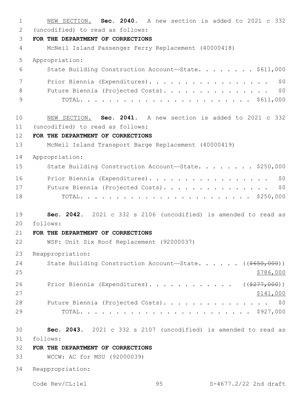NEW SECTION. **Sec. 2040.** A new section is added to 2021 c 332 2 (uncodified) to read as follows: **FOR THE DEPARTMENT OF CORRECTIONS** McNeil Island Passenger Ferry Replacement (40000418) Appropriation: State Building Construction Account—State. . . . . . . . \$611,000 7 Prior Biennia (Expenditures). . . . . . . . . . . . . . . . \$0 8 Future Biennia (Projected Costs). . . . . . . . . . . . . . \$0 TOTAL. . . . . . . . . . . . . . . . . . . . . . . . \$611,000 NEW SECTION. **Sec. 2041.** A new section is added to 2021 c 332 (uncodified) to read as follows: 11 **FOR THE DEPARTMENT OF CORRECTIONS** McNeil Island Transport Barge Replacement (40000419) Appropriation: 15 State Building Construction Account-State. . . . . . . \$250,000 16 Prior Biennia (Expenditures). . . . . . . . . . . . . . . . \$0 Future Biennia (Projected Costs). . . . . . . . . . . . . . . \$0 TOTAL. . . . . . . . . . . . . . . . . . . . . . . . \$250,000 **Sec. 2042.** 2021 c 332 s 2106 (uncodified) is amended to read as follows: 20 **FOR THE DEPARTMENT OF CORRECTIONS** WSP: Unit Six Roof Replacement (92000037) Reappropriation: 24 State Building Construction Account—State. . . . . ((\$650,000)) 26 Prior Biennia (Expenditures). . . . . . . . . . . ((\$277,000))  $\frac{$141,000}{}$ 28 Future Biennia (Projected Costs). . . . . . . . . . . . . . \$0 TOTAL. . . . . . . . . . . . . . . . . . . . . . . . \$927,000 **Sec. 2043.** 2021 c 332 s 2107 (uncodified) is amended to read as follows: 31 **FOR THE DEPARTMENT OF CORRECTIONS** WCCW: AC for MSU (92000039) Reappropriation: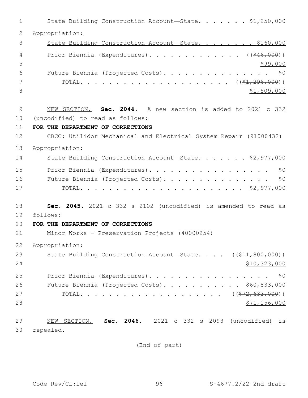| 1  | State Building Construction Account-State. \$1,250,000                  |
|----|-------------------------------------------------------------------------|
| 2  | Appropriation:                                                          |
| 3  | State Building Construction Account-State. \$160,000                    |
| 4  | Prior Biennia (Expenditures). ( $(\frac{646,000}{10})$                  |
| 5  | \$99,000                                                                |
| 6  | Future Biennia (Projected Costs). \$0                                   |
| 7  |                                                                         |
| 8  | \$1,509,000                                                             |
| 9  | NEW SECTION. Sec. 2044. A new section is added to 2021 c 332            |
| 10 | (uncodified) to read as follows:                                        |
| 11 | FOR THE DEPARTMENT OF CORRECTIONS                                       |
| 12 | CBCC: Utilidor Mechanical and Electrical System Repair (91000432)       |
| 13 | Appropriation:                                                          |
| 14 | State Building Construction Account-State. \$2,977,000                  |
| 15 | Prior Biennia (Expenditures).<br>\$0                                    |
| 16 | Future Biennia (Projected Costs). \$0                                   |
| 17 |                                                                         |
| 18 | Sec. 2045. 2021 c 332 s 2102 (uncodified) is amended to read as         |
| 19 | follows:                                                                |
| 20 | FOR THE DEPARTMENT OF CORRECTIONS                                       |
| 21 | Minor Works - Preservation Projects (40000254)                          |
| 22 | Appropriation:                                                          |
| 23 | State Building Construction Account-State. $($ $($ $$11, 800, 000)$ $)$ |
| 24 | \$10,323,000                                                            |
| 25 | Prior Biennia (Expenditures).<br>\$0                                    |
| 26 | Future Biennia (Projected Costs). \$60,833,000                          |
| 27 |                                                                         |
| 28 | <u>\$71,156,000</u>                                                     |
| 29 | NEW SECTION. Sec. 2046. 2021 c 332 s 2093 (uncodified) is               |
| 30 | repealed.                                                               |

(End of part)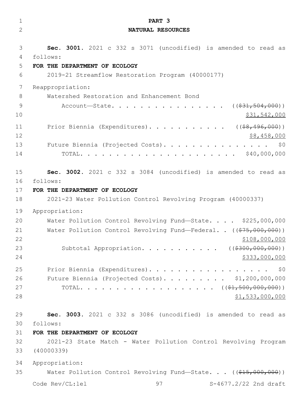| $\mathbf 1$    | PART 3                                                                               |
|----------------|--------------------------------------------------------------------------------------|
| $\overline{2}$ | NATURAL RESOURCES                                                                    |
|                |                                                                                      |
| 3              | Sec. 3001. 2021 c 332 s 3071 (uncodified) is amended to read as                      |
| 4              | follows:                                                                             |
| 5              | FOR THE DEPARTMENT OF ECOLOGY                                                        |
| 6              | 2019-21 Streamflow Restoration Program (40000177)                                    |
| 7              | Reappropriation:                                                                     |
| 8              | Watershed Restoration and Enhancement Bond                                           |
| 9              | Account—State. ( $(\frac{231}{504}, \frac{504}{600})$ )                              |
| 10             | \$31,542,000                                                                         |
| 11             | Prior Biennia (Expenditures). ( $(\frac{1}{68}, \frac{496}{100})$ )                  |
| 12             | \$8,458,000                                                                          |
| 13             | Future Biennia (Projected Costs).<br>\$0                                             |
| 14             |                                                                                      |
|                |                                                                                      |
| 15             | Sec. 3002. 2021 c 332 s 3084 (uncodified) is amended to read as                      |
| 16             | follows:                                                                             |
| 17             | FOR THE DEPARTMENT OF ECOLOGY                                                        |
| 18             | 2021-23 Water Pollution Control Revolving Program (40000337)                         |
| 19             | Appropriation:                                                                       |
| 20             | Water Pollution Control Revolving Fund-State. \$225,000,000                          |
| 21             | Water Pollution Control Revolving Fund-Federal. . $((\frac{275,000,000)}{200,000}))$ |
| 22             | \$108,000,000                                                                        |
| 23             | Subtotal Appropriation. ( $(\frac{2300,000,000)}{100,000}$ )                         |
| 24             | \$333,000,000                                                                        |
| 25             | Prior Biennia (Expenditures).<br>\$0                                                 |
| 26             | Future Biennia (Projected Costs). \$1,200,000,000                                    |
| 27             |                                                                                      |
| 28             | \$1,533,000,000                                                                      |
|                |                                                                                      |
| 29             | Sec. 3003. 2021 c 332 s 3086 (uncodified) is amended to read as                      |
| 30             | follows:                                                                             |
| 31             | FOR THE DEPARTMENT OF ECOLOGY                                                        |
| 32             | 2021-23 State Match - Water Pollution Control Revolving Program                      |
| 33             | (40000339)                                                                           |
| 34             | Appropriation:                                                                       |
| 35             | Water Pollution Control Revolving Fund-State. $($ $($ \$15,000,000) $)$              |
|                | Code Rev/CL:lel<br>97<br>S-4677.2/22 2nd draft                                       |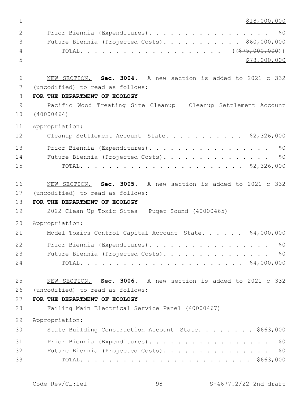\$18,000,000  $\,$ 

| 2                               | Prior Biennia (Expenditures). \$0              |
|---------------------------------|------------------------------------------------|
| $\mathcal{S}$ and $\mathcal{S}$ | Future Biennia (Projected Costs). \$60,000,000 |
| $\overline{4}$                  |                                                |
| - 5                             | \$78,000,000                                   |

 NEW SECTION. **Sec. 3004.** A new section is added to 2021 c 332 (uncodified) to read as follows: 7

## **FOR THE DEPARTMENT OF ECOLOGY**

 Pacific Wood Treating Site Cleanup – Cleanup Settlement Account (40000464)

Appropriation:

| 12 | Cleanup Settlement Account-State. \$2,326,000 |
|----|-----------------------------------------------|
| 13 | Prior Biennia (Expenditures). \$0             |
| 14 | Future Biennia (Projected Costs). \$0         |
| 15 |                                               |

 NEW SECTION. **Sec. 3005.** A new section is added to 2021 c 332 17 (uncodified) to read as follows:

# **FOR THE DEPARTMENT OF ECOLOGY**

2022 Clean Up Toxic Sites – Puget Sound (40000465)

Appropriation:

| 21 | Model Toxics Control Capital Account-State. \$4,000,000 |  |
|----|---------------------------------------------------------|--|
| 22 | Prior Biennia (Expenditures). \$0                       |  |
| 23 | Future Biennia (Projected Costs). \$0                   |  |
| 24 |                                                         |  |

 NEW SECTION. **Sec. 3006.** A new section is added to 2021 c 332 (uncodified) to read as follows: 26

### **FOR THE DEPARTMENT OF ECOLOGY**

Failing Main Electrical Service Panel (40000467)

Appropriation:

| 30 | State Building Construction Account-State. \$663,000 |
|----|------------------------------------------------------|
| 31 | Prior Biennia (Expenditures). \$0                    |
| 32 | Future Biennia (Projected Costs). \$0                |
| 33 |                                                      |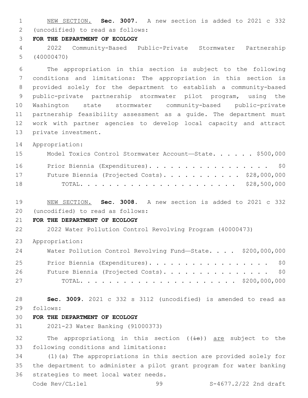NEW SECTION. **Sec. 3007.** A new section is added to 2021 c 332 (uncodified) to read as follows: 2

#### **FOR THE DEPARTMENT OF ECOLOGY**

 2022 Community-Based Public-Private Stormwater Partnership (40000470)

 The appropriation in this section is subject to the following conditions and limitations: The appropriation in this section is provided solely for the department to establish a community-based public-private partnership stormwater pilot program, using the Washington state stormwater community-based public-private partnership feasibility assessment as a guide. The department must work with partner agencies to develop local capacity and attract 13 private investment.

Appropriation:

| 15 | Model Toxics Control Stormwater Account-State. \$500,000 |  |
|----|----------------------------------------------------------|--|
| 16 | Prior Biennia (Expenditures). \$0                        |  |
| 17 | Future Biennia (Projected Costs). \$28,000,000           |  |
| 18 |                                                          |  |

 NEW SECTION. **Sec. 3008.** A new section is added to 2021 c 332 (uncodified) to read as follows: 20

## **FOR THE DEPARTMENT OF ECOLOGY**

2022 Water Pollution Control Revolving Program (40000473)

Appropriation:

| 24 | Water Pollution Control Revolving Fund-State. \$200,000,000 |  |
|----|-------------------------------------------------------------|--|
| 25 | Prior Biennia (Expenditures). \$0                           |  |
| 26 | Future Biennia (Projected Costs). \$0                       |  |
| 27 |                                                             |  |

 **Sec. 3009.** 2021 c 332 s 3112 (uncodified) is amended to read as follows: 29

## **FOR THE DEPARTMENT OF ECOLOGY**

2021-23 Water Banking (91000373)

32 The appropriations in this section  $((\frac{1}{18}))$  are subject to the 33 following conditions and limitations:

 (1)(a) The appropriations in this section are provided solely for the department to administer a pilot grant program for water banking 36 strategies to meet local water needs.

Code Rev/CL:lel 99 S-4677.2/22 2nd draft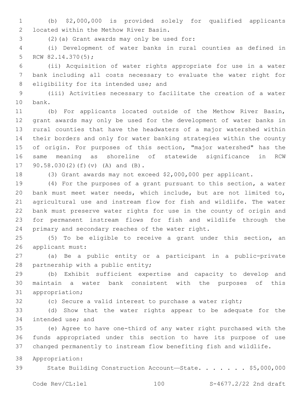(b) \$2,000,000 is provided solely for qualified applicants located within the Methow River Basin.2

(2)(a) Grant awards may only be used for:3

 (i) Development of water banks in rural counties as defined in 5 RCW  $82.14.370(5)$ ;

 (ii) Acquisition of water rights appropriate for use in a water bank including all costs necessary to evaluate the water right for 8 eligibility for its intended use; and

 (iii) Activities necessary to facilitate the creation of a water 10 bank.

 (b) For applicants located outside of the Methow River Basin, grant awards may only be used for the development of water banks in rural counties that have the headwaters of a major watershed within their borders and only for water banking strategies within the county of origin. For purposes of this section, "major watershed" has the same meaning as shoreline of statewide significance in RCW 17 90.58.030(2)(f)(v) (A) and (B).

(3) Grant awards may not exceed \$2,000,000 per applicant.

 (4) For the purposes of a grant pursuant to this section, a water bank must meet water needs, which include, but are not limited to, agricultural use and instream flow for fish and wildlife. The water bank must preserve water rights for use in the county of origin and for permanent instream flows for fish and wildlife through the 24 primary and secondary reaches of the water right.

 (5) To be eligible to receive a grant under this section, an 26 applicant must:

 (a) Be a public entity or a participant in a public-private 28 partnership with a public entity;

 (b) Exhibit sufficient expertise and capacity to develop and maintain a water bank consistent with the purposes of this 31 appropriation;

(c) Secure a valid interest to purchase a water right;

 (d) Show that the water rights appear to be adequate for the 34 intended use; and

 (e) Agree to have one-third of any water right purchased with the funds appropriated under this section to have its purpose of use changed permanently to instream flow benefiting fish and wildlife.

Appropriation:

39 State Building Construction Account-State. . . . . . \$5,000,000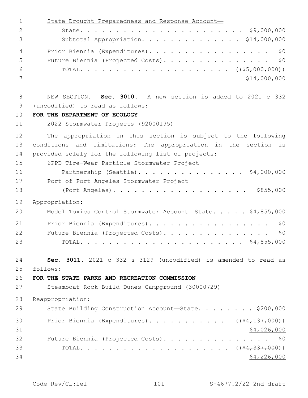| $\mathbf 1$  | State Drought Preparedness and Response Account-                |
|--------------|-----------------------------------------------------------------|
| $\mathbf{2}$ |                                                                 |
| 3            | Subtotal Appropriation. \$14,000,000                            |
| 4            | \$0<br>Prior Biennia (Expenditures).                            |
| 5            | \$0<br>Future Biennia (Projected Costs).                        |
| 6            |                                                                 |
| 7            | \$14,000,000                                                    |
| 8            | NEW SECTION. Sec. 3010. A new section is added to 2021 c 332    |
| 9            | (uncodified) to read as follows:                                |
| 10           | FOR THE DEPARTMENT OF ECOLOGY                                   |
| 11           | 2022 Stormwater Projects (92000195)                             |
| 12           | The appropriation in this section is subject to the following   |
| 13           | conditions and limitations: The appropriation in the section is |
| 14           | provided solely for the following list of projects:             |
| 15           | 6PPD Tire-Wear Particle Stormwater Project                      |
| 16           | Partnership (Seattle). \$4,000,000                              |
| 17           | Port of Port Angeles Stormwater Project                         |
| 18           |                                                                 |
| 19           | Appropriation:                                                  |
| 20           | Model Toxics Control Stormwater Account-State. \$4,855,000      |
| 21           | Prior Biennia (Expenditures).<br>\$0                            |
| 22           | Future Biennia (Projected Costs).<br>\$0                        |
| 23           | \$4,855,000<br>TOTAL.                                           |
| 24           | Sec. 3011. 2021 c 332 s 3129 (uncodified) is amended to read as |
| 25           | follows:                                                        |
| 26           | FOR THE STATE PARKS AND RECREATION COMMISSION                   |
| 27           | Steamboat Rock Build Dunes Campground (30000729)                |
| 28           | Reappropriation:                                                |
| 29           | State Building Construction Account-State. \$200,000            |
| 30           | Prior Biennia (Expenditures). ( $(\frac{24}{137}, 000)$ )       |
| 31           | \$4,026,000                                                     |
| 32           | Future Biennia (Projected Costs). \$0                           |
| 33           |                                                                 |
| 34           | \$4,226,000                                                     |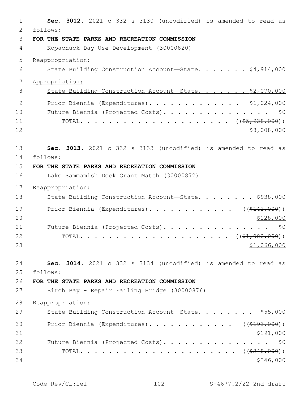| 1  | Sec. 3012. 2021 c 332 s 3130 (uncodified) is amended to read as |
|----|-----------------------------------------------------------------|
| 2  | follows:                                                        |
| 3  | FOR THE STATE PARKS AND RECREATION COMMISSION                   |
| 4  | Kopachuck Day Use Development (30000820)                        |
| 5  | Reappropriation:                                                |
| 6  | State Building Construction Account-State. \$4,914,000          |
| 7  | Appropriation:                                                  |
| 8  | State Building Construction Account-State. \$2,070,000          |
| 9  | Prior Biennia (Expenditures). \$1,024,000                       |
| 10 | Future Biennia (Projected Costs).<br>\$0                        |
| 11 |                                                                 |
| 12 | \$8,008,000                                                     |
| 13 | Sec. 3013. 2021 c 332 s 3133 (uncodified) is amended to read as |
| 14 | follows:                                                        |
| 15 | FOR THE STATE PARKS AND RECREATION COMMISSION                   |
| 16 | Lake Sammamish Dock Grant Match (30000872)                      |
| 17 | Reappropriation:                                                |
| 18 | State Building Construction Account-State. \$938,000            |
| 19 | Prior Biennia (Expenditures). ( $(\frac{2142,000}{121})$        |
| 20 | \$128,000                                                       |
| 21 | Future Biennia (Projected Costs).<br>\$0                        |
| 22 |                                                                 |
| 23 | \$1,066,000                                                     |
| 24 | Sec. 3014. 2021 c 332 s 3134 (uncodified) is amended to read as |
| 25 | follows:                                                        |
| 26 | FOR THE STATE PARKS AND RECREATION COMMISSION                   |
| 27 | Birch Bay - Repair Failing Bridge (30000876)                    |
| 28 | Reappropriation:                                                |
| 29 | State Building Construction Account-State. \$55,000             |
| 30 | Prior Biennia (Expenditures). ( $(\frac{2193}{100})$ )          |
| 31 | \$191,000                                                       |
| 32 | Future Biennia (Projected Costs). \$0                           |
| 33 |                                                                 |
| 34 | \$246,000                                                       |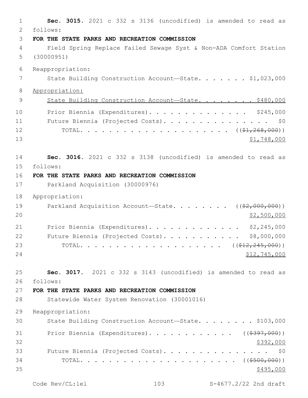**Sec. 3015.** 2021 c 332 s 3136 (uncodified) is amended to read as follows: 2 **FOR THE STATE PARKS AND RECREATION COMMISSION** Field Spring Replace Failed Sewage Syst & Non-ADA Comfort Station (30000951) Reappropriation: 7 State Building Construction Account—State. . . . . . \$1,023,000 Appropriation: 9 State Building Construction Account-State. . . . . . . \$480,000 Prior Biennia (Expenditures). . . . . . . . . . . . . . \$245,000 Future Biennia (Projected Costs). . . . . . . . . . . . . . . \$0 TOTAL. . . . . . . . . . . . . . . . . . . . . ((\$1,268,000)) \$1,748,000 **Sec. 3016.** 2021 c 332 s 3138 (uncodified) is amended to read as follows: 15 **FOR THE STATE PARKS AND RECREATION COMMISSION** Parkland Acquisition (30000976) Appropriation: 19 Parkland Acquisition Account—State. . . . . . . ((\$2,000,000)) \$2,500,000 21 Prior Biennia (Expenditures). . . . . . . . . . . . \$2,245,000 22 Future Biennia (Projected Costs). . . . . . . . . . \$8,000,000 23 TOTAL. . . . . . . . . . . . . . . . . . ((<del>\$12,245,000</del>)) \$12,745,000 **Sec. 3017.** 2021 c 332 s 3143 (uncodified) is amended to read as follows: 26 **FOR THE STATE PARKS AND RECREATION COMMISSION** Statewide Water System Renovation (30001016) Reappropriation: 30 State Building Construction Account-State. . . . . . . \$103,000 31 Prior Biennia (Expenditures). . . . . . . . . . . ((\$397,000))  $\frac{$392,000}{9}$  Future Biennia (Projected Costs). . . . . . . . . . . . . . . \$0 TOTAL. . . . . . . . . . . . . . . . . . . . . . ((\$500,000)) \$495,000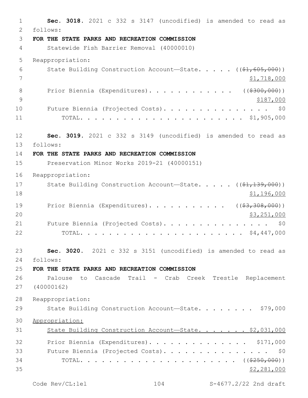1 **Sec. 3018.** 2021 c 332 s 3147 (uncodified) is amended to read as follows: 2 3 **FOR THE STATE PARKS AND RECREATION COMMISSION** 4 Statewide Fish Barrier Removal (40000010) 5 Reappropriation: 6 State Building Construction Account—State. . . . . ((\$1,605,000))  $7$   $\frac{1}{2}$ , 718,000 8 Prior Biennia (Expenditures). . . . . . . . . . . ((\$300,000)) 9 \$187,000 10 Future Biennia (Projected Costs). . . . . . . . . . . . . . \$0 11 TOTAL. . . . . . . . . . . . . . . . . . . . . . . \$1,905,000 12 **Sec. 3019.** 2021 c 332 s 3149 (uncodified) is amended to read as follows: 13 14 **FOR THE STATE PARKS AND RECREATION COMMISSION** 15 Preservation Minor Works 2019-21 (40000151) 16 Reappropriation: 17 State Building Construction Account—State. . . . . ((\$1,139,000)) 18 \$1,196,000 19 Prior Biennia (Expenditures). . . . . . . . . . ((\$3,308,000)) 20 \$3,251,000 21 Future Biennia (Projected Costs). . . . . . . . . . . . . . \$0 22 TOTAL. . . . . . . . . . . . . . . . . . . . . . . \$4,447,000 23 **Sec. 3020.** 2021 c 332 s 3151 (uncodified) is amended to read as follows: 24 25 **FOR THE STATE PARKS AND RECREATION COMMISSION** 26 Palouse to Cascade Trail - Crab Creek Trestle Replacement 27 (40000162) 28 Reappropriation: 29 State Building Construction Account—State. . . . . . . . \$79,000 30 Appropriation: 31 State Building Construction Account-State. . . . . . \$2,031,000 32 Prior Biennia (Expenditures). . . . . . . . . . . . . \$171,000 33 Future Biennia (Projected Costs). . . . . . . . . . . . . . . \$0 34 TOTAL. . . . . . . . . . . . . . . . . . . . . . ((\$250,000))  $\frac{1}{2}$   $\frac{281,000}{2}$ 

Code Rev/CL:lel 104 S-4677.2/22 2nd draft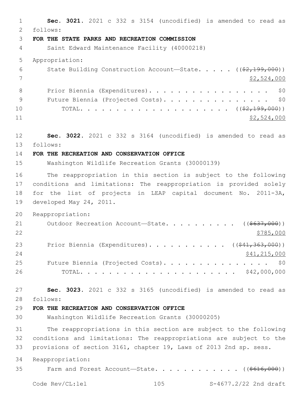**Sec. 3021.** 2021 c 332 s 3154 (uncodified) is amended to read as follows: 2 **FOR THE STATE PARKS AND RECREATION COMMISSION** Saint Edward Maintenance Facility (40000218) Appropriation: 6 State Building Construction Account—State. . . . . ((\$2,199,000)) \$2,524,000 8 Prior Biennia (Expenditures). . . . . . . . . . . . . . . . \$0 9 Future Biennia (Projected Costs). . . . . . . . . . . . . . \$0 TOTAL. . . . . . . . . . . . . . . . . . . . . ((\$2,199,000)) \$2,524,000 **Sec. 3022.** 2021 c 332 s 3164 (uncodified) is amended to read as follows: 13 **FOR THE RECREATION AND CONSERVATION OFFICE** Washington Wildlife Recreation Grants (30000139) The reappropriation in this section is subject to the following conditions and limitations: The reappropriation is provided solely for the list of projects in LEAP capital document No. 2011-3A, 19 developed May 24, 2011. Reappropriation: 21 Outdoor Recreation Account—State. . . . . . . . . ((\$637,000)) 23 Prior Biennia (Expenditures). . . . . . . . . . ((\$41,363,000)) 24 \$41,215,000 25 Future Biennia (Projected Costs). . . . . . . . . . . . . . \$0 TOTAL. . . . . . . . . . . . . . . . . . . . . . \$42,000,000 **Sec. 3023.** 2021 c 332 s 3165 (uncodified) is amended to read as follows: 28 **FOR THE RECREATION AND CONSERVATION OFFICE** Washington Wildlife Recreation Grants (30000205) The reappropriations in this section are subject to the following conditions and limitations: The reappropriations are subject to the provisions of section 3161, chapter 19, Laws of 2013 2nd sp. sess. Reappropriation: 35 Farm and Forest Account—State.  $\cdots$  . . . . . . . . ( $(\frac{2616,000}{2})$ Code Rev/CL:lel 105 S-4677.2/22 2nd draft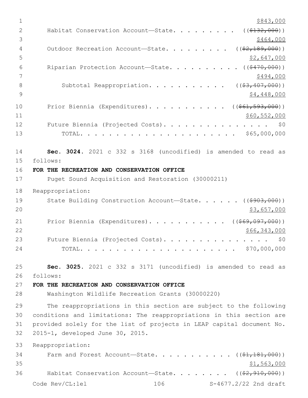| 1              | \$843,000                                                             |
|----------------|-----------------------------------------------------------------------|
| $\overline{2}$ | ( ( \$132, 000) )<br>Habitat Conservation Account-State.              |
| 3              | \$464,000                                                             |
| 4              | $($ $(*2, 189, 000)$ )<br>Outdoor Recreation Account-State.           |
| 5              | <u>\$2,647,000</u>                                                    |
| 6              | Riparian Protection Account-State.<br>( ( \$470,000) )                |
| 7              | \$494,000                                                             |
| 8              | Subtotal Reappropriation.<br>$($ $($ $$3, 407, 000)$ $)$              |
| 9              | \$4,448,000                                                           |
| 10             | Prior Biennia (Expenditures). ( $(\frac{1661}{1593}, 000)$ )          |
| 11             | \$60,552,000                                                          |
| 12             | Future Biennia (Projected Costs).<br>\$0                              |
| 13             |                                                                       |
| 14             | Sec. 3024. 2021 c 332 s 3168 (uncodified) is amended to read as       |
| 15             | follows:                                                              |
| 16             | FOR THE RECREATION AND CONSERVATION OFFICE                            |
| 17             | Puget Sound Acquisition and Restoration (30000211)                    |
| 18             | Reappropriation:                                                      |
| 19             | State Building Construction Account-State. ((\$903,000))              |
| 20             | \$3,657,000                                                           |
| 21             | Prior Biennia (Expenditures). ( $(\frac{1669,097,000}{1})$            |
| 22             | \$66,343,000                                                          |
| 23             | Future Biennia (Projected Costs).<br>\$0                              |
| 24             | \$70,000,000                                                          |
| 25             | Sec. 3025. 2021 c 332 s 3171 (uncodified) is amended to read as       |
| 26             | follows:                                                              |
| 27             | FOR THE RECREATION AND CONSERVATION OFFICE                            |
| 28             | Washington Wildlife Recreation Grants (30000220)                      |
| 29             | The reappropriations in this section are subject to the following     |
| 30             | conditions and limitations: The reappropriations in this section are  |
| 31             | provided solely for the list of projects in LEAP capital document No. |
| 32             | 2015-1, developed June 30, 2015.                                      |
| 33             | Reappropriation:                                                      |
| 34             | Farm and Forest Account-State. $($ $($ \$1,181,000) $)$               |
| 35             | \$1,563,000                                                           |
| 36             | Habitat Conservation Account-State. ( $(\frac{2}{7}, 910, 000)$ )     |
|                | Code Rev/CL:lel<br>106<br>S-4677.2/22 2nd draft                       |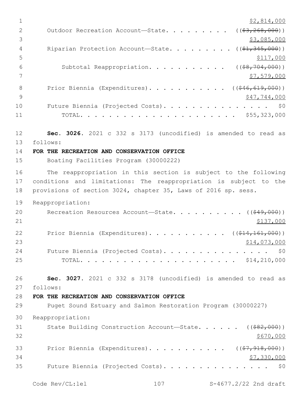$1$  \$2,814,000 2 Outdoor Recreation Account—State. . . . . . . . ((\$3,268,000))  $\frac{1}{3}$ ,085,000 4 Riparian Protection Account—State. . . . . . . . ((\$1,345,000))  $5 - 5$ 6 Subtotal Reappropriation. . . . . . . . . . ((\$8,704,000))  $7 \frac{\text{S}}{7}$ ,579,000 8 Prior Biennia (Expenditures). . . . . . . . . . ((\$46,619,000))  $9 \hspace{3.5cm}$  \$47,744,000 10 Future Biennia (Projected Costs). . . . . . . . . . . . . . \$0 11 TOTAL. . . . . . . . . . . . . . . . . . . . . . \$55,323,000 12 **Sec. 3026.** 2021 c 332 s 3173 (uncodified) is amended to read as follows: 13 14 **FOR THE RECREATION AND CONSERVATION OFFICE** 15 Boating Facilities Program (30000222) 16 The reappropriation in this section is subject to the following 17 conditions and limitations: The reappropriation is subject to the 18 provisions of section 3024, chapter 35, Laws of 2016 sp. sess. 19 Reappropriation: 20 Recreation Resources Account—State. . . . . . . . . ((<del>\$49,000</del>))  $21$   $\frac{$137,000}{}$ 22 Prior Biennia (Expenditures). . . . . . . . . . . ((\$14,161,000))  $23$   $$14,073,000$ 24 Future Biennia (Projected Costs). . . . . . . . . . . . . . \$0 25 TOTAL. . . . . . . . . . . . . . . . . . . . . . \$14,210,000 26 **Sec. 3027.** 2021 c 332 s 3178 (uncodified) is amended to read as follows: 27 28 **FOR THE RECREATION AND CONSERVATION OFFICE** 29 Puget Sound Estuary and Salmon Restoration Program (30000227) 30 Reappropriation: 31 State Building Construction Account—State. . . . . ((\$82,000))  $32 \div 5670,000$ 33 Prior Biennia (Expenditures). . . . . . . . . . ((\$7,918,000))  $34$   $$7,330,000$ 35 Future Biennia (Projected Costs). . . . . . . . . . . . . . . \$0

Code Rev/CL:lel 107 S-4677.2/22 2nd draft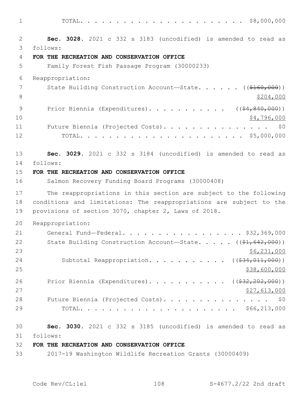1 TOTAL. . . . . . . . . . . . . . . . . . . . . . . \$8,000,000

2 **Sec. 3028.** 2021 c 332 s 3183 (uncodified) is amended to read as follows: 3 4 **FOR THE RECREATION AND CONSERVATION OFFICE** 5 Family Forest Fish Passage Program (30000233) 6 Reappropriation: 7 State Building Construction Account—State. . . . . . ((\$160,000)) 8 \$204,000 9 Prior Biennia (Expenditures). . . . . . . . . . ((\$4,840,000)) 10 \$4,796,000 11 Future Biennia (Projected Costs). . . . . . . . . . . . . . \$0 12 TOTAL. . . . . . . . . . . . . . . . . . . . . . . \$5,000,000 13 **Sec. 3029.** 2021 c 332 s 3184 (uncodified) is amended to read as 14 follows: 15 **FOR THE RECREATION AND CONSERVATION OFFICE** 16 Salmon Recovery Funding Board Programs (30000408) 17 The reappropriations in this section are subject to the following 18 conditions and limitations: The reappropriations are subject to the 19 provisions of section 3070, chapter 2, Laws of 2018. 20 Reappropriation: 21 General Fund—Federal. . . . . . . . . . . . . . . . . \$32,369,000 22 State Building Construction Account—State. . . . . ((\$1,642,000))  $23$  \$6,231,000 24 Subtotal Reappropriation. . . . . . . . . . ((\$34,011,000))  $25$  \$38,600,000 \$38,600,000 \$38,600,000 \$38,600,000 \$38,600,000 \$38,600,000 \$38,600,000 \$58,600 \$58,600 \$58,600 \$59,600 \$59,600 \$59,600 \$59,600 \$59,600 \$50,500 \$50,500 \$50,500 \$50,500 \$50,500 \$50,500 \$50,500 \$50,500 \$50, 26 Prior Biennia (Expenditures). . . . . . . . . . ((\$32,202,000)) 27,613,000 28 Future Biennia (Projected Costs). . . . . . . . . . . . . . \$0 29 TOTAL. . . . . . . . . . . . . . . . . . . . . . \$66,213,000 30 **Sec. 3030.** 2021 c 332 s 3185 (uncodified) is amended to read as follows: 31

### 32 **FOR THE RECREATION AND CONSERVATION OFFICE**

33 2017-19 Washington Wildlife Recreation Grants (30000409)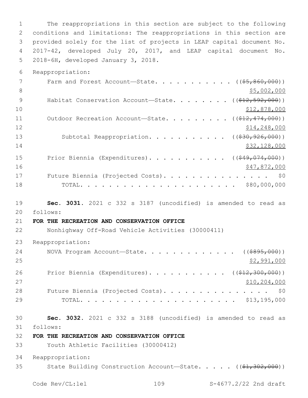The reappropriations in this section are subject to the following conditions and limitations: The reappropriations in this section are provided solely for the list of projects in LEAP capital document No. 2017-42, developed July 20, 2017, and LEAP capital document No. 5 2018-6H, developed January 3, 2018.

Reappropriation:

|    | Farm and Forest Account-State. ( $(\frac{55}{600}, 000)$ )                   |
|----|------------------------------------------------------------------------------|
| 8  | \$5,002,000                                                                  |
| 9  | Habitat Conservation Account-State. ( $(\frac{212}{592}, \frac{592}{600})$ ) |
| 10 | \$12,878,000                                                                 |
| 11 | Outdoor Recreation Account-State. ( $(\frac{\xi+2}{7474},000)$ )             |
| 12 | \$14,248,000                                                                 |
| 13 | Subtotal Reappropriation. ( $(\frac{230}{200}, \frac{926}{000})$ )           |
| 14 | \$32,128,000                                                                 |
| 15 | Prior Biennia (Expenditures). ( $(\frac{249}{1000})$ )                       |
| 16 | \$47,872,000                                                                 |
| 17 | Future Biennia (Projected Costs). \$0                                        |
| 18 |                                                                              |

 **Sec. 3031.** 2021 c 332 s 3187 (uncodified) is amended to read as follows: 20

# **FOR THE RECREATION AND CONSERVATION OFFICE**

Nonhighway Off-Road Vehicle Activities (30000411)

Reappropriation:

| 24 | NOVA Program Account—State. $($ $($ $\frac{2995}{100})$   |
|----|-----------------------------------------------------------|
| 25 | \$2,991,000                                               |
| 26 | Prior Biennia (Expenditures). ( $(\frac{212}{300},000)$ ) |
| 27 | \$10, 204, 000                                            |
| 28 | Future Biennia (Projected Costs). \$0                     |
| 29 |                                                           |

 **Sec. 3032.** 2021 c 332 s 3188 (uncodified) is amended to read as follows: 31

**FOR THE RECREATION AND CONSERVATION OFFICE**

Youth Athletic Facilities (30000412)

Reappropriation:

35 State Building Construction Account—State. . . . . ((\$1,302,000))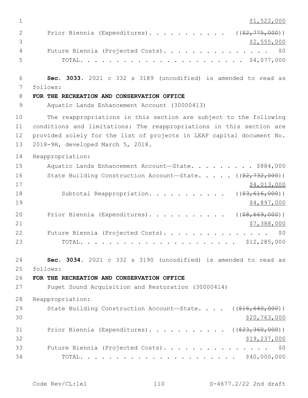| 1  | \$1,522,000                                                                  |
|----|------------------------------------------------------------------------------|
| 2  | Prior Biennia (Expenditures). ( $(\frac{2}{775,000})$ )                      |
| 3  | \$2,555,000                                                                  |
| 4  | \$0<br>Future Biennia (Projected Costs).                                     |
| 5  |                                                                              |
| 6  | Sec. 3033. 2021 c 332 s 3189 (uncodified) is amended to read as              |
| 7  | follows:                                                                     |
| 8  | FOR THE RECREATION AND CONSERVATION OFFICE                                   |
| 9  | Aquatic Lands Enhancement Account (30000413)                                 |
| 10 | The reappropriations in this section are subject to the following            |
| 11 | conditions and limitations: The reappropriations in this section are         |
| 12 | provided solely for the list of projects in LEAP capital document No.        |
| 13 | 2018-9H, developed March 5, 2018.                                            |
| 14 | Reappropriation:                                                             |
| 15 | Aquatic Lands Enhancement Account-State. \$884,000                           |
| 16 | State Building Construction Account-State. $($ $(*2, 732, 000) )$            |
| 17 | \$4,013,000                                                                  |
| 18 | Subtotal Reappropriation.<br>(( <del>\$3,616,000</del> ))                    |
| 19 | \$4,897,000                                                                  |
| 20 | ( ( \$8, 669, 000) )<br>Prior Biennia (Expenditures).                        |
| 21 | \$7,388,000                                                                  |
| 22 | Future Biennia (Projected Costs).<br>\$0                                     |
| 23 |                                                                              |
| 24 | Sec. 3034. 2021 c 332 s 3190 (uncodified) is amended to read as              |
| 25 | follows:                                                                     |
| 26 | FOR THE RECREATION AND CONSERVATION OFFICE                                   |
| 27 | Puget Sound Acquisition and Restoration (30000414)                           |
| 28 | Reappropriation:                                                             |
| 29 | State Building Construction Account-State. $($ $($ $\frac{216}{640}$ , 000)) |
| 30 | \$20,763,000                                                                 |
| 31 | Prior Biennia (Expenditures). ( $(\frac{23}{7}360,000)$ )                    |
| 32 | <u>\$19,237,000</u>                                                          |
| 33 | Future Biennia (Projected Costs).<br>\$0                                     |
| 34 |                                                                              |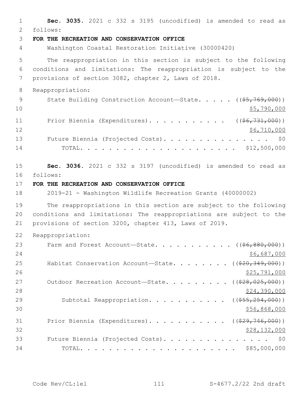1 **Sec. 3035.** 2021 c 332 s 3195 (uncodified) is amended to read as follows: 2 3 **FOR THE RECREATION AND CONSERVATION OFFICE** 4 Washington Coastal Restoration Initiative (30000420) 5 The reappropriation in this section is subject to the following 6 conditions and limitations: The reappropriation is subject to the 7 provisions of section 3082, chapter 2, Laws of 2018. 8 Reappropriation: 9 State Building Construction Account—State. . . . . ((\$5,769,000))  $10 \hspace{2.5cm}$ \$5,790,000 11 Prior Biennia (Expenditures). . . . . . . . . . ((\$6,731,000)) 12 \$6,710,000 13 Future Biennia (Projected Costs). . . . . . . . . . . . . . \$0 14 TOTAL. . . . . . . . . . . . . . . . . . . . . . \$12,500,000 15 **Sec. 3036.** 2021 c 332 s 3197 (uncodified) is amended to read as follows: 16 17 **FOR THE RECREATION AND CONSERVATION OFFICE** 18 2019-21 - Washington Wildlife Recreation Grants (40000002) 19 The reappropriations in this section are subject to the following 20 conditions and limitations: The reappropriations are subject to the 21 provisions of section 3200, chapter 413, Laws of 2019. 22 Reappropriation: 23 Farm and Forest Account—State. . . . . . . . . . ((\$6,880,000)) 24 \$6,687,000 \$6,687,000 25 Habitat Conservation Account—State. . . . . . . ((\$20,349,000))  $26$   $$25,791,000$ 27 Outdoor Recreation Account—State. . . . . . . . ((\$28,025,000)) 28 \$24,390,000 \$24,390,000 \$29,390,000 \$29,390,000 \$29,390,000 \$29,500 \$29,500 \$29,500 \$29,500 \$20,500 \$29,500 29 Subtotal Reappropriation. . . . . . . . . . ((\$55,254,000))  $30 \frac{\text{556,868,000}}{9000}$ 31 Prior Biennia (Expenditures). . . . . . . . . . ((\$29,746,000))  $32$  \$28,132,000 33 Future Biennia (Projected Costs). . . . . . . . . . . . . . . \$0 34 TOTAL. . . . . . . . . . . . . . . . . . . . . . \$85,000,000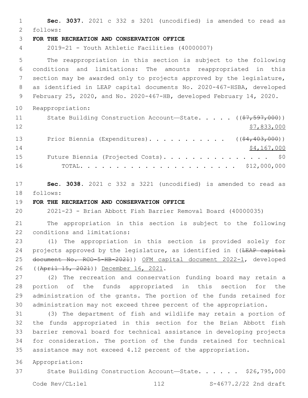**Sec. 3037.** 2021 c 332 s 3201 (uncodified) is amended to read as follows: 2 **FOR THE RECREATION AND CONSERVATION OFFICE** 2019-21 - Youth Athletic Facilities (40000007) The reappropriation in this section is subject to the following conditions and limitations: The amounts reappropriated in this section may be awarded only to projects approved by the legislature, as identified in LEAP capital documents No. 2020-467-HSBA, developed February 25, 2020, and No. 2020-467-HB, developed February 14, 2020. Reappropriation: 11 State Building Construction Account—State. . . . ((\$7,597,000)) \$7,833,000 13 Prior Biennia (Expenditures). . . . . . . . . . ((\$4,403,000)) 14 \$4,167,000 15 Future Biennia (Projected Costs). . . . . . . . . . . . . . \$0 TOTAL. . . . . . . . . . . . . . . . . . . . . . \$12,000,000 **Sec. 3038.** 2021 c 332 s 3221 (uncodified) is amended to read as 18 follows: **FOR THE RECREATION AND CONSERVATION OFFICE** 2021-23 - Brian Abbott Fish Barrier Removal Board (40000035)

 The appropriation in this section is subject to the following 22 conditions and limitations:

 (1) The appropriation in this section is provided solely for 24 projects approved by the legislature, as identified in ((LEAP capital document No. RCO-5-HB-2021)) OFM capital document 2022-1, developed 26 ((April 15, 2021)) December 16, 2021.

 (2) The recreation and conservation funding board may retain a portion of the funds appropriated in this section for the administration of the grants. The portion of the funds retained for administration may not exceed three percent of the appropriation.

 (3) The department of fish and wildlife may retain a portion of the funds appropriated in this section for the Brian Abbott fish barrier removal board for technical assistance in developing projects for consideration. The portion of the funds retained for technical assistance may not exceed 4.12 percent of the appropriation.

Appropriation:

State Building Construction Account—State. . . . . . \$26,795,000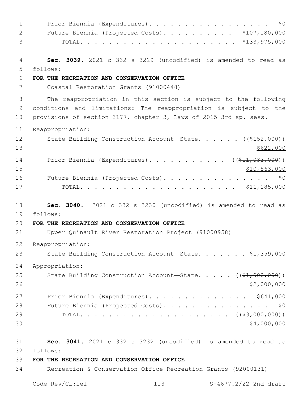1 Prior Biennia (Expenditures). . . . . . . . . . . . . . . . \$0 Future Biennia (Projected Costs). . . . . . . . . . \$107,180,000 TOTAL. . . . . . . . . . . . . . . . . . . . . . \$133,975,000 **Sec. 3039.** 2021 c 332 s 3229 (uncodified) is amended to read as follows: 5 **FOR THE RECREATION AND CONSERVATION OFFICE** Coastal Restoration Grants (91000448) The reappropriation in this section is subject to the following conditions and limitations: The reappropriation is subject to the provisions of section 3177, chapter 3, Laws of 2015 3rd sp. sess. Reappropriation: 12 State Building Construction Account—State. . . . . ((\$152,000))  $13 \frac{\$622,000}{}$ 14 Prior Biennia (Expenditures)........... ((\$11,033,000)) \$10,563,000 16 Future Biennia (Projected Costs). . . . . . . . . . . . . . \$0 TOTAL. . . . . . . . . . . . . . . . . . . . . . \$11,185,000 **Sec. 3040.** 2021 c 332 s 3230 (uncodified) is amended to read as follows: 19 **FOR THE RECREATION AND CONSERVATION OFFICE** Upper Quinault River Restoration Project (91000958) Reappropriation: 23 State Building Construction Account—State. . . . . . \$1,359,000 Appropriation: 25 State Building Construction Account—State. . . . . ((\$1,000,000)) \$2,000,000 27 Prior Biennia (Expenditures). . . . . . . . . . . . . \$641,000 28 Future Biennia (Projected Costs). . . . . . . . . . . . . . \$0 TOTAL. . . . . . . . . . . . . . . . . . . . . ((\$3,000,000))  $30 \times 4,000,000$  **Sec. 3041.** 2021 c 332 s 3232 (uncodified) is amended to read as follows: 32 **FOR THE RECREATION AND CONSERVATION OFFICE** Recreation & Conservation Office Recreation Grants (92000131)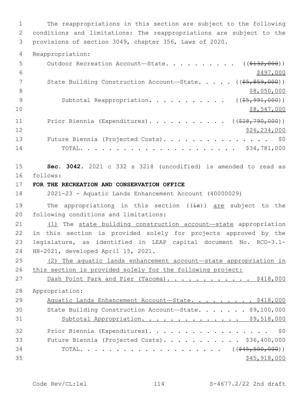1 The reappropriations in this section are subject to the following 2 conditions and limitations: The reappropriations are subject to the 3 provisions of section 3049, chapter 356, Laws of 2020.

4 Reappropriation:

| 5  | Outdoor Recreation Account-State. ( $(\frac{2132}{132}, 000)$ )                      |
|----|--------------------------------------------------------------------------------------|
| 6  | \$497,000                                                                            |
| 7  | State Building Construction Account-State. $($ $($ $\frac{65}{67}, \frac{859}{600})$ |
| 8  | \$8,050,000                                                                          |
| 9  | Subtotal Reappropriation. ( $(\frac{25}{7}, \frac{991}{100})$ )                      |
| 10 | \$8,547,000                                                                          |
| 11 | Prior Biennia (Expenditures). ( $(\frac{228}{790}, 000)$ )                           |
| 12 | \$26,234,000                                                                         |
| 13 | Future Biennia (Projected Costs). \$0                                                |
| 14 |                                                                                      |

15 **Sec. 3042.** 2021 c 332 s 3218 (uncodified) is amended to read as follows: 16

17 **FOR THE RECREATION AND CONSERVATION OFFICE**

18 2021-23 - Aquatic Lands Enhancement Account (40000029)

19 The appropriations in this section  $((\frac{1}{18}))$  are subject to the 20 following conditions and limitations:

 (1) The state building construction account—state appropriation in this section is provided solely for projects approved by the legislature, as identified in LEAP capital document No. RCO-3.1- 24 HB-2021, developed April 15, 2021.

25 (2) The aquatic lands enhancement account—state appropriation in 26 this section is provided solely for the following project:

27 Dash Point Park and Pier (Tacoma). . . . . . . . . . . \$418,000 28 Appropriation: 29 Aquatic Lands Enhancement Account—State. . . . . . . . \$418,000 30 State Building Construction Account—State. . . . . . . \$9,100,000 31 Subtotal Appropriation. . . . . . . . . . . . . \$9,518,000 32 Prior Biennia (Expenditures). . . . . . . . . . . . . . . . \$0 33 Future Biennia (Projected Costs). . . . . . . . . . . \$36,400,000 34 TOTAL. . . . . . . . . . . . . . . . . . (  $(\frac{645 - 500}{600})$  )  $35$  \$45,918,000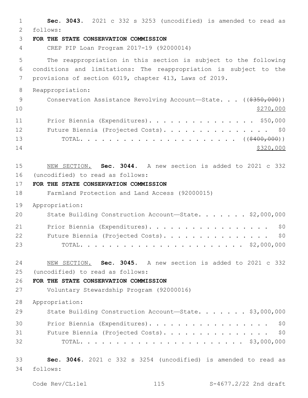| $\mathbf{1}$<br>$\overline{2}$ | Sec. 3043. 2021 c 332 s 3253 (uncodified) is amended to read as<br>follows: |
|--------------------------------|-----------------------------------------------------------------------------|
| 3                              | FOR THE STATE CONSERVATION COMMISSION                                       |
| $\overline{4}$                 | CREP PIP Loan Program 2017-19 (92000014)                                    |
| 5                              | The reappropriation in this section is subject to the following             |
| 6                              | conditions and limitations: The reappropriation is subject to the           |
| 7                              | provisions of section 6019, chapter 413, Laws of 2019.                      |
| 8                              | Reappropriation:                                                            |
| $\mathcal{G}$<br>10            | Conservation Assistance Revolving Account-State. ((\$350,000))<br>\$270,000 |
| 11                             | Prior Biennia (Expenditures). \$50,000                                      |
| 12                             | Future Biennia (Projected Costs). \$0                                       |
| 13                             |                                                                             |
| 14                             | \$320,000                                                                   |
| 15                             | NEW SECTION. Sec. 3044. A new section is added to 2021 c 332                |
| 16                             | (uncodified) to read as follows:                                            |
| 17                             | FOR THE STATE CONSERVATION COMMISSION                                       |
| 18                             | Farmland Protection and Land Access (92000015)                              |
| 19                             | Appropriation:                                                              |
| 20                             | State Building Construction Account-State. \$2,000,000                      |
| 21                             | Prior Biennia (Expenditures).<br>\$0                                        |
| 22                             | Future Biennia (Projected Costs).<br>\$0                                    |
| 23                             | $\cdots$ \$2,000,000<br>TOTAL.                                              |
| 24                             | Sec. 3045. A new section is added to 2021 c 332<br>NEW SECTION.             |
| 25                             | (uncodified) to read as follows:                                            |
| 26                             | FOR THE STATE CONSERVATION COMMISSION                                       |
| 27                             | Voluntary Stewardship Program (92000016)                                    |
| 28                             | Appropriation:                                                              |
| 29                             | State Building Construction Account-State. \$3,000,000                      |
| 30                             | Prior Biennia (Expenditures).<br>\$0                                        |
| 31                             | Future Biennia (Projected Costs). \$0                                       |
| 32                             |                                                                             |
| 33                             | Sec. 3046. 2021 c 332 s 3254 (uncodified) is amended to read as             |
| 34                             | follows:                                                                    |
|                                |                                                                             |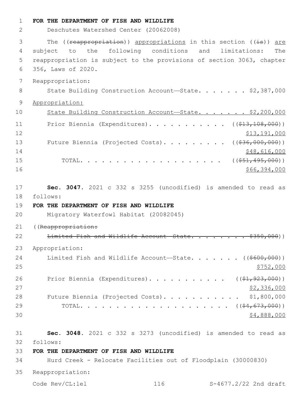| $\mathbf 1$    | FOR THE DEPARTMENT OF FISH AND WILDLIFE                                                                                                                                                                                                                                                                                                                |
|----------------|--------------------------------------------------------------------------------------------------------------------------------------------------------------------------------------------------------------------------------------------------------------------------------------------------------------------------------------------------------|
| 2              | Deschutes Watershed Center (20062008)                                                                                                                                                                                                                                                                                                                  |
| 3              | The ((reappropriation)) appropriations in this section ((is)) are                                                                                                                                                                                                                                                                                      |
| $\overline{4}$ | subject to the following conditions and<br>limitations:<br>The                                                                                                                                                                                                                                                                                         |
| 5              | reappropriation is subject to the provisions of section 3063, chapter                                                                                                                                                                                                                                                                                  |
| 6              | 356, Laws of 2020.                                                                                                                                                                                                                                                                                                                                     |
| 7              | Reappropriation:                                                                                                                                                                                                                                                                                                                                       |
| 8              | State Building Construction Account-State. \$2,387,000                                                                                                                                                                                                                                                                                                 |
| $\mathsf 9$    | Appropriation:                                                                                                                                                                                                                                                                                                                                         |
| 10             | State Building Construction Account-State. \$2,200,000                                                                                                                                                                                                                                                                                                 |
| 11             | Prior Biennia (Expenditures). ( $(\frac{13}{13}, \frac{108}{100})$ )                                                                                                                                                                                                                                                                                   |
| 12             | \$13,191,000                                                                                                                                                                                                                                                                                                                                           |
| 13             | Future Biennia (Projected Costs). ( $(\frac{236}{100}, 000, 000)$ )                                                                                                                                                                                                                                                                                    |
| 14             | \$48,616,000                                                                                                                                                                                                                                                                                                                                           |
| 15             | $\cdots$ $\cdots$ $\cdots$ $\cdots$ $\cdots$ $\cdots$ $\cdots$ $\cdots$ $\cdots$ $\cdots$ $\cdots$ $\cdots$ $\cdots$ $\cdots$ $\cdots$ $\cdots$ $\cdots$ $\cdots$ $\cdots$ $\cdots$ $\cdots$ $\cdots$ $\cdots$ $\cdots$ $\cdots$ $\cdots$ $\cdots$ $\cdots$ $\cdots$ $\cdots$ $\cdots$ $\cdots$ $\cdots$ $\cdots$ $\cdots$ $\cdots$ $\cdots$<br>TOTAL. |
| 16             | \$66,394,000                                                                                                                                                                                                                                                                                                                                           |
| 17             | Sec. 3047. 2021 c 332 s 3255 (uncodified) is amended to read as                                                                                                                                                                                                                                                                                        |
| 18             | follows:                                                                                                                                                                                                                                                                                                                                               |
| 19             | FOR THE DEPARTMENT OF FISH AND WILDLIFE                                                                                                                                                                                                                                                                                                                |
| 20             | Migratory Waterfowl Habitat (20082045)                                                                                                                                                                                                                                                                                                                 |
| 21             | ((Reappropriation:                                                                                                                                                                                                                                                                                                                                     |
| 22             | Limited Fish and Wildlife Account State. \$350,000))                                                                                                                                                                                                                                                                                                   |
| 23             | Appropriation:                                                                                                                                                                                                                                                                                                                                         |
| 24             | Limited Fish and Wildlife Account-State. ( $(\frac{\$600,000}{\$})$ )                                                                                                                                                                                                                                                                                  |
| 25             | \$752,000                                                                                                                                                                                                                                                                                                                                              |
| 26             | Prior Biennia (Expenditures). ( $(\frac{1}{2}, 923, 000)$ )                                                                                                                                                                                                                                                                                            |
| 27             | \$2,336,000                                                                                                                                                                                                                                                                                                                                            |
| 28             | \$1,800,000<br>Future Biennia (Projected Costs).                                                                                                                                                                                                                                                                                                       |
| 29             |                                                                                                                                                                                                                                                                                                                                                        |
| 30             | \$4,888,000                                                                                                                                                                                                                                                                                                                                            |
| 31             | Sec. 3048. 2021 c 332 s 3273 (uncodified) is amended to read as                                                                                                                                                                                                                                                                                        |
| 32             | follows:                                                                                                                                                                                                                                                                                                                                               |
| 33             | FOR THE DEPARTMENT OF FISH AND WILDLIFE                                                                                                                                                                                                                                                                                                                |
| 34             | Hurd Creek - Relocate Facilities out of Floodplain (30000830)                                                                                                                                                                                                                                                                                          |
| 35             | Reappropriation:                                                                                                                                                                                                                                                                                                                                       |
|                | Code Rev/CL:lel<br>116<br>S-4677.2/22 2nd draft                                                                                                                                                                                                                                                                                                        |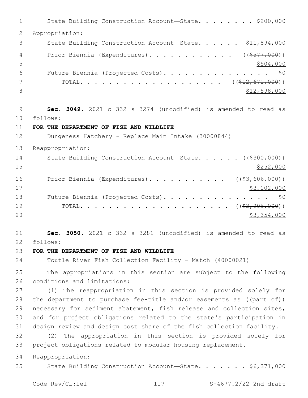1 State Building Construction Account—State. . . . . . . \$200,000 Appropriation: 3 State Building Construction Account—State. . . . . \$11,894,000 4 Prior Biennia (Expenditures). . . . . . . . . . . ((\$577,000))  $5 - 5$  Future Biennia (Projected Costs). . . . . . . . . . . . . . . \$0 TOTAL. . . . . . . . . . . . . . . . . . . . ((\$12,671,000))  $$12,598,000$  **Sec. 3049.** 2021 c 332 s 3274 (uncodified) is amended to read as follows: 10 **FOR THE DEPARTMENT OF FISH AND WILDLIFE** Dungeness Hatchery - Replace Main Intake (30000844) Reappropriation: 14 State Building Construction Account—State. . . . . ((\$300,000))  $\frac{$252,000}{}$ 16 Prior Biennia (Expenditures). . . . . . . . . . ((\$3,606,000)) \$3,102,000 18 Future Biennia (Projected Costs). . . . . . . . . . . . . . \$0 TOTAL. . . . . . . . . . . . . . . . . . . . . ((\$3,906,000))  $20 \hspace{1.5cm}$  \$3,354,000 **Sec. 3050.** 2021 c 332 s 3281 (uncodified) is amended to read as follows: 22 **FOR THE DEPARTMENT OF FISH AND WILDLIFE** Toutle River Fish Collection Facility - Match (40000021) The appropriations in this section are subject to the following 26 conditions and limitations: (1) The reappropriation in this section is provided solely for 28 the department to purchase fee-title and/or easements as  $((part of))$  necessary for sediment abatement, fish release and collection sites, and for project obligations related to the state's participation in design review and design cost share of the fish collection facility. (2) The appropriation in this section is provided solely for project obligations related to modular housing replacement. Reappropriation: State Building Construction Account—State. . . . . . . \$6,371,000

Code Rev/CL:lel 117 S-4677.2/22 2nd draft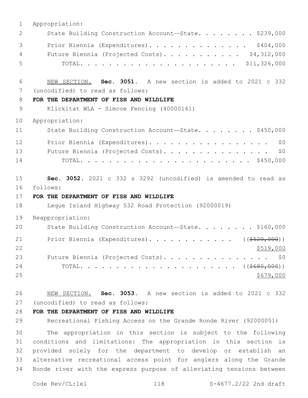| $\mathbf 1$    | Appropriation:                                                  |
|----------------|-----------------------------------------------------------------|
| 2              | State Building Construction Account-State. \$239,000            |
| 3              | Prior Biennia (Expenditures). \$404,000                         |
| $\overline{4}$ | Future Biennia (Projected Costs). \$4,312,000                   |
| 5              |                                                                 |
|                |                                                                 |
| 6              | NEW SECTION. Sec. 3051. A new section is added to 2021 c 332    |
| 7              | (uncodified) to read as follows:                                |
| 8              | FOR THE DEPARTMENT OF FISH AND WILDLIFE                         |
| 9              | Klickitat WLA - Simcoe Fencing (40000161)                       |
| 10             | Appropriation:                                                  |
| 11             | State Building Construction Account-State. \$450,000            |
| 12             | Prior Biennia (Expenditures).<br>\$0                            |
| 13             | Future Biennia (Projected Costs). \$0                           |
| 14             |                                                                 |
|                |                                                                 |
| 15             | Sec. 3052. 2021 c 332 s 3292 (uncodified) is amended to read as |
| 16             | follows:                                                        |
| 17             | FOR THE DEPARTMENT OF FISH AND WILDLIFE                         |
| 18             | Leque Island Highway 532 Road Protection (92000019)             |
| 19             | Reappropriation:                                                |
| 20             | State Building Construction Account-State. \$160,000            |
| 21             | Prior Biennia (Expenditures). ( $(\frac{\$520,000}{\$520,000})$ |
| 22             | \$519,000                                                       |
| 23             | Future Biennia (Projected Costs).<br>\$0                        |
| 24             |                                                                 |
| 25             | \$679,000                                                       |
|                |                                                                 |
| 26             | NEW SECTION. Sec. 3053. A new section is added to 2021 c 332    |
| 27             | (uncodified) to read as follows:                                |
| 28             | FOR THE DEPARTMENT OF FISH AND WILDLIFE                         |

29 Recreational Fishing Access on the Grande Ronde River (92000051)

 The appropriation in this section is subject to the following conditions and limitations: The appropriation in this section is provided solely for the department to develop or establish an alternative recreational access point for anglers along the Grande Ronde river with the express purpose of alleviating tensions between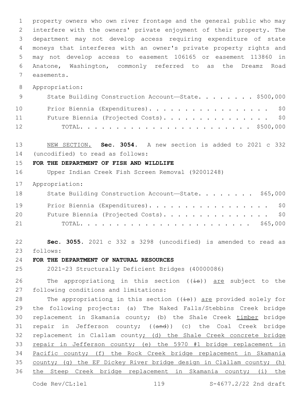property owners who own river frontage and the general public who may interfere with the owners' private enjoyment of their property. The department may not develop access requiring expenditure of state moneys that interferes with an owner's private property rights and may not develop access to easement 106165 or easement 113860 in Anatone, Washington, commonly referred to as the Dreamz Road 7 easements.

Appropriation:

| 9  | State Building Construction Account-State. \$500,000 |
|----|------------------------------------------------------|
| 10 | Prior Biennia (Expenditures). \$0                    |
| 11 | Future Biennia (Projected Costs). \$0                |
| 12 |                                                      |

 NEW SECTION. **Sec. 3054.** A new section is added to 2021 c 332 (uncodified) to read as follows: 14

#### **FOR THE DEPARTMENT OF FISH AND WILDLIFE**

Upper Indian Creek Fish Screen Removal (92001248)

Appropriation:

| 18 | State Building Construction Account-State. \$65,000 |
|----|-----------------------------------------------------|
| 19 | Prior Biennia (Expenditures). \$0                   |
| 20 | Future Biennia (Projected Costs). \$0               |
| 21 |                                                     |

 **Sec. 3055.** 2021 c 332 s 3298 (uncodified) is amended to read as follows: 23

### **FOR THE DEPARTMENT OF NATURAL RESOURCES**

2021-23 Structurally Deficient Bridges (40000086)

26 The appropriations in this section  $((\frac{1}{18}))$  are subject to the 27 following conditions and limitations:

28 The appropriations in this section  $((\frac{1}{18}))$  are provided solely for the following projects: (a) The Naked Falls/Stebbins Creek bridge replacement in Skamania county; (b) the Shale Creek timber bridge 31 repair in Jefferson county; ((and)) (c) the Coal Creek bridge replacement in Clallam county; (d) the Shale Creek concrete bridge repair in Jefferson county; (e) the 5970 #1 bridge replacement in Pacific county; (f) the Rock Creek bridge replacement in Skamania county; (g) the EF Dickey River bridge design in Clallam county; (h) the Steep Creek bridge replacement in Skamania county; (i) the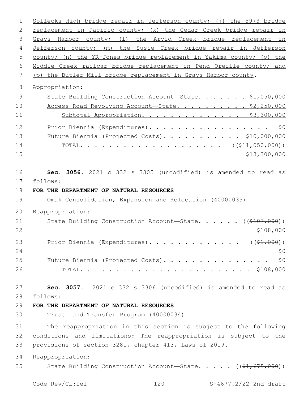Sollecks High bridge repair in Jefferson county; (j) the 5973 bridge 2 replacement in Pacific county; (k) the Cedar Creek bridge repair in Grays Harbor county; (l) the Arvid Creek bridge replacement in Jefferson county; (m) the Susie Creek bridge repair in Jefferson county; (n) the YR-Jones bridge replacement in Yakima county; (o) the Middle Creek railcar bridge replacement in Pend Oreille county; and (p) the Butler Mill bridge replacement in Grays Harbor county. Appropriation: 9 State Building Construction Account-State. . . . . . \$1,050,000 10 Access Road Revolving Account—State. . . . . . . . . \$2,250,000 Subtotal Appropriation. . . . . . . . . . . . . . \$3,300,000 12 Prior Biennia (Expenditures). . . . . . . . . . . . . . . . \$0 Future Biennia (Projected Costs). . . . . . . . . . . \$10,000,000 TOTAL. . . . . . . . . . . . . . . . . . . . ((\$11,050,000)) \$13,300,000 **Sec. 3056.** 2021 c 332 s 3305 (uncodified) is amended to read as follows: 17 **FOR THE DEPARTMENT OF NATURAL RESOURCES** Omak Consolidation, Expansion and Relocation (40000033) Reappropriation: 21 State Building Construction Account—State. . . . . ((\$107,000))  $22 \frac{\$108,000}{}$ 23 Prior Biennia (Expenditures). . . . . . . . . . . . ((\$1,000)) 25 Future Biennia (Projected Costs). . . . . . . . . . . . . . \$0 TOTAL. . . . . . . . . . . . . . . . . . . . . . . . \$108,000 **Sec. 3057.** 2021 c 332 s 3306 (uncodified) is amended to read as follows: 28 **FOR THE DEPARTMENT OF NATURAL RESOURCES** Trust Land Transfer Program (40000034) The reappropriation in this section is subject to the following conditions and limitations: The reappropriation is subject to the provisions of section 3281, chapter 413, Laws of 2019. Reappropriation: 35 State Building Construction Account—State. . . . . ((\$1,675,000))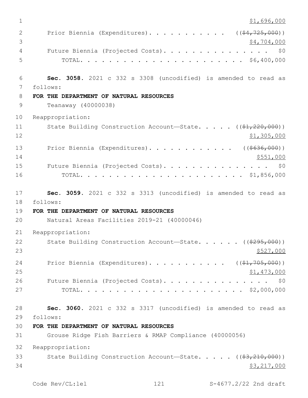$1 \quad$  \$1,696,000 2 Prior Biennia (Expenditures). . . . . . . . . . ((\$4,725,000))  $3 \times 4,704,000$  Future Biennia (Projected Costs). . . . . . . . . . . . . . . \$0 TOTAL. . . . . . . . . . . . . . . . . . . . . . . \$6,400,000 **Sec. 3058.** 2021 c 332 s 3308 (uncodified) is amended to read as follows: 7 **FOR THE DEPARTMENT OF NATURAL RESOURCES** Teanaway (40000038) Reappropriation: 11 State Building Construction Account—State. . . . ((\$1,220,000)) \$1,305,000 13 Prior Biennia (Expenditures). . . . . . . . . . . ((\$636,000))  $$551,000$  Future Biennia (Projected Costs). . . . . . . . . . . . . . . \$0 TOTAL. . . . . . . . . . . . . . . . . . . . . . . \$1,856,000 **Sec. 3059.** 2021 c 332 s 3313 (uncodified) is amended to read as 18 follows: **FOR THE DEPARTMENT OF NATURAL RESOURCES** Natural Areas Facilities 2019-21 (40000046) Reappropriation: 22 State Building Construction Account—State. . . . . ((\$295,000))  $\frac{$527,000}{2}$ 24 Prior Biennia (Expenditures). . . . . . . . . . ((\$1,705,000)) \$1,473,000 26 Future Biennia (Projected Costs). . . . . . . . . . . . . . \$0 TOTAL. . . . . . . . . . . . . . . . . . . . . . . \$2,000,000 **Sec. 3060.** 2021 c 332 s 3317 (uncodified) is amended to read as follows: 29 **FOR THE DEPARTMENT OF NATURAL RESOURCES** Grouse Ridge Fish Barriers & RMAP Compliance (40000056) Reappropriation: 33 State Building Construction Account—State. . . . . ((\$3,210,000)) \$3,217,000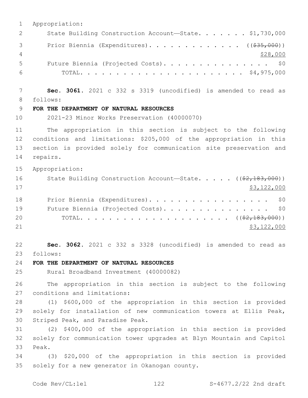1 Appropriation: 2 State Building Construction Account-State. . . . . . \$1,730,000 3 Prior Biennia (Expenditures). . . . . . . . . . . . ((<del>\$35,000</del>)) 4 \$28,000 5 Future Biennia (Projected Costs). . . . . . . . . . . . . . \$0 6 TOTAL. . . . . . . . . . . . . . . . . . . . . . . \$4,975,000 7 **Sec. 3061.** 2021 c 332 s 3319 (uncodified) is amended to read as follows: 8 9 **FOR THE DEPARTMENT OF NATURAL RESOURCES** 10 2021-23 Minor Works Preservation (40000070) 11 The appropriation in this section is subject to the following 12 conditions and limitations: \$205,000 of the appropriation in this 13 section is provided solely for communication site preservation and 14 repairs. 15 Appropriation: 16 State Building Construction Account—State. . . . . ((\$2,183,000))  $17$  \$3,122,000 18 Prior Biennia (Expenditures). . . . . . . . . . . . . . . . \$0 19 Future Biennia (Projected Costs). . . . . . . . . . . . . . \$0 20 TOTAL. . . . . . . . . . . . . . . . . . . . . ((\$2,183,000)) 21 \$3,122,000 22 **Sec. 3062.** 2021 c 332 s 3328 (uncodified) is amended to read as follows: 23 24 **FOR THE DEPARTMENT OF NATURAL RESOURCES** 25 Rural Broadband Investment (40000082) 26 The appropriation in this section is subject to the following 27 conditions and limitations: 28 (1) \$600,000 of the appropriation in this section is provided 29 solely for installation of new communication towers at Ellis Peak, 30 Striped Peak, and Paradise Peak. 31 (2) \$400,000 of the appropriation in this section is provided 32 solely for communication tower upgrades at Blyn Mountain and Capitol 33 Peak. 34 (3) \$20,000 of the appropriation in this section is provided 35 solely for a new generator in Okanogan county.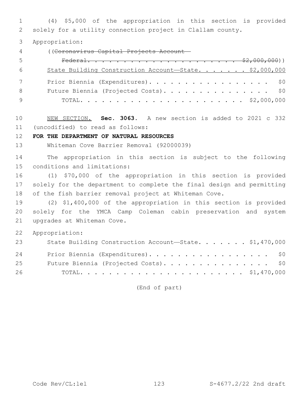(4) \$5,000 of the appropriation in this section is provided solely for a utility connection project in Clallam county.

Appropriation:

((Coronavirus Capital Projects Account—

| -5  |                                                        |
|-----|--------------------------------------------------------|
| - 6 | State Building Construction Account-State. \$2,000,000 |
|     | Prior Biennia (Expenditures). \$0                      |
| - 8 | Future Biennia (Projected Costs). \$0                  |
|     |                                                        |

 NEW SECTION. **Sec. 3063.** A new section is added to 2021 c 332 (uncodified) to read as follows: 11

# **FOR THE DEPARTMENT OF NATURAL RESOURCES**

Whiteman Cove Barrier Removal (92000039)

 The appropriation in this section is subject to the following 15 conditions and limitations:

 (1) \$70,000 of the appropriation in this section is provided solely for the department to complete the final design and permitting of the fish barrier removal project at Whiteman Cove.

 (2) \$1,400,000 of the appropriation in this section is provided solely for the YMCA Camp Coleman cabin preservation and system 21 upgrades at Whiteman Cove.

Appropriation:

| 23 | State Building Construction Account-State. \$1,470,000 |
|----|--------------------------------------------------------|
| 24 | Prior Biennia (Expenditures). \$0                      |
| 25 | Future Biennia (Projected Costs). \$0                  |
| 26 |                                                        |

(End of part)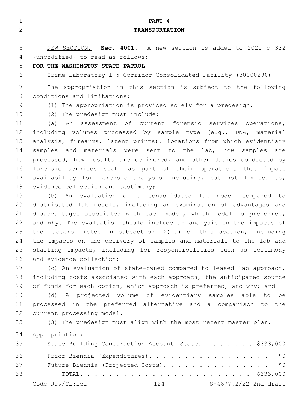| $\mathbf 1$    | PART 4                                                                |
|----------------|-----------------------------------------------------------------------|
| $\overline{2}$ | <b>TRANSPORTATION</b>                                                 |
|                |                                                                       |
| 3              | NEW SECTION. Sec. 4001. A new section is added to 2021 c 332          |
| 4              | (uncodified) to read as follows:                                      |
| 5              | FOR THE WASHINGTON STATE PATROL                                       |
| 6              | Crime Laboratory I-5 Corridor Consolidated Facility (30000290)        |
| 7              | The appropriation in this section is subject to the following         |
| 8              | conditions and limitations:                                           |
| 9              | (1) The appropriation is provided solely for a predesign.             |
| 10             | (2) The predesign must include:                                       |
| 11             | An assessment of current forensic services operations,<br>(a)         |
| 12             | including volumes processed by sample type (e.g., DNA, material       |
| 13             | analysis, firearms, latent prints), locations from which evidentiary  |
| 14             | samples and materials were sent to the lab, how<br>samples are        |
| 15             | processed, how results are delivered, and other duties conducted by   |
| 16             | forensic services staff as part of their operations that impact       |
| 17             | availability for forensic analysis including, but not limited to,     |
| 18             | evidence collection and testimony;                                    |
| 19             | An evaluation of a consolidated lab model compared to<br>(b)          |
| 20             | distributed lab models, including an examination of advantages and    |
| 21             | disadvantages associated with each model, which model is preferred,   |
| 22             | and why. The evaluation should include an analysis on the impacts of  |
| 23             | the factors listed in subsection (2) (a) of this section, including   |
| 24             | the impacts on the delivery of samples and materials to the lab and   |
| 25             | staffing impacts, including for responsibilities such as testimony    |
| 26             | and evidence collection;                                              |
| 27             | (c) An evaluation of state-owned compared to leased lab approach,     |
| 28             | including costs associated with each approach, the anticipated source |
| 29             | of funds for each option, which approach is preferred, and why; and   |
| 30             | (d) A projected volume of evidentiary samples able to<br>be           |
| 31             | processed in the preferred alternative and a comparison to the        |
| 32             | current processing model.                                             |
| 33             | (3) The predesign must align with the most recent master plan.        |
| 34             | Appropriation:                                                        |
| 35             | State Building Construction Account-State. \$333,000                  |
|                |                                                                       |

36 Prior Biennia (Expenditures). . . . . . . . . . . . . . . . \$0 37 Future Biennia (Projected Costs). . . . . . . . . . . . . . \$0 TOTAL. . . . . . . . . . . . . . . . . . . . . . . . \$333,000 Code Rev/CL:lel 124 S-4677.2/22 2nd draft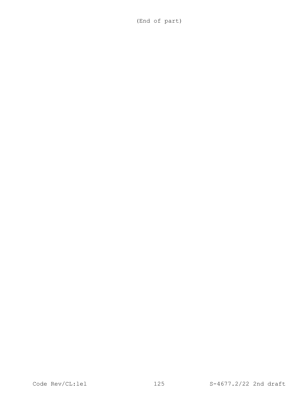(End of part)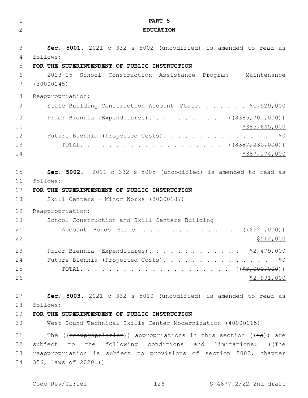| $\mathbf 1$    | PART <sub>5</sub>                                                   |
|----------------|---------------------------------------------------------------------|
| $\overline{2}$ | <b>EDUCATION</b>                                                    |
|                |                                                                     |
| 3              | Sec. 5001. 2021 c 332 s 5002 (uncodified) is amended to read as     |
| 4              | follows:                                                            |
| 5              | FOR THE SUPERINTENDENT OF PUBLIC INSTRUCTION                        |
| 6              | $2013 - 15$<br>School Construction Assistance Program - Maintenance |
| 7              | (30000145)                                                          |
| 8              | Reappropriation:                                                    |
| 9              | State Building Construction Account-State. \$1,529,000              |
| 10             | Prior Biennia (Expenditures). ( $(\frac{\$385, 701, 000}{\$})$      |
| 11             | \$385,645,000                                                       |
| 12             | Future Biennia (Projected Costs).<br>\$0                            |
| 13             |                                                                     |
| 14             | \$387,174,000                                                       |
| 15             | Sec. 5002. 2021 c 332 s 5005 (uncodified) is amended to read as     |
| 16             | follows:                                                            |
| 17             | FOR THE SUPERINTENDENT OF PUBLIC INSTRUCTION                        |
| 18             | Skill Centers - Minor Works (30000187)                              |
| 19             |                                                                     |
| 20             | Reappropriation:<br>School Construction and Skill Centers Building  |
| 21             | Account-Bonds-State.<br>$((\$521,000))$                             |
| 22             | \$512,000                                                           |
| 23             | Prior Biennia (Expenditures). \$2,479,000                           |
| 24             | Future Biennia (Projected Costs). \$0                               |
| 25             |                                                                     |
| 26             | \$2,991,000                                                         |
| 27             | Sec. 5003. 2021 c 332 s 5010 (uncodified) is amended to read as     |
| 28             | follows:                                                            |
| 29             | FOR THE SUPERINTENDENT OF PUBLIC INSTRUCTION                        |
| 30             | West Sound Technical Skills Center Modernization (40000015)         |
| 31             | The ((reappropriation)) appropriations in this section ((is)) are   |
| 32             | subject to the following conditions and limitations: ((The          |
| 33             | reappropriation is subject to provisions of section 5002, chapter   |
| 34             | $356,$ Laws of $2020.$ ))                                           |
|                |                                                                     |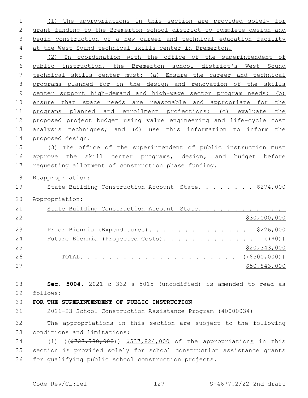(1) The appropriations in this section are provided solely for grant funding to the Bremerton school district to complete design and 3 begin construction of a new career and technical education facility at the West Sound technical skills center in Bremerton.

 (2) In coordination with the office of the superintendent of public instruction, the Bremerton school district's West Sound technical skills center must: (a) Ensure the career and technical programs planned for in the design and renovation of the skills center support high-demand and high-wage sector program needs; (b) ensure that space needs are reasonable and appropriate for the programs planned and enrollment projections; (c) evaluate the proposed project budget using value engineering and life-cycle cost 13 analysis techniques; and (d) use this information to inform the proposed design.

 (3) The office of the superintendent of public instruction must 16 approve the skill center programs, design, and budget before 17 requesting allotment of construction phase funding.

Reappropriation:

19 State Building Construction Account—State. . . . . . . \$274,000

Appropriation:

| 21 | State Building Construction Account-State.                  |              |
|----|-------------------------------------------------------------|--------------|
| 22 |                                                             | \$30,000,000 |
| 23 | Prior Biennia (Expenditures). \$226,000                     |              |
| 24 | Future Biennia (Projected Costs). ( $(\frac{1}{2}\theta)$ ) |              |
| 25 |                                                             | \$20,343,000 |
| 26 |                                                             |              |
| 27 |                                                             | \$50,843,000 |

 **Sec. 5004.** 2021 c 332 s 5015 (uncodified) is amended to read as follows: 29

**FOR THE SUPERINTENDENT OF PUBLIC INSTRUCTION**

2021-23 School Construction Assistance Program (40000034)

 The appropriations in this section are subject to the following 33 conditions and limitations:

 (1) ((\$727,780,000)) \$537,824,000 of the appropriations in this section is provided solely for school construction assistance grants for qualifying public school construction projects.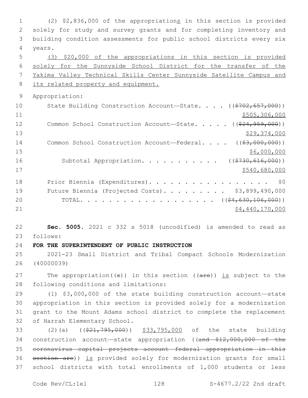(2) \$2,836,000 of the appropriations in this section is provided solely for study and survey grants and for completing inventory and building condition assessments for public school districts every six 4 years. (3) \$20,000 of the appropriations in this section is provided solely for the Sunnyside School District for the transfer of the Yakima Valley Technical Skills Center Sunnyside Satellite Campus and 8 its related property and equipment. Appropriation: 10 State Building Construction Account—State. . . . ((\$702,657,000)) \$505,306,000 12 Common School Construction Account—State. . . . . ((\$24,959,000)) \$29,374,000 14 Common School Construction Account—Federal. . . . ((\$3,000,000)) \$6,000,000 \$6,000,000 \$6,000,000 \$6,000,000 \$6,000,000 \$6,000 \$6,000 \$6,000 \$6,000 \$6,000 \$6,000 \$6,000 \$6,000 \$6,000 \$6,000 \$6,000 \$6,000 \$6,000 \$6,000 \$6,000 \$6,000 \$6,000 \$6,000 \$6,000 \$6,000 \$6,000 \$6,000 \$6,000 16 Subtotal Appropriation. . . . . . . . . . ((\$730,616,000)) \$540,680,000 18 Prior Biennia (Expenditures). . . . . . . . . . . . . . . . \$0 Future Biennia (Projected Costs). . . . . . . . . \$3,899,490,000 20 TOTAL. . . . . . . . . . . . . . . . . ((<del>\$4,630,106,000</del>))  $54,440,170,000$  **Sec. 5005.** 2021 c 332 s 5018 (uncodified) is amended to read as follows: 23 **FOR THE SUPERINTENDENT OF PUBLIC INSTRUCTION** 2021-23 Small District and Tribal Compact Schools Modernization (40000039) 27 The appropriation( $(\theta)$ ) in this section ( $(\theta + \epsilon)$ ) is subject to the 28 following conditions and limitations:

 (1) \$3,000,000 of the state building construction account—state appropriation in this section is provided solely for a modernization grant to the Mount Adams school district to complete the replacement 32 of Harrah Elementary School.

33 (2)(a) ((\$21,795,000)) \$33,795,000 of the state building 34 construction account—state appropriation ((and \$12,000,000 of the 35 coronavirus capital projects account—federal appropriation in this 36 section are)) is provided solely for modernization grants for small 37 school districts with total enrollments of 1,000 students or less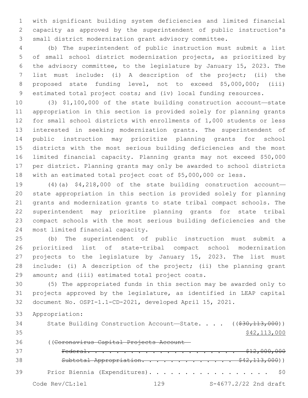with significant building system deficiencies and limited financial capacity as approved by the superintendent of public instruction's small district modernization grant advisory committee.

 (b) The superintendent of public instruction must submit a list of small school district modernization projects, as prioritized by the advisory committee, to the legislature by January 15, 2023. The list must include: (i) A description of the project; (ii) the proposed state funding level, not to exceed \$5,000,000; (iii) estimated total project costs; and (iv) local funding resources.

 (3) \$1,100,000 of the state building construction account—state appropriation in this section is provided solely for planning grants for small school districts with enrollments of 1,000 students or less interested in seeking modernization grants. The superintendent of public instruction may prioritize planning grants for school districts with the most serious building deficiencies and the most limited financial capacity. Planning grants may not exceed \$50,000 per district. Planning grants may only be awarded to school districts with an estimated total project cost of \$5,000,000 or less.

 (4)(a) \$4,218,000 of the state building construction account— state appropriation in this section is provided solely for planning grants and modernization grants to state tribal compact schools. The superintendent may prioritize planning grants for state tribal compact schools with the most serious building deficiencies and the 24 most limited financial capacity.

 (b) The superintendent of public instruction must submit a prioritized list of state-tribal compact school modernization projects to the legislature by January 15, 2023. The list must include: (i) A description of the project; (ii) the planning grant 29 amount; and (iii) estimated total project costs.

 (5) The appropriated funds in this section may be awarded only to projects approved by the legislature, as identified in LEAP capital document No. OSPI-1.1-CD-2021, developed April 15, 2021.

Appropriation:

34 State Building Construction Account—State. . . . ((\$30,113,000)) \$42,113,000 ((Coronavirus Capital Projects Account— Federal. . . . . . . . . . . . . . . . . . . . . \$12,000,000 Subtotal Appropriation. . . . . . . . . . . . . \$42,113,000)) 39 Prior Biennia (Expenditures). . . . . . . . . . . . . . . . \$0

Code Rev/CL:lel 129 S-4677.2/22 2nd draft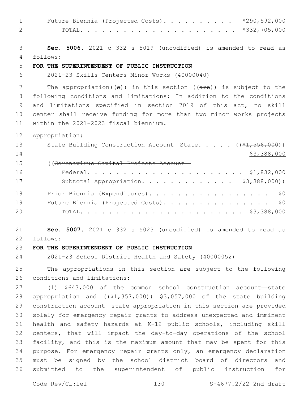| $\mathbf 1$  | \$290,592,000<br>Future Biennia (Projected Costs).                                   |
|--------------|--------------------------------------------------------------------------------------|
| $\mathbf{2}$ | \$332,705,000                                                                        |
|              |                                                                                      |
| 3            | Sec. 5006. 2021 c 332 s 5019 (uncodified) is amended to read as                      |
| 4            | follows:                                                                             |
| 5            | FOR THE SUPERINTENDENT OF PUBLIC INSTRUCTION                                         |
| 6            | 2021-23 Skills Centers Minor Works (40000040)                                        |
| 7            | The appropriation( $(\theta)$ ) in this section ( $(\text{are})$ ) is subject to the |
| 8            | following conditions and limitations: In addition to the conditions                  |
| $\mathsf 9$  | and limitations specified in section 7019 of this act, no skill                      |
| 10           | center shall receive funding for more than two minor works projects                  |
| 11           | within the 2021-2023 fiscal biennium.                                                |
| 12           |                                                                                      |
| 13           | Appropriation:                                                                       |
| 14           | State Building Construction Account-State. $($ $(*1, 556, 000))$                     |
|              | \$3,388,000                                                                          |
| 15           | ((Coronavirus Capital Projects Account-                                              |
| 16           |                                                                                      |
| 17           | Subtotal Appropriation. \$3,388,000))                                                |
| 18           | Prior Biennia (Expenditures).<br>\$0                                                 |
| 19           | \$0<br>Future Biennia (Projected Costs).                                             |
| 20           |                                                                                      |
|              |                                                                                      |
| 21           | Sec. 5007. 2021 c 332 s 5023 (uncodified) is amended to read as                      |
| 22           | follows:                                                                             |
| 23           | FOR THE SUPERINTENDENT OF PUBLIC INSTRUCTION                                         |
| 24           | 2021-23 School District Health and Safety (40000052)                                 |
| 25           | The appropriations in this section are subject to the following                      |
| 26           | conditions and limitations:                                                          |
| 27           | (1) \$643,000 of the common school construction account-state                        |
| 28           | appropriation and $($ $(*1, 357, 000)$ $*3,057,000$ of the state building            |
| 29           | construction account-state appropriation in this section are provided                |
| 30           | solely for emergency repair grants to address unexpected and imminent                |
| 31           | health and safety hazards at K-12 public schools, including skill                    |
| 32           | centers, that will impact the day-to-day operations of the school                    |
| 33           | facility, and this is the maximum amount that may be spent for this                  |
| 34           | purpose. For emergency repair grants only, an emergency declaration                  |
| 35           | must be signed by the school district board of directors<br>and                      |
| 36           | submitted to the superintendent of public instruction<br>for                         |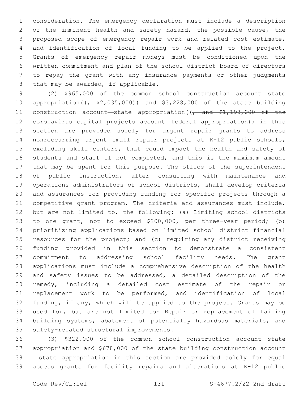consideration. The emergency declaration must include a description of the imminent health and safety hazard, the possible cause, the proposed scope of emergency repair work and related cost estimate, and identification of local funding to be applied to the project. Grants of emergency repair moneys must be conditioned upon the written commitment and plan of the school district board of directors to repay the grant with any insurance payments or other judgments 8 that may be awarded, if applicable.

 (2) \$965,000 of the common school construction account—state 10 appropriation( $\left(\frac{2}{5}, \frac{35}{100}\right)$ ) and \$3,228,000 of the state building 11 construction account—state appropriation((, and \$1,193,000 of the coronavirus capital projects account—federal appropriation)) in this section are provided solely for urgent repair grants to address nonreccurring urgent small repair projects at K-12 public schools, excluding skill centers, that could impact the health and safety of students and staff if not completed, and this is the maximum amount that may be spent for this purpose. The office of the superintendent of public instruction, after consulting with maintenance and operations administrators of school districts, shall develop criteria and assurances for providing funding for specific projects through a competitive grant program. The criteria and assurances must include, but are not limited to, the following: (a) Limiting school districts to one grant, not to exceed \$200,000, per three-year period; (b) prioritizing applications based on limited school district financial resources for the project; and (c) requiring any district receiving funding provided in this section to demonstrate a consistent commitment to addressing school facility needs. The grant applications must include a comprehensive description of the health and safety issues to be addressed, a detailed description of the remedy, including a detailed cost estimate of the repair or replacement work to be performed, and identification of local funding, if any, which will be applied to the project. Grants may be used for, but are not limited to: Repair or replacement of failing building systems, abatement of potentially hazardous materials, and 35 safety-related structural improvements.

 (3) \$322,000 of the common school construction account—state appropriation and \$678,000 of the state building construction account —state appropriation in this section are provided solely for equal access grants for facility repairs and alterations at K-12 public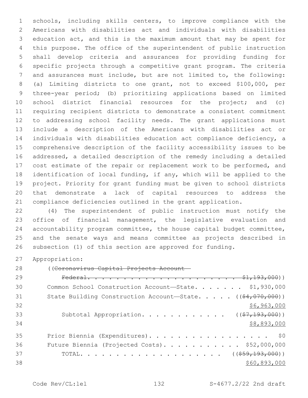schools, including skills centers, to improve compliance with the Americans with disabilities act and individuals with disabilities education act, and this is the maximum amount that may be spent for this purpose. The office of the superintendent of public instruction shall develop criteria and assurances for providing funding for specific projects through a competitive grant program. The criteria and assurances must include, but are not limited to, the following: (a) Limiting districts to one grant, not to exceed \$100,000, per three-year period; (b) prioritizing applications based on limited school district financial resources for the project; and (c) requiring recipient districts to demonstrate a consistent commitment to addressing school facility needs. The grant applications must include a description of the Americans with disabilities act or individuals with disabilities education act compliance deficiency, a comprehensive description of the facility accessibility issues to be addressed, a detailed description of the remedy including a detailed 17 cost estimate of the repair or replacement work to be performed, and identification of local funding, if any, which will be applied to the project. Priority for grant funding must be given to school districts that demonstrate a lack of capital resources to address the compliance deficiencies outlined in the grant application.

 (4) The superintendent of public instruction must notify the office of financial management, the legislative evaluation and accountability program committee, the house capital budget committee, and the senate ways and means committee as projects described in subsection (1) of this section are approved for funding.

Appropriation:

((Coronavirus Capital Projects Account—

| 29 |                                                                                      |
|----|--------------------------------------------------------------------------------------|
| 30 | Common School Construction Account-State. \$1,930,000                                |
| 31 | State Building Construction Account-State. $($ $($ $\frac{64}{707}, \frac{000}{00})$ |
| 32 | \$6,963,000                                                                          |
| 33 | Subtotal Appropriation. ( $(\frac{27}{193}, 000)$ )                                  |
| 34 | \$8,893,000                                                                          |
| 35 | Prior Biennia (Expenditures). \$0                                                    |
| 36 | Future Biennia (Projected Costs). \$52,000,000                                       |
| 37 |                                                                                      |
| 38 | \$60,893,000                                                                         |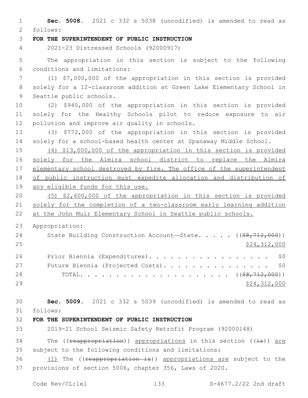**Sec. 5008.** 2021 c 332 s 5038 (uncodified) is amended to read as follows: 2 **FOR THE SUPERINTENDENT OF PUBLIC INSTRUCTION** 2021-23 Distressed Schools (92000917) The appropriation in this section is subject to the following conditions and limitations:6 (1) \$7,000,000 of the appropriation in this section is provided solely for a 12-classroom addition at Green Lake Elementary School in 9 Seattle public schools. (2) \$940,000 of the appropriation in this section is provided solely for the Healthy Schools pilot to reduce exposure to air 12 pollution and improve air quality in schools. (3) \$772,000 of the appropriation in this section is provided solely for a school-based health center at Spanaway Middle School. (4) \$13,000,000 of the appropriation in this section is provided solely for the Almira school district to replace the Almira 17 elementary school destroyed by fire. The office of the superintendent of public instruction must expedite allocation and distribution of any eligible funds for this use. (5) \$2,600,000 of the appropriation in this section is provided solely for the completion of a two-classroom early learning addition at the John Muir Elementary School in Seattle public schools. Appropriation: 24 State Building Construction Account—State. . . . . ((\$8,712,000)) \$24,312,000 26 Prior Biennia (Expenditures). . . . . . . . . . . . . . . . \$0 27 Future Biennia (Projected Costs). . . . . . . . . . . . . . \$0 TOTAL. . . . . . . . . . . . . . . . . . . . . ((\$8,712,000)) \$24,312,000 **Sec. 5009.** 2021 c 332 s 5039 (uncodified) is amended to read as follows: 31 **FOR THE SUPERINTENDENT OF PUBLIC INSTRUCTION** 2019-21 School Seismic Safety Retrofit Program (92000148) 34 The (( $r$ eappropriation)) appropriations in this section ( $(i\texttt{s})$ ) are subject to the following conditions and limitations: 36 (1) The ((reappropriation is)) appropriations are subject to the provisions of section 5006, chapter 356, Laws of 2020.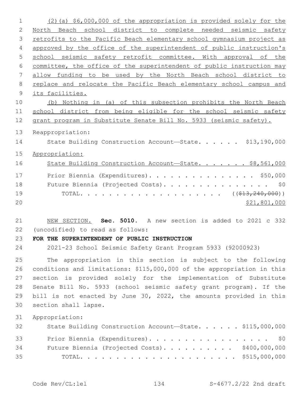| 1              | $(2)$ (a) \$6,000,000 of the appropriation is provided solely for the  |
|----------------|------------------------------------------------------------------------|
| $\mathbf{2}$   | North Beach school district to complete needed seismic safety          |
| 3              | retrofits to the Pacific Beach elementary school gymnasium project as  |
| $\overline{4}$ | approved by the office of the superintendent of public instruction's   |
| 5              | school seismic safety retrofit committee. With approval of the         |
| $6\,$          | committee, the office of the superintendent of public instruction may  |
| 7              | allow funding to be used by the North Beach school district to         |
| 8              | replace and relocate the Pacific Beach elementary school campus and    |
| 9              | its facilities.                                                        |
| 10             | (b) Nothing in (a) of this subsection prohibits the North Beach        |
| 11             | school district from being eligible for the school seismic safety      |
| 12             | grant program in Substitute Senate Bill No. 5933 (seismic safety).     |
| 13             | Reappropriation:                                                       |
| 14             | State Building Construction Account-State. \$13,190,000                |
| 15             | Appropriation:                                                         |
| 16             | State Building Construction Account-State. \$8,561,000                 |
|                |                                                                        |
| 17             | Prior Biennia (Expenditures). \$50,000                                 |
| 18             | Future Biennia (Projected Costs).<br>\$0                               |
| 19             |                                                                        |
| 20             | \$21,801,000                                                           |
| 21             | NEW SECTION. Sec. 5010. A new section is added to 2021 c 332           |
| 22             | (uncodified) to read as follows:                                       |
| 23             | FOR THE SUPERINTENDENT OF PUBLIC INSTRUCTION                           |
| 24             | 2021-23 School Seismic Safety Grant Program 5933 (92000923)            |
|                |                                                                        |
| 25             | The appropriation in this section is subject to the following          |
| 26             | conditions and limitations: \$115,000,000 of the appropriation in this |
| 27             | section is provided solely for the implementation of Substitute        |
| 28             | Senate Bill No. 5933 (school seismic safety grant program). If the     |
| 29             | bill is not enacted by June 30, 2022, the amounts provided in this     |
| 30             | section shall lapse.                                                   |
| 31             | Appropriation:                                                         |
| 32             | State Building Construction Account-State. \$115,000,000               |
| 33             | Prior Biennia (Expenditures). \$0                                      |
| 34             |                                                                        |
|                |                                                                        |
| 35             | Future Biennia (Projected Costs). \$400,000,000                        |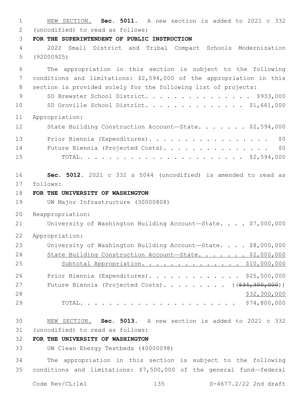NEW SECTION. **Sec. 5011.** A new section is added to 2021 c 332 (uncodified) to read as follows: 2 **FOR THE SUPERINTENDENT OF PUBLIC INSTRUCTION** 2022 Small District and Tribal Compact Schools Modernization (92000925) The appropriation in this section is subject to the following conditions and limitations: \$2,594,000 of the appropriation in this section is provided solely for the following list of projects: 9 SD Brewster School District. . . . . . . . . . . . . \$933,000 SD Oroville School District. . . . . . . . . . . . . . \$1,661,000 Appropriation: 12 State Building Construction Account-State. . . . . . \$2,594,000 13 Prior Biennia (Expenditures). . . . . . . . . . . . . . . . \$0 14 Future Biennia (Projected Costs). . . . . . . . . . . . . . \$0 TOTAL. . . . . . . . . . . . . . . . . . . . . . . \$2,594,000 **Sec. 5012.** 2021 c 332 s 5044 (uncodified) is amended to read as 17 follows: **FOR THE UNIVERSITY OF WASHINGTON** UW Major Infrastructure (30000808) Reappropriation: 21 University of Washington Building Account-State. . . . \$7,000,000 Appropriation: University of Washington Building Account—State. . . . \$8,000,000 24 State Building Construction Account-State. . . . . . \$2,000,000 25 Subtotal Appropriation. . . . . . . . . . . . . \$10,000,000 Prior Biennia (Expenditures). . . . . . . . . . . . . \$25,500,000 27 Future Biennia (Projected Costs). . . . . . . . ((\$34,300,000)) \$32,300,000 TOTAL. . . . . . . . . . . . . . . . . . . . . . \$74,800,000 NEW SECTION. **Sec. 5013.** A new section is added to 2021 c 332 (uncodified) to read as follows: 31 **FOR THE UNIVERSITY OF WASHINGTON** UW Clean Energy Testbeds (40000098)

 The appropriation in this section is subject to the following conditions and limitations: \$7,500,000 of the general fund—federal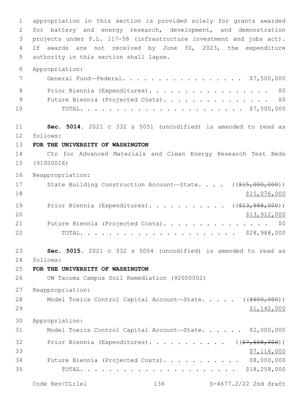appropriation in this section is provided solely for grants awarded for battery and energy research, development, and demonstration projects under P.L. 117-58 (infrastructure investment and jobs act). If awards are not received by June 30, 2023, the expenditure 5 authority in this section shall lapse. Appropriation: General Fund—Federal. . . . . . . . . . . . . . . . . \$7,500,000 8 Prior Biennia (Expenditures). . . . . . . . . . . . . . . . \$0 9 Future Biennia (Projected Costs). . . . . . . . . . . . . . \$0 TOTAL. . . . . . . . . . . . . . . . . . . . . . . \$7,500,000 **Sec. 5014.** 2021 c 332 s 5051 (uncodified) is amended to read as 12 follows: **FOR THE UNIVERSITY OF WASHINGTON** Ctr for Advanced Materials and Clean Energy Research Test Beds (91000016) Reappropriation: 17 State Building Construction Account—State. . . . ((\$15,000,000))  $\frac{15,076,000}{ }$ 19 Prior Biennia (Expenditures). . . . . . . . . . ( (\$13,988,000)) 20 \$13,912,000 21 Future Biennia (Projected Costs). . . . . . . . . . . . . . \$0 TOTAL. . . . . . . . . . . . . . . . . . . . . . \$28,988,000 **Sec. 5015.** 2021 c 332 s 5054 (uncodified) is amended to read as follows: 24 **FOR THE UNIVERSITY OF WASHINGTON** UW Tacoma Campus Soil Remediation (92000002) Reappropriation: 28 Model Toxics Control Capital Account—State. . . . ((\$600,000)) \$1,142,000 Appropriation: Model Toxics Control Capital Account—State. . . . . . \$2,000,000 32 Prior Biennia (Expenditures)............. ((\$7,658,000))  $\frac{1}{57}$ , 116,000 Future Biennia (Projected Costs). . . . . . . . . . . \$8,000,000 TOTAL. . . . . . . . . . . . . . . . . . . . . . \$18,258,000

Code Rev/CL:lel 136 S-4677.2/22 2nd draft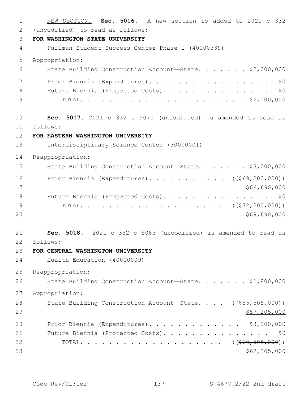NEW SECTION. **Sec. 5016.** A new section is added to 2021 c 332 2 (uncodified) to read as follows: **FOR WASHINGTON STATE UNIVERSITY** Pullman Student Success Center Phase 1 (40000339) Appropriation: State Building Construction Account—State. . . . . . . \$2,000,000 7 Prior Biennia (Expenditures). . . . . . . . . . . . . . . . \$0 8 Future Biennia (Projected Costs). . . . . . . . . . . . . . \$0 TOTAL. . . . . . . . . . . . . . . . . . . . . . . \$2,000,000 **Sec. 5017.** 2021 c 332 s 5070 (uncodified) is amended to read as follows: 11 **FOR EASTERN WASHINGTON UNIVERSITY** Interdisciplinary Science Center (30000001) Reappropriation: 15 State Building Construction Account—State. . . . . . \$3,000,000 16 Prior Biennia (Expenditures). . . . . . . . . . ((\$69,200,000)) \$66,690,000 18 Future Biennia (Projected Costs). . . . . . . . . . . . . . \$0 19 TOTAL. . . . . . . . . . . . . . . . . . ((<del>\$72,200,000</del>)) \$69,690,000 **Sec. 5018.** 2021 c 332 s 5083 (uncodified) is amended to read as follows: 22 **FOR CENTRAL WASHINGTON UNIVERSITY** Health Education (40000009) Reappropriation: 26 State Building Construction Account-State. . . . . . \$1,800,000 Appropriation: 28 State Building Construction Account—State. . . . ((\$55,505,000)) 29 \$57,205,000 Prior Biennia (Expenditures). . . . . . . . . . . . . \$3,200,000 Future Biennia (Projected Costs). . . . . . . . . . . . . . . \$0 TOTAL. . . . . . . . . . . . . . . . . . . . ((\$60,505,000)) \$62,205,000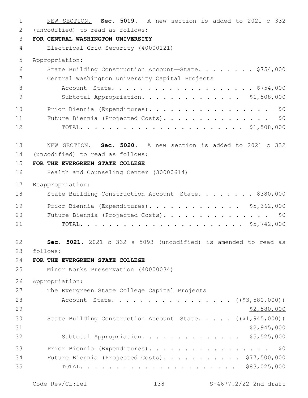NEW SECTION. **Sec. 5019.** A new section is added to 2021 c 332 (uncodified) to read as follows: 2 **FOR CENTRAL WASHINGTON UNIVERSITY** Electrical Grid Security (40000121) Appropriation: State Building Construction Account—State. . . . . . . . \$754,000 7 Central Washington University Capital Projects 8 Account-State. . . . . . . . . . . . . . . . . . \$754,000 Subtotal Appropriation. . . . . . . . . . . . . . \$1,508,000 10 Prior Biennia (Expenditures). . . . . . . . . . . . . . . . \$0 Future Biennia (Projected Costs). . . . . . . . . . . . . . . \$0 TOTAL. . . . . . . . . . . . . . . . . . . . . . . \$1,508,000 NEW SECTION. **Sec. 5020.** A new section is added to 2021 c 332 (uncodified) to read as follows: 14 **FOR THE EVERGREEN STATE COLLEGE** Health and Counseling Center (30000614) Reappropriation: 18 State Building Construction Account—State. . . . . . . \$380,000 Prior Biennia (Expenditures). . . . . . . . . . . . . \$5,362,000 20 Future Biennia (Projected Costs). . . . . . . . . . . . . . \$0 TOTAL. . . . . . . . . . . . . . . . . . . . . . . \$5,742,000 **Sec. 5021.** 2021 c 332 s 5093 (uncodified) is amended to read as follows: 23 **FOR THE EVERGREEN STATE COLLEGE** Minor Works Preservation (40000034) Appropriation: 27 The Evergreen State College Capital Projects 28 Account—State. . . . . . . . . . . . . . . (  $(\frac{2}{7}, \frac{580}{100})$  )  $\frac{$2,580,000}{2}$ 30 State Building Construction Account—State. . . . . ((\$1,945,000)) \$2,945,000 Subtotal Appropriation. . . . . . . . . . . . . . \$5,525,000 Prior Biennia (Expenditures). . . . . . . . . . . . . . . . . \$0 Future Biennia (Projected Costs). . . . . . . . . . . \$77,500,000 TOTAL. . . . . . . . . . . . . . . . . . . . . . \$83,025,000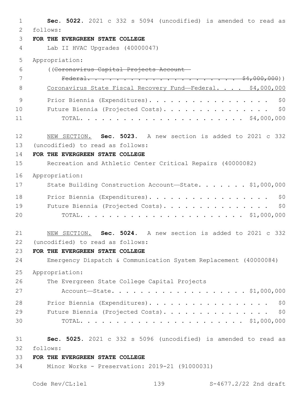| $\mathbf{1}$ | Sec. 5022. 2021 c 332 s 5094 (uncodified) is amended to read as     |
|--------------|---------------------------------------------------------------------|
| 2<br>3       | follows:                                                            |
| 4            | FOR THE EVERGREEN STATE COLLEGE<br>Lab II HVAC Upgrades (40000047)  |
|              |                                                                     |
| 5            | Appropriation:                                                      |
| 6            | ((Coronavirus Capital Projects Account-                             |
| 7            |                                                                     |
| 8            | Coronavirus State Fiscal Recovery Fund-Federal. \$4,000,000         |
| 9            | Prior Biennia (Expenditures).<br>\$0                                |
| 10           | Future Biennia (Projected Costs).<br>\$0                            |
| 11           |                                                                     |
|              |                                                                     |
| 12           | NEW SECTION. Sec. 5023. A new section is added to 2021 c 332        |
| 13<br>14     | (uncodified) to read as follows:<br>FOR THE EVERGREEN STATE COLLEGE |
| 15           | Recreation and Athletic Center Critical Repairs (40000082)          |
|              |                                                                     |
| 16           | Appropriation:                                                      |
| 17           | State Building Construction Account-State. \$1,000,000              |
| 18           | Prior Biennia (Expenditures).<br>\$0                                |
| 19           | Future Biennia (Projected Costs).<br>\$0                            |
| 20           |                                                                     |
| 21           | NEW SECTION. Sec. 5024. A new section is added to 2021 c 332        |
| 22           | (uncodified) to read as follows:                                    |
| 23           | FOR THE EVERGREEN STATE COLLEGE                                     |
| 24           | Emergency Dispatch & Communication System Replacement (40000084)    |
| 25           | Appropriation:                                                      |
| 26           | The Evergreen State College Capital Projects                        |
| 27           | Account—State. \$1,000,000                                          |
| 28           | Prior Biennia (Expenditures).<br>\$0                                |
| 29           | Future Biennia (Projected Costs). \$0                               |
| 30           |                                                                     |
| 31           | Sec. 5025. 2021 c 332 s 5096 (uncodified) is amended to read as     |
| 32           | follows:                                                            |
| 33           | FOR THE EVERGREEN STATE COLLEGE                                     |
| 34           | Minor Works - Preservation: 2019-21 (91000031)                      |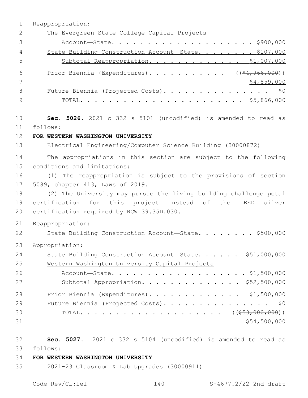1 Reappropriation: 2 The Evergreen State College Capital Projects 3 Account—State. . . . . . . . . . . . . . . . . . . . \$900,000 4 State Building Construction Account-State. . . . . . . \$107,000 5 Subtotal Reappropriation. . . . . . . . . . . . . \$1,007,000 6 Prior Biennia (Expenditures)............ ((\$4,966,000)) 7 \$4,859,000 8 Future Biennia (Projected Costs). . . . . . . . . . . . . . \$0 9 TOTAL. . . . . . . . . . . . . . . . . . . . . . . \$5,866,000 10 **Sec. 5026.** 2021 c 332 s 5101 (uncodified) is amended to read as follows: 11 12 **FOR WESTERN WASHINGTON UNIVERSITY** 13 Electrical Engineering/Computer Science Building (30000872) 14 The appropriations in this section are subject to the following 15 conditions and limitations: 16 (1) The reappropriation is subject to the provisions of section 17 5089, chapter 413, Laws of 2019. 18 (2) The University may pursue the living building challenge petal 19 certification for this project instead of the LEED silver 20 certification required by RCW 39.35D.030. 21 Reappropriation: 22 State Building Construction Account-State. . . . . . . \$500,000 23 Appropriation: 24 State Building Construction Account-State. . . . . \$51,000,000 25 Western Washington University Capital Projects 26 Account-State. . . . . . . . . . . . . . . . . \$1,500,000 27 Subtotal Appropriation. . . . . . . . . . . . . \$52,500,000 28 Prior Biennia (Expenditures). . . . . . . . . . . . . \$1,500,000 29 Future Biennia (Projected Costs). . . . . . . . . . . . . . \$0 30 TOTAL. . . . . . . . . . . . . . . . . . ( $(\frac{553,000,000}{5})$ )  $31$  \$54,500,000 32 **Sec. 5027.** 2021 c 332 s 5104 (uncodified) is amended to read as

follows: 33

### 34 **FOR WESTERN WASHINGTON UNIVERSITY**

35 2021-23 Classroom & Lab Upgrades (30000911)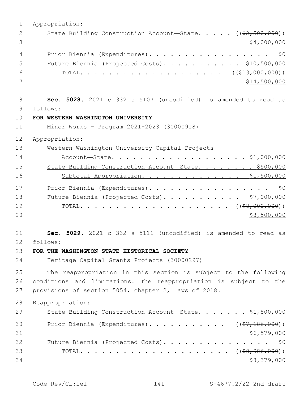| $\mathbf 1$    | Appropriation:                                                                |
|----------------|-------------------------------------------------------------------------------|
| 2              | State Building Construction Account-State. $($ $($ $\frac{2}{52},$ 500, 000)) |
| 3              | \$4,000,000                                                                   |
| $\overline{4}$ | Prior Biennia (Expenditures).<br>\$0                                          |
| 5              | Future Biennia (Projected Costs). \$10,500,000                                |
| 6              |                                                                               |
| 7              | \$14,500,000                                                                  |
|                |                                                                               |
| 8              | Sec. 5028. 2021 c 332 s 5107 (uncodified) is amended to read as               |
| 9              | follows:                                                                      |
| 10             | FOR WESTERN WASHINGTON UNIVERSITY                                             |
| 11             | Minor Works - Program 2021-2023 (30000918)                                    |
| 12             | Appropriation:                                                                |
| 13             | Western Washington University Capital Projects                                |
| 14             | Account-State. \$1,000,000                                                    |
| 15             | State Building Construction Account-State. \$500,000                          |
| 16             | Subtotal Appropriation. \$1,500,000                                           |
| 17             | Prior Biennia (Expenditures).<br>\$0                                          |
| 18             | Future Biennia (Projected Costs). \$7,000,000                                 |
| 19             |                                                                               |
| 20             | \$8,500,000                                                                   |
| 21             | Sec. 5029. 2021 c 332 s 5111 (uncodified) is amended to read as               |
| 22             | follows:                                                                      |
| 23             | FOR THE WASHINGTON STATE HISTORICAL SOCIETY                                   |
| 24             | Heritage Capital Grants Projects (30000297)                                   |
| 25             | The reappropriation in this section is subject to the following               |
| 26             | conditions and limitations: The reappropriation is subject to the             |
| 27             | provisions of section 5054, chapter 2, Laws of 2018.                          |
| 28             | Reappropriation:                                                              |
| 29             | State Building Construction Account-State. \$1,800,000                        |
| 30             | Prior Biennia (Expenditures). ( $(\frac{27}{186},000)$ )                      |
| 31             | \$6,579,000                                                                   |
| 32             | Future Biennia (Projected Costs). \$0                                         |
| 33             |                                                                               |
| 34             | \$8,379,000                                                                   |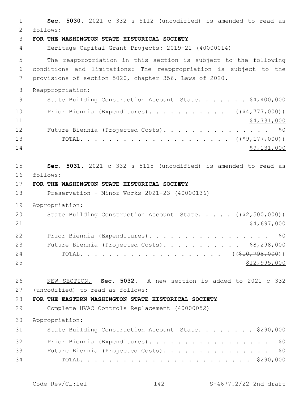**Sec. 5030.** 2021 c 332 s 5112 (uncodified) is amended to read as follows: 2 **FOR THE WASHINGTON STATE HISTORICAL SOCIETY** Heritage Capital Grant Projects: 2019-21 (40000014) The reappropriation in this section is subject to the following conditions and limitations: The reappropriation is subject to the provisions of section 5020, chapter 356, Laws of 2020. Reappropriation: 9 State Building Construction Account-State. . . . . . \$4,400,000 10 Prior Biennia (Expenditures). . . . . . . . . . ((\$4,777,000))  $\frac{11}{24}$ ,731,000 12 Future Biennia (Projected Costs). . . . . . . . . . . . . . \$0 TOTAL. . . . . . . . . . . . . . . . . . . . . ((\$9,177,000)) \$9,131,000 **Sec. 5031.** 2021 c 332 s 5115 (uncodified) is amended to read as follows: 16 **FOR THE WASHINGTON STATE HISTORICAL SOCIETY** Preservation - Minor Works 2021-23 (40000136) Appropriation: 20 State Building Construction Account—State. . . . . ((\$2,500,000)) \$4,697,000 22 Prior Biennia (Expenditures). . . . . . . . . . . . . . . . \$0 23 Future Biennia (Projected Costs). . . . . . . . . . \$8,298,000 24 TOTAL......................((<del>\$10,798,000</del>)) \$12,995,000 NEW SECTION. **Sec. 5032.** A new section is added to 2021 c 332 27 (uncodified) to read as follows: **FOR THE EASTERN WASHINGTON STATE HISTORICAL SOCIETY** Complete HVAC Controls Replacement (40000052) Appropriation: 31 State Building Construction Account-State. . . . . . . \$290,000 32 Prior Biennia (Expenditures). . . . . . . . . . . . . . . . \$0 Future Biennia (Projected Costs). . . . . . . . . . . . . . . \$0 TOTAL. . . . . . . . . . . . . . . . . . . . . . . . \$290,000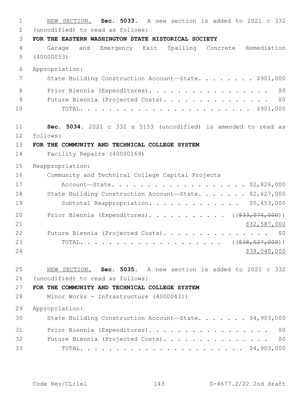NEW SECTION. **Sec. 5033.** A new section is added to 2021 c 332 (uncodified) to read as follows:2 **FOR THE EASTERN WASHINGTON STATE HISTORICAL SOCIETY** Garage and Emergency Exit Spalling Concrete Remediation (40000053) Appropriation: 7 State Building Construction Account—State. . . . . . . \$901,000 8 Prior Biennia (Expenditures). . . . . . . . . . . . . . . . \$0 9 Future Biennia (Projected Costs). . . . . . . . . . . . . . \$0 TOTAL. . . . . . . . . . . . . . . . . . . . . . . . \$901,000 **Sec. 5034.** 2021 c 332 s 5153 (uncodified) is amended to read as follows: 12 **FOR THE COMMUNITY AND TECHNICAL COLLEGE SYSTEM** Facility Repairs (40000169) Reappropriation: Community and Technical College Capital Projects Account—State. . . . . . . . . . . . . . . . . . . \$2,826,000 18 State Building Construction Account-State. . . . . . \$2,627,000 19 Subtotal Reappropriation. . . . . . . . . . . . \$5,453,000 20 Prior Biennia (Expenditures). . . . . . . . . . ((\$33,074,000)) 21 \$32,587,000 22 Future Biennia (Projected Costs). . . . . . . . . . . . . . \$0 TOTAL. . . . . . . . . . . . . . . . . . . . ((\$38,527,000)) 24 \$38,040,000 \$38,040,000 \$38,040,000 \$38,040,000 \$38,040,000 \$38,040,000 \$38,040,000 \$ NEW SECTION. **Sec. 5035.** A new section is added to 2021 c 332 (uncodified) to read as follows:26 **FOR THE COMMUNITY AND TECHNICAL COLLEGE SYSTEM** Minor Works - Infrastructure (40000431) Appropriation: State Building Construction Account—State. . . . . . . \$4,903,000 31 Prior Biennia (Expenditures). . . . . . . . . . . . . . . . \$0 Future Biennia (Projected Costs). . . . . . . . . . . . . . . \$0 TOTAL. . . . . . . . . . . . . . . . . . . . . . . \$4,903,000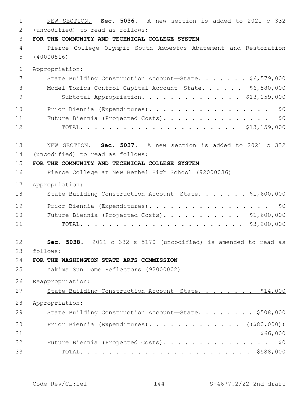1 NEW SECTION. **Sec. 5036.** A new section is added to 2021 c 332 (uncodified) to read as follows: 2 3 **FOR THE COMMUNITY AND TECHNICAL COLLEGE SYSTEM** 4 Pierce College Olympic South Asbestos Abatement and Restoration 5 (40000516) 6 Appropriation: 7 State Building Construction Account—State. . . . . . \$6,579,000 8 Model Toxics Control Capital Account—State. . . . . . \$6,580,000 9 Subtotal Appropriation. . . . . . . . . . . . . \$13,159,000 10 Prior Biennia (Expenditures). . . . . . . . . . . . . . . . \$0 11 Future Biennia (Projected Costs). . . . . . . . . . . . . . . \$0 12 TOTAL. . . . . . . . . . . . . . . . . . . . . . \$13,159,000 13 NEW SECTION. **Sec. 5037.** A new section is added to 2021 c 332 14 (uncodified) to read as follows: 15 **FOR THE COMMUNITY AND TECHNICAL COLLEGE SYSTEM** 16 Pierce College at New Bethel High School (92000036) 17 Appropriation: 18 State Building Construction Account-State. . . . . . \$1,600,000 19 Prior Biennia (Expenditures). . . . . . . . . . . . . . . . \$0 20 Future Biennia (Projected Costs). . . . . . . . . . \$1,600,000 21 TOTAL. . . . . . . . . . . . . . . . . . . . . . . \$3,200,000 22 **Sec. 5038.** 2021 c 332 s 5170 (uncodified) is amended to read as follows: 23 24 **FOR THE WASHINGTON STATE ARTS COMMISSION** 25 Yakima Sun Dome Reflectors (92000002) 26 Reappropriation: 27 State Building Construction Account-State. . . . . . . \$14,000 28 Appropriation: 29 State Building Construction Account-State. . . . . . . \$508,000 30 Prior Biennia (Expenditures). . . . . . . . . . . . ((\$80,000))  $31$  \$66,000 32 Future Biennia (Projected Costs). . . . . . . . . . . . . . \$0 33 TOTAL. . . . . . . . . . . . . . . . . . . . . . . . \$588,000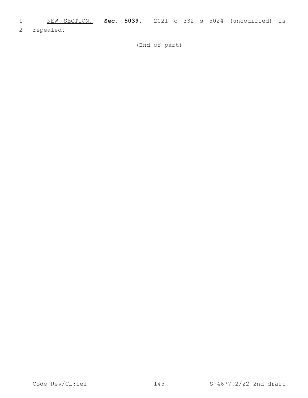1 NEW SECTION. **Sec. 5039.** 2021 c 332 s 5024 (uncodified) is

2 repealed.

(End of part)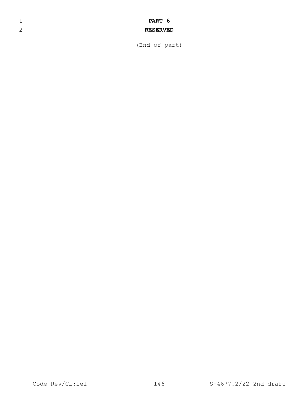## 1 **PART 6**

## 2 **RESERVED**

(End of part)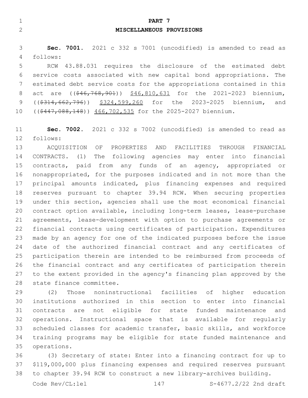|  | PART 7                                                                 |  |
|--|------------------------------------------------------------------------|--|
|  | MISCELLANEOUS PROVISIONS                                               |  |
|  | <b>Sec. 7001.</b> 2021 c 332 s 7001 (uncodified) is amended to read as |  |

follows:4 RCW 43.88.031 requires the disclosure of the estimated debt service costs associated with new capital bond appropriations. The

 estimated debt service costs for the appropriations contained in this 8 act are ((\$46,768,901)) \$46,810,631 for the 2021-2023 biennium, 9 ((\$314,662,796)) \$324,599,260 for the 2023-2025 biennium, and 10 ((\$447,088,148)) 466,702,535 for the 2025-2027 biennium.

 **Sec. 7002.** 2021 c 332 s 7002 (uncodified) is amended to read as 12 follows:

 ACQUISITION OF PROPERTIES AND FACILITIES THROUGH FINANCIAL CONTRACTS. (1) The following agencies may enter into financial contracts, paid from any funds of an agency, appropriated or nonappropriated, for the purposes indicated and in not more than the principal amounts indicated, plus financing expenses and required reserves pursuant to chapter 39.94 RCW. When securing properties under this section, agencies shall use the most economical financial contract option available, including long-term leases, lease-purchase agreements, lease-development with option to purchase agreements or financial contracts using certificates of participation. Expenditures made by an agency for one of the indicated purposes before the issue date of the authorized financial contract and any certificates of participation therein are intended to be reimbursed from proceeds of the financial contract and any certificates of participation therein to the extent provided in the agency's financing plan approved by the 28 state finance committee.

 (2) Those noninstructional facilities of higher education institutions authorized in this section to enter into financial contracts are not eligible for state funded maintenance and operations. Instructional space that is available for regularly scheduled classes for academic transfer, basic skills, and workforce training programs may be eligible for state funded maintenance and 35 operations.

 (3) Secretary of state: Enter into a financing contract for up to \$119,000,000 plus financing expenses and required reserves pursuant to chapter 39.94 RCW to construct a new library-archives building.

Code Rev/CL:lel 147 S-4677.2/22 2nd draft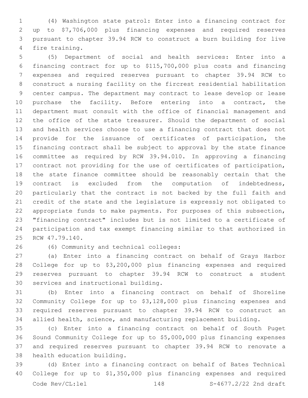(4) Washington state patrol: Enter into a financing contract for up to \$7,706,000 plus financing expenses and required reserves pursuant to chapter 39.94 RCW to construct a burn building for live 4 fire training.

 (5) Department of social and health services: Enter into a financing contract for up to \$115,700,000 plus costs and financing expenses and required reserves pursuant to chapter 39.94 RCW to construct a nursing facility on the fircrest residential habilitation center campus. The department may contract to lease develop or lease 10 purchase the facility. Before entering into a contract, the department must consult with the office of financial management and the office of the state treasurer. Should the department of social and health services choose to use a financing contract that does not provide for the issuance of certificates of participation, the financing contract shall be subject to approval by the state finance committee as required by RCW 39.94.010. In approving a financing contract not providing for the use of certificates of participation, the state finance committee should be reasonably certain that the contract is excluded from the computation of indebtedness, particularly that the contract is not backed by the full faith and credit of the state and the legislature is expressly not obligated to appropriate funds to make payments. For purposes of this subsection, "financing contract" includes but is not limited to a certificate of participation and tax exempt financing similar to that authorized in 25 RCW 47.79.140.

(6) Community and technical colleges:26

 (a) Enter into a financing contract on behalf of Grays Harbor College for up to \$3,200,000 plus financing expenses and required reserves pursuant to chapter 39.94 RCW to construct a student 30 services and instructional building.

 (b) Enter into a financing contract on behalf of Shoreline Community College for up to \$3,128,000 plus financing expenses and required reserves pursuant to chapter 39.94 RCW to construct an allied health, science, and manufacturing replacement building.

 (c) Enter into a financing contract on behalf of South Puget Sound Community College for up to \$5,000,000 plus financing expenses and required reserves pursuant to chapter 39.94 RCW to renovate a 38 health education building.

 (d) Enter into a financing contract on behalf of Bates Technical College for up to \$1,350,000 plus financing expenses and required Code Rev/CL:lel 148 S-4677.2/22 2nd draft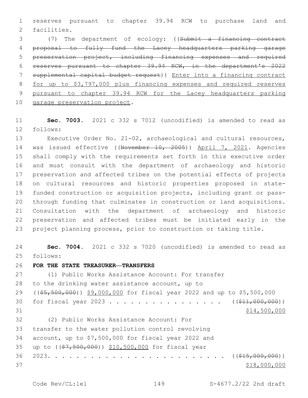reserves pursuant to chapter 39.94 RCW to purchase land and 2 facilities.

 (7) The department of ecology: ((Submit a financing contract proposal to fully fund the Lacey headquarters parking garage preservation project, including financing expenses and required reserves pursuant to chapter 39.94 RCW, in the department's 2022 supplemental capital budget request)) Enter into a financing contract for up to \$3,797,000 plus financing expenses and required reserves pursuant to chapter 39.94 RCW for the Lacey headquarters parking 10 garage preservation project.

 **Sec. 7003.** 2021 c 332 s 7012 (uncodified) is amended to read as 12 follows:

 Executive Order No. 21-02, archaeological and cultural resources, 14 was issued effective ((November 10, 2005)) April 7, 2021. Agencies shall comply with the requirements set forth in this executive order and must consult with the department of archaeology and historic preservation and affected tribes on the potential effects of projects on cultural resources and historic properties proposed in state- funded construction or acquisition projects, including grant or pass- through funding that culminates in construction or land acquisitions. Consultation with the department of archaeology and historic preservation and affected tribes must be initiated early in the project planning process, prior to construction or taking title.

 **Sec. 7004.** 2021 c 332 s 7020 (uncodified) is amended to read as 25 follows:

**FOR THE STATE TREASURER—TRANSFERS**

 (1) Public Works Assistance Account: For transfer 28 to the drinking water assistance account, up to ((\$5,500,000)) \$9,000,000 for fiscal year 2022 and up to \$5,500,000 30 for fiscal year 2023 . . . . . . . . . . . . . . . ((\$11,000,000)) \$14,500,000 (2) Public Works Assistance Account: For32 33 transfer to the water pollution control revolving account, up to \$7,500,000 for fiscal year 2022 and 35 up to ((\$7,500,000)) \$10,500,000 for fiscal year 2023. . . . . . . . . . . . . . . . . . . . . . . . . ((\$15,000,000)) 37 \$18,000,000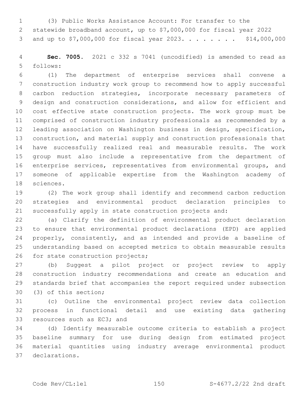(3) Public Works Assistance Account: For transfer to the statewide broadband account, up to \$7,000,000 for fiscal year 2022 3 and up to \$7,000,000 for fiscal year 2023. . . . . . . . \$14,000,000

 **Sec. 7005.** 2021 c 332 s 7041 (uncodified) is amended to read as follows:5

 (1) The department of enterprise services shall convene a construction industry work group to recommend how to apply successful carbon reduction strategies, incorporate necessary parameters of design and construction considerations, and allow for efficient and cost effective state construction projects. The work group must be comprised of construction industry professionals as recommended by a leading association on Washington business in design, specification, construction, and material supply and construction professionals that have successfully realized real and measurable results. The work group must also include a representative from the department of enterprise services, representatives from environmental groups, and someone of applicable expertise from the Washington academy of 18 sciences.

 (2) The work group shall identify and recommend carbon reduction strategies and environmental product declaration principles to successfully apply in state construction projects and:

 (a) Clarify the definition of environmental product declaration to ensure that environmental product declarations (EPD) are applied 24 properly, consistently, and as intended and provide a baseline of understanding based on accepted metrics to obtain measurable results 26 for state construction projects;

 (b) Suggest a pilot project or project review to apply construction industry recommendations and create an education and standards brief that accompanies the report required under subsection 30 (3) of this section;

 (c) Outline the environmental project review data collection process in functional detail and use existing data gathering 33 resources such as EC3; and

 (d) Identify measurable outcome criteria to establish a project baseline summary for use during design from estimated project material quantities using industry average environmental product declarations.37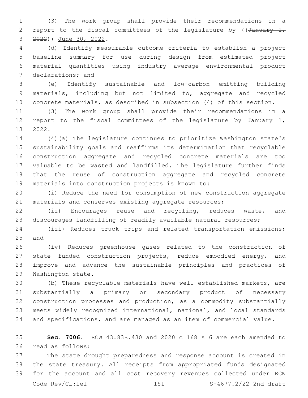(3) The work group shall provide their recommendations in a 2 report to the fiscal committees of the legislature by ( $\sqrt{4}$ anuary 1, 3 ) June 30, 2022.

 (d) Identify measurable outcome criteria to establish a project baseline summary for use during design from estimated project material quantities using industry average environmental product 7 declarations; and

 (e) Identify sustainable and low-carbon emitting building materials, including but not limited to, aggregate and recycled concrete materials, as described in subsection (4) of this section.

 (3) The work group shall provide their recommendations in a report to the fiscal committees of the legislature by January 1, 13 2022.

 (4)(a) The legislature continues to prioritize Washington state's sustainability goals and reaffirms its determination that recyclable construction aggregate and recycled concrete materials are too valuable to be wasted and landfilled. The legislature further finds that the reuse of construction aggregate and recycled concrete 19 materials into construction projects is known to:

 (i) Reduce the need for consumption of new construction aggregate 21 materials and conserves existing aggregate resources;

 (ii) Encourages reuse and recycling, reduces waste, and discourages landfilling of readily available natural resources;

 (iii) Reduces truck trips and related transportation emissions; 25 and

 (iv) Reduces greenhouse gases related to the construction of state funded construction projects, reduce embodied energy, and improve and advance the sustainable principles and practices of 29 Washington state.

 (b) These recyclable materials have well established markets, are substantially a primary or secondary product of necessary construction processes and production, as a commodity substantially meets widely recognized international, national, and local standards and specifications, and are managed as an item of commercial value.

 **Sec. 7006.** RCW 43.83B.430 and 2020 c 168 s 6 are each amended to read as follows:36

 The state drought preparedness and response account is created in the state treasury. All receipts from appropriated funds designated for the account and all cost recovery revenues collected under RCW Code  $\text{Rev}(\text{CL:lel})$   $151$   $\text{S-4677.2/22}$  2nd draft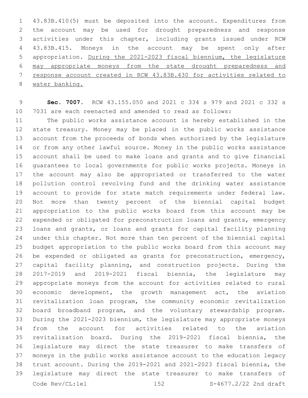43.83B.410(5) must be deposited into the account. Expenditures from the account may be used for drought preparedness and response activities under this chapter, including grants issued under RCW 43.83B.415. Moneys in the account may be spent only after appropriation. During the 2021-2023 fiscal biennium, the legislature may appropriate moneys from the state drought preparedness and response account created in RCW 43.83B.430 for activities related to water banking.

 **Sec. 7007.** RCW 43.155.050 and 2021 c 334 s 979 and 2021 c 332 s 7031 are each reenacted and amended to read as follows:

 The public works assistance account is hereby established in the state treasury. Money may be placed in the public works assistance account from the proceeds of bonds when authorized by the legislature or from any other lawful source. Money in the public works assistance account shall be used to make loans and grants and to give financial guarantees to local governments for public works projects. Moneys in the account may also be appropriated or transferred to the water pollution control revolving fund and the drinking water assistance account to provide for state match requirements under federal law. Not more than twenty percent of the biennial capital budget appropriation to the public works board from this account may be expended or obligated for preconstruction loans and grants, emergency loans and grants, or loans and grants for capital facility planning under this chapter. Not more than ten percent of the biennial capital budget appropriation to the public works board from this account may be expended or obligated as grants for preconstruction, emergency, capital facility planning, and construction projects. During the 2017-2019 and 2019-2021 fiscal biennia, the legislature may appropriate moneys from the account for activities related to rural economic development, the growth management act, the aviation revitalization loan program, the community economic revitalization board broadband program, and the voluntary stewardship program. During the 2021-2023 biennium, the legislature may appropriate moneys from the account for activities related to the aviation revitalization board. During the 2019-2021 fiscal biennia, the legislature may direct the state treasurer to make transfers of moneys in the public works assistance account to the education legacy trust account. During the 2019-2021 and 2021-2023 fiscal biennia, the legislature may direct the state treasurer to make transfers of Code Rev/CL:lel 152 S-4677.2/22 2nd draft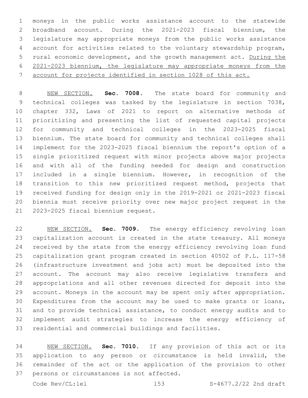moneys in the public works assistance account to the statewide broadband account. During the 2021-2023 fiscal biennium, the legislature may appropriate moneys from the public works assistance account for activities related to the voluntary stewardship program, rural economic development, and the growth management act. During the 2021-2023 biennium, the legislature may appropriate moneys from the account for projects identified in section 1028 of this act.

 NEW SECTION. **Sec. 7008.** The state board for community and technical colleges was tasked by the legislature in section 7038, chapter 332, Laws of 2021 to report on alternative methods of prioritizing and presenting the list of requested capital projects for community and technical colleges in the 2023-2025 fiscal biennium. The state board for community and technical colleges shall implement for the 2023-2025 fiscal biennium the report's option of a single prioritized request with minor projects above major projects and with all of the funding needed for design and construction included in a single biennium. However, in recognition of the transition to this new prioritized request method, projects that received funding for design only in the 2019-2021 or 2021-2023 fiscal biennia must receive priority over new major project request in the 2023-2025 fiscal biennium request.

 NEW SECTION. **Sec. 7009.** The energy efficiency revolving loan capitalization account is created in the state treasury. All moneys received by the state from the energy efficiency revolving loan fund capitalization grant program created in section 40502 of P.L. 117-58 (infrastructure investment and jobs act) must be deposited into the account. The account may also receive legislative transfers and appropriations and all other revenues directed for deposit into the account. Moneys in the account may be spent only after appropriation. Expenditures from the account may be used to make grants or loans, and to provide technical assistance, to conduct energy audits and to implement audit strategies to increase the energy efficiency of residential and commercial buildings and facilities.

 NEW SECTION. **Sec. 7010.** If any provision of this act or its application to any person or circumstance is held invalid, the remainder of the act or the application of the provision to other persons or circumstances is not affected.

Code Rev/CL:lel 153 S-4677.2/22 2nd draft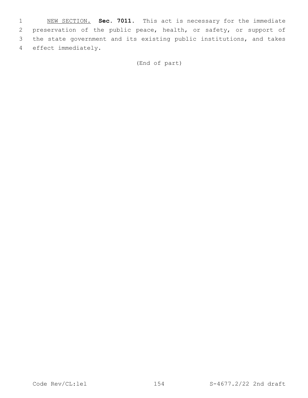NEW SECTION. **Sec. 7011.** This act is necessary for the immediate preservation of the public peace, health, or safety, or support of the state government and its existing public institutions, and takes effect immediately.

(End of part)